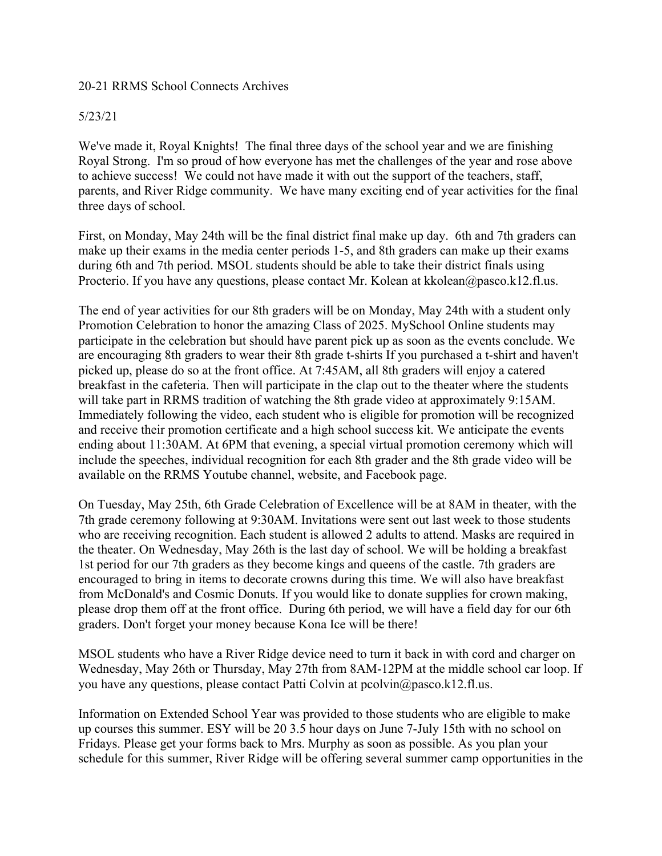### 20-21 RRMS School Connects Archives

### 5/23/21

We've made it, Royal Knights! The final three days of the school year and we are finishing Royal Strong. I'm so proud of how everyone has met the challenges of the year and rose above to achieve success! We could not have made it with out the support of the teachers, staff, parents, and River Ridge community. We have many exciting end of year activities for the final three days of school.

First, on Monday, May 24th will be the final district final make up day. 6th and 7th graders can make up their exams in the media center periods 1-5, and 8th graders can make up their exams during 6th and 7th period. MSOL students should be able to take their district finals using Procterio. If you have any questions, please contact Mr. Kolean at kkolean@pasco.k12.fl.us.

The end of year activities for our 8th graders will be on Monday, May 24th with a student only Promotion Celebration to honor the amazing Class of 2025. MySchool Online students may participate in the celebration but should have parent pick up as soon as the events conclude. We are encouraging 8th graders to wear their 8th grade t-shirts If you purchased a t-shirt and haven't picked up, please do so at the front office. At 7:45AM, all 8th graders will enjoy a catered breakfast in the cafeteria. Then will participate in the clap out to the theater where the students will take part in RRMS tradition of watching the 8th grade video at approximately 9:15AM. Immediately following the video, each student who is eligible for promotion will be recognized and receive their promotion certificate and a high school success kit. We anticipate the events ending about 11:30AM. At 6PM that evening, a special virtual promotion ceremony which will include the speeches, individual recognition for each 8th grader and the 8th grade video will be available on the RRMS Youtube channel, website, and Facebook page.

On Tuesday, May 25th, 6th Grade Celebration of Excellence will be at 8AM in theater, with the 7th grade ceremony following at 9:30AM. Invitations were sent out last week to those students who are receiving recognition. Each student is allowed 2 adults to attend. Masks are required in the theater. On Wednesday, May 26th is the last day of school. We will be holding a breakfast 1st period for our 7th graders as they become kings and queens of the castle. 7th graders are encouraged to bring in items to decorate crowns during this time. We will also have breakfast from McDonald's and Cosmic Donuts. If you would like to donate supplies for crown making, please drop them off at the front office. During 6th period, we will have a field day for our 6th graders. Don't forget your money because Kona Ice will be there!

MSOL students who have a River Ridge device need to turn it back in with cord and charger on Wednesday, May 26th or Thursday, May 27th from 8AM-12PM at the middle school car loop. If you have any questions, please contact Patti Colvin at pcolvin@pasco.k12.fl.us.

Information on Extended School Year was provided to those students who are eligible to make up courses this summer. ESY will be 20 3.5 hour days on June 7-July 15th with no school on Fridays. Please get your forms back to Mrs. Murphy as soon as possible. As you plan your schedule for this summer, River Ridge will be offering several summer camp opportunities in the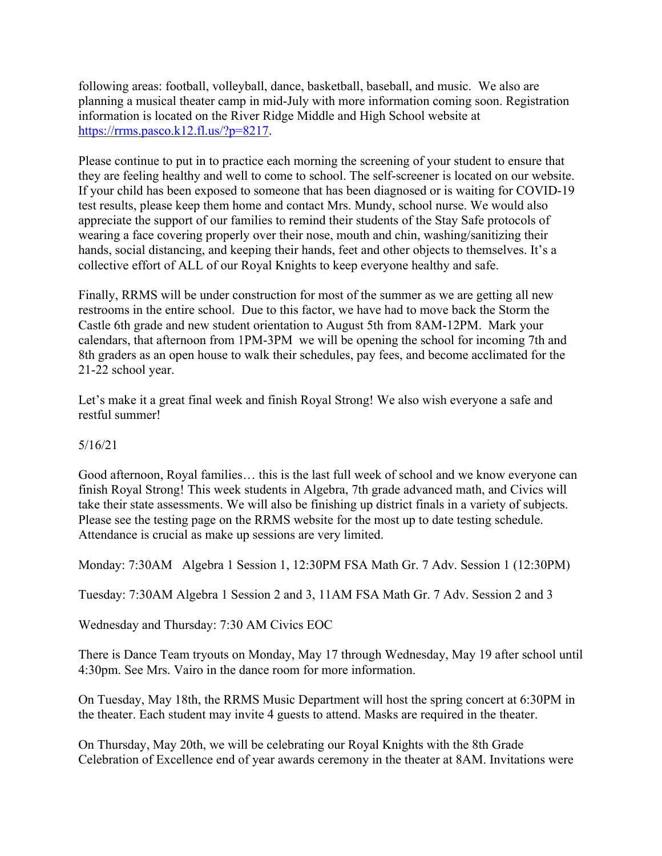following areas: football, volleyball, dance, basketball, baseball, and music. We also are planning a musical theater camp in mid-July with more information coming soon. Registration information is located on the River Ridge Middle and High School website at https://rrms.pasco.k12.fl.us/?p=8217.

Please continue to put in to practice each morning the screening of your student to ensure that they are feeling healthy and well to come to school. The self-screener is located on our website. If your child has been exposed to someone that has been diagnosed or is waiting for COVID-19 test results, please keep them home and contact Mrs. Mundy, school nurse. We would also appreciate the support of our families to remind their students of the Stay Safe protocols of wearing a face covering properly over their nose, mouth and chin, washing/sanitizing their hands, social distancing, and keeping their hands, feet and other objects to themselves. It's a collective effort of ALL of our Royal Knights to keep everyone healthy and safe.

Finally, RRMS will be under construction for most of the summer as we are getting all new restrooms in the entire school. Due to this factor, we have had to move back the Storm the Castle 6th grade and new student orientation to August 5th from 8AM-12PM. Mark your calendars, that afternoon from 1PM-3PM we will be opening the school for incoming 7th and 8th graders as an open house to walk their schedules, pay fees, and become acclimated for the 21-22 school year.

Let's make it a great final week and finish Royal Strong! We also wish everyone a safe and restful summer!

# 5/16/21

Good afternoon, Royal families… this is the last full week of school and we know everyone can finish Royal Strong! This week students in Algebra, 7th grade advanced math, and Civics will take their state assessments. We will also be finishing up district finals in a variety of subjects. Please see the testing page on the RRMS website for the most up to date testing schedule. Attendance is crucial as make up sessions are very limited.

Monday: 7:30AM Algebra 1 Session 1, 12:30PM FSA Math Gr. 7 Adv. Session 1 (12:30PM)

Tuesday: 7:30AM Algebra 1 Session 2 and 3, 11AM FSA Math Gr. 7 Adv. Session 2 and 3

Wednesday and Thursday: 7:30 AM Civics EOC

There is Dance Team tryouts on Monday, May 17 through Wednesday, May 19 after school until 4:30pm. See Mrs. Vairo in the dance room for more information.

On Tuesday, May 18th, the RRMS Music Department will host the spring concert at 6:30PM in the theater. Each student may invite 4 guests to attend. Masks are required in the theater.

On Thursday, May 20th, we will be celebrating our Royal Knights with the 8th Grade Celebration of Excellence end of year awards ceremony in the theater at 8AM. Invitations were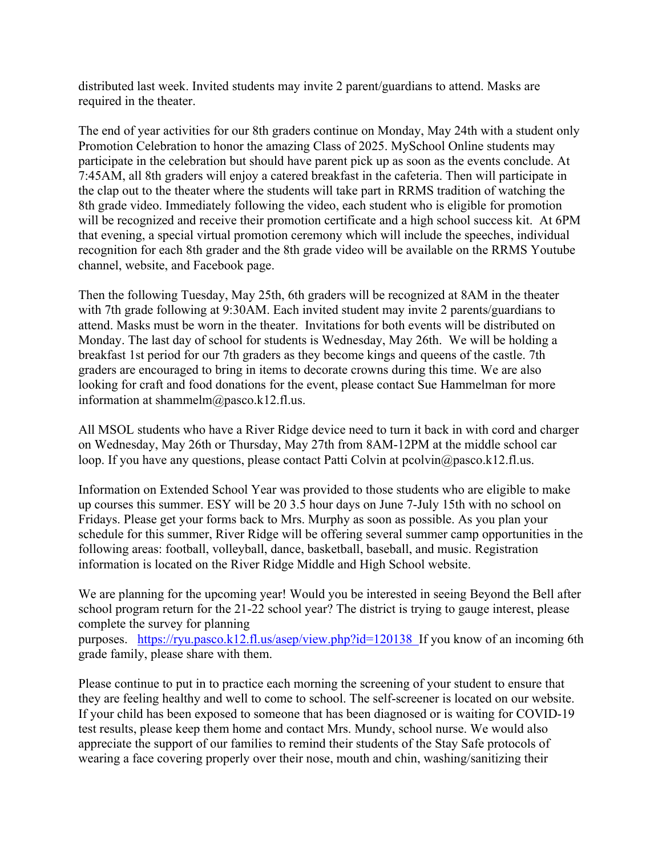distributed last week. Invited students may invite 2 parent/guardians to attend. Masks are required in the theater.

The end of year activities for our 8th graders continue on Monday, May 24th with a student only Promotion Celebration to honor the amazing Class of 2025. MySchool Online students may participate in the celebration but should have parent pick up as soon as the events conclude. At 7:45AM, all 8th graders will enjoy a catered breakfast in the cafeteria. Then will participate in the clap out to the theater where the students will take part in RRMS tradition of watching the 8th grade video. Immediately following the video, each student who is eligible for promotion will be recognized and receive their promotion certificate and a high school success kit. At 6PM that evening, a special virtual promotion ceremony which will include the speeches, individual recognition for each 8th grader and the 8th grade video will be available on the RRMS Youtube channel, website, and Facebook page.

Then the following Tuesday, May 25th, 6th graders will be recognized at 8AM in the theater with 7th grade following at 9:30AM. Each invited student may invite 2 parents/guardians to attend. Masks must be worn in the theater. Invitations for both events will be distributed on Monday. The last day of school for students is Wednesday, May 26th. We will be holding a breakfast 1st period for our 7th graders as they become kings and queens of the castle. 7th graders are encouraged to bring in items to decorate crowns during this time. We are also looking for craft and food donations for the event, please contact Sue Hammelman for more information at shammelm@pasco.k12.fl.us.

All MSOL students who have a River Ridge device need to turn it back in with cord and charger on Wednesday, May 26th or Thursday, May 27th from 8AM-12PM at the middle school car loop. If you have any questions, please contact Patti Colvin at pcolvin@pasco.k12.fl.us.

Information on Extended School Year was provided to those students who are eligible to make up courses this summer. ESY will be 20 3.5 hour days on June 7-July 15th with no school on Fridays. Please get your forms back to Mrs. Murphy as soon as possible. As you plan your schedule for this summer, River Ridge will be offering several summer camp opportunities in the following areas: football, volleyball, dance, basketball, baseball, and music. Registration information is located on the River Ridge Middle and High School website.

We are planning for the upcoming year! Would you be interested in seeing Beyond the Bell after school program return for the 21-22 school year? The district is trying to gauge interest, please complete the survey for planning

purposes. https://ryu.pasco.k12.fl.us/asep/view.php?id=120138 If you know of an incoming 6th grade family, please share with them.

Please continue to put in to practice each morning the screening of your student to ensure that they are feeling healthy and well to come to school. The self-screener is located on our website. If your child has been exposed to someone that has been diagnosed or is waiting for COVID-19 test results, please keep them home and contact Mrs. Mundy, school nurse. We would also appreciate the support of our families to remind their students of the Stay Safe protocols of wearing a face covering properly over their nose, mouth and chin, washing/sanitizing their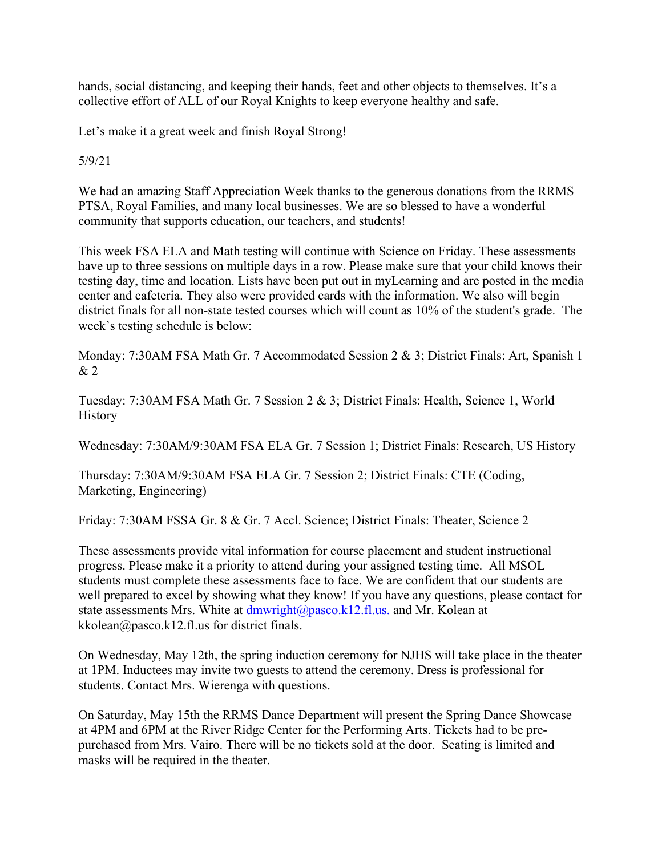hands, social distancing, and keeping their hands, feet and other objects to themselves. It's a collective effort of ALL of our Royal Knights to keep everyone healthy and safe.

Let's make it a great week and finish Royal Strong!

5/9/21

We had an amazing Staff Appreciation Week thanks to the generous donations from the RRMS PTSA, Royal Families, and many local businesses. We are so blessed to have a wonderful community that supports education, our teachers, and students!

This week FSA ELA and Math testing will continue with Science on Friday. These assessments have up to three sessions on multiple days in a row. Please make sure that your child knows their testing day, time and location. Lists have been put out in myLearning and are posted in the media center and cafeteria. They also were provided cards with the information. We also will begin district finals for all non-state tested courses which will count as 10% of the student's grade. The week's testing schedule is below:

Monday: 7:30AM FSA Math Gr. 7 Accommodated Session 2 & 3; District Finals: Art, Spanish 1 & 2

Tuesday: 7:30AM FSA Math Gr. 7 Session 2 & 3; District Finals: Health, Science 1, World History

Wednesday: 7:30AM/9:30AM FSA ELA Gr. 7 Session 1; District Finals: Research, US History

Thursday: 7:30AM/9:30AM FSA ELA Gr. 7 Session 2; District Finals: CTE (Coding, Marketing, Engineering)

Friday: 7:30AM FSSA Gr. 8 & Gr. 7 Accl. Science; District Finals: Theater, Science 2

These assessments provide vital information for course placement and student instructional progress. Please make it a priority to attend during your assigned testing time. All MSOL students must complete these assessments face to face. We are confident that our students are well prepared to excel by showing what they know! If you have any questions, please contact for state assessments Mrs. White at  $d$ mwright@pasco.k12.fl.us. and Mr. Kolean at kkolean@pasco.k12.fl.us for district finals.

On Wednesday, May 12th, the spring induction ceremony for NJHS will take place in the theater at 1PM. Inductees may invite two guests to attend the ceremony. Dress is professional for students. Contact Mrs. Wierenga with questions.

On Saturday, May 15th the RRMS Dance Department will present the Spring Dance Showcase at 4PM and 6PM at the River Ridge Center for the Performing Arts. Tickets had to be prepurchased from Mrs. Vairo. There will be no tickets sold at the door. Seating is limited and masks will be required in the theater.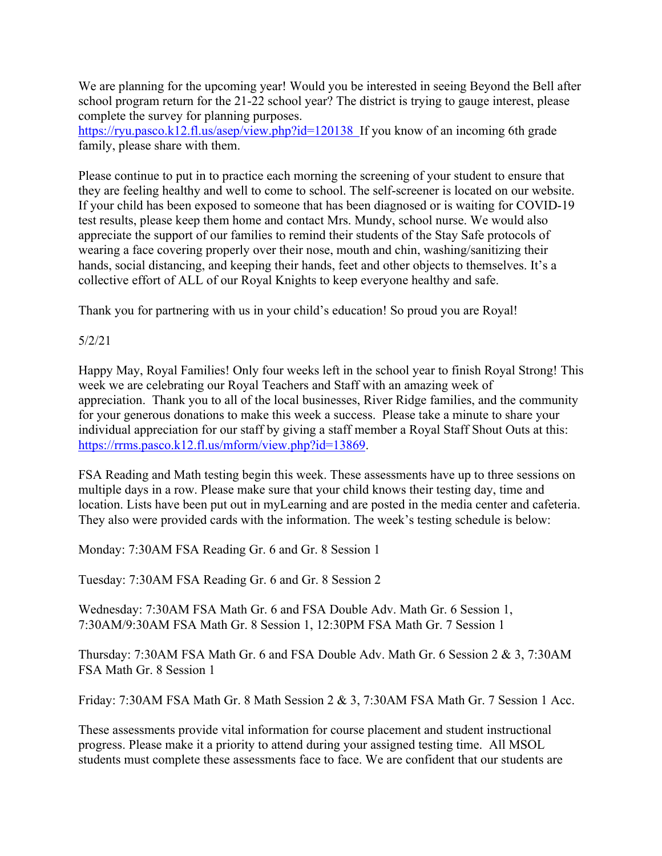We are planning for the upcoming year! Would you be interested in seeing Beyond the Bell after school program return for the 21-22 school year? The district is trying to gauge interest, please complete the survey for planning purposes.

https://ryu.pasco.k12.fl.us/asep/view.php?id=120138 If you know of an incoming 6th grade family, please share with them.

Please continue to put in to practice each morning the screening of your student to ensure that they are feeling healthy and well to come to school. The self-screener is located on our website. If your child has been exposed to someone that has been diagnosed or is waiting for COVID-19 test results, please keep them home and contact Mrs. Mundy, school nurse. We would also appreciate the support of our families to remind their students of the Stay Safe protocols of wearing a face covering properly over their nose, mouth and chin, washing/sanitizing their hands, social distancing, and keeping their hands, feet and other objects to themselves. It's a collective effort of ALL of our Royal Knights to keep everyone healthy and safe.

Thank you for partnering with us in your child's education! So proud you are Royal!

# 5/2/21

Happy May, Royal Families! Only four weeks left in the school year to finish Royal Strong! This week we are celebrating our Royal Teachers and Staff with an amazing week of appreciation. Thank you to all of the local businesses, River Ridge families, and the community for your generous donations to make this week a success. Please take a minute to share your individual appreciation for our staff by giving a staff member a Royal Staff Shout Outs at this: https://rrms.pasco.k12.fl.us/mform/view.php?id=13869.

FSA Reading and Math testing begin this week. These assessments have up to three sessions on multiple days in a row. Please make sure that your child knows their testing day, time and location. Lists have been put out in myLearning and are posted in the media center and cafeteria. They also were provided cards with the information. The week's testing schedule is below:

Monday: 7:30AM FSA Reading Gr. 6 and Gr. 8 Session 1

Tuesday: 7:30AM FSA Reading Gr. 6 and Gr. 8 Session 2

Wednesday: 7:30AM FSA Math Gr. 6 and FSA Double Adv. Math Gr. 6 Session 1, 7:30AM/9:30AM FSA Math Gr. 8 Session 1, 12:30PM FSA Math Gr. 7 Session 1

Thursday: 7:30AM FSA Math Gr. 6 and FSA Double Adv. Math Gr. 6 Session 2 & 3, 7:30AM FSA Math Gr. 8 Session 1

Friday: 7:30AM FSA Math Gr. 8 Math Session 2 & 3, 7:30AM FSA Math Gr. 7 Session 1 Acc.

These assessments provide vital information for course placement and student instructional progress. Please make it a priority to attend during your assigned testing time. All MSOL students must complete these assessments face to face. We are confident that our students are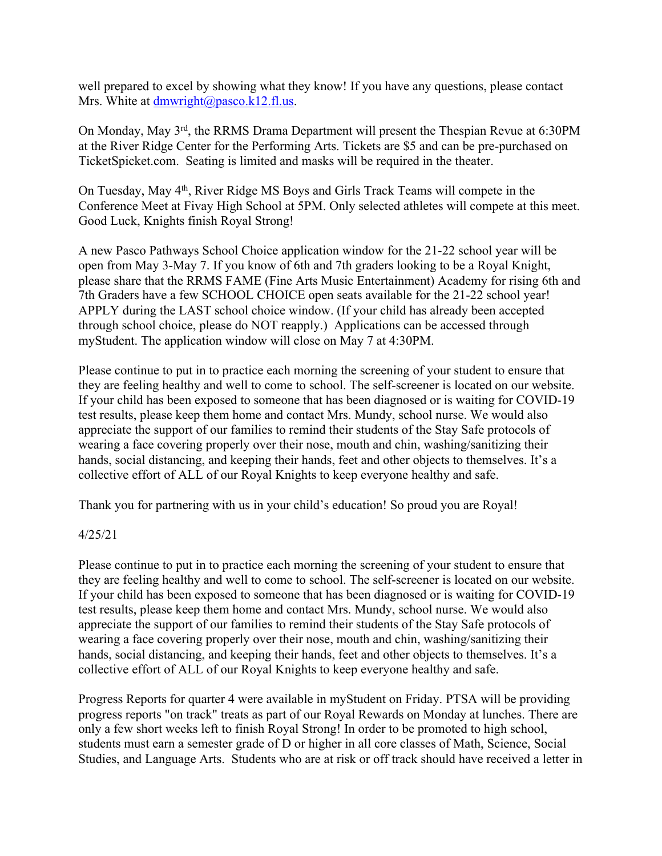well prepared to excel by showing what they know! If you have any questions, please contact Mrs. White at dmwright@pasco.k12.fl.us.

On Monday, May 3rd, the RRMS Drama Department will present the Thespian Revue at 6:30PM at the River Ridge Center for the Performing Arts. Tickets are \$5 and can be pre-purchased on TicketSpicket.com. Seating is limited and masks will be required in the theater.

On Tuesday, May 4th, River Ridge MS Boys and Girls Track Teams will compete in the Conference Meet at Fivay High School at 5PM. Only selected athletes will compete at this meet. Good Luck, Knights finish Royal Strong!

A new Pasco Pathways School Choice application window for the 21-22 school year will be open from May 3-May 7. If you know of 6th and 7th graders looking to be a Royal Knight, please share that the RRMS FAME (Fine Arts Music Entertainment) Academy for rising 6th and 7th Graders have a few SCHOOL CHOICE open seats available for the 21-22 school year! APPLY during the LAST school choice window. (If your child has already been accepted through school choice, please do NOT reapply.) Applications can be accessed through myStudent. The application window will close on May 7 at 4:30PM.

Please continue to put in to practice each morning the screening of your student to ensure that they are feeling healthy and well to come to school. The self-screener is located on our website. If your child has been exposed to someone that has been diagnosed or is waiting for COVID-19 test results, please keep them home and contact Mrs. Mundy, school nurse. We would also appreciate the support of our families to remind their students of the Stay Safe protocols of wearing a face covering properly over their nose, mouth and chin, washing/sanitizing their hands, social distancing, and keeping their hands, feet and other objects to themselves. It's a collective effort of ALL of our Royal Knights to keep everyone healthy and safe.

Thank you for partnering with us in your child's education! So proud you are Royal!

# 4/25/21

Please continue to put in to practice each morning the screening of your student to ensure that they are feeling healthy and well to come to school. The self-screener is located on our website. If your child has been exposed to someone that has been diagnosed or is waiting for COVID-19 test results, please keep them home and contact Mrs. Mundy, school nurse. We would also appreciate the support of our families to remind their students of the Stay Safe protocols of wearing a face covering properly over their nose, mouth and chin, washing/sanitizing their hands, social distancing, and keeping their hands, feet and other objects to themselves. It's a collective effort of ALL of our Royal Knights to keep everyone healthy and safe.

Progress Reports for quarter 4 were available in myStudent on Friday. PTSA will be providing progress reports "on track" treats as part of our Royal Rewards on Monday at lunches. There are only a few short weeks left to finish Royal Strong! In order to be promoted to high school, students must earn a semester grade of D or higher in all core classes of Math, Science, Social Studies, and Language Arts. Students who are at risk or off track should have received a letter in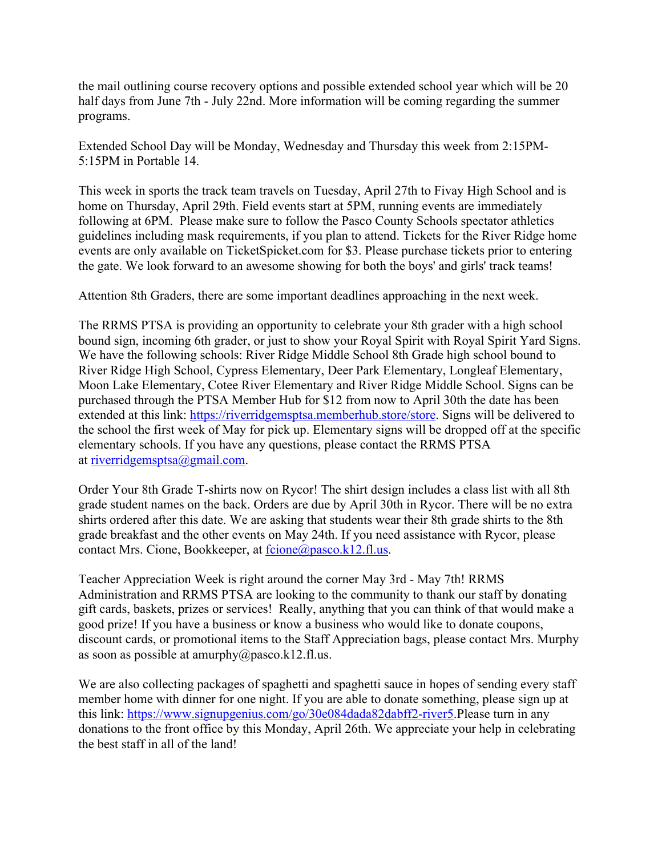the mail outlining course recovery options and possible extended school year which will be 20 half days from June 7th - July 22nd. More information will be coming regarding the summer programs.

Extended School Day will be Monday, Wednesday and Thursday this week from 2:15PM-5:15PM in Portable 14.

This week in sports the track team travels on Tuesday, April 27th to Fivay High School and is home on Thursday, April 29th. Field events start at 5PM, running events are immediately following at 6PM. Please make sure to follow the Pasco County Schools spectator athletics guidelines including mask requirements, if you plan to attend. Tickets for the River Ridge home events are only available on TicketSpicket.com for \$3. Please purchase tickets prior to entering the gate. We look forward to an awesome showing for both the boys' and girls' track teams!

Attention 8th Graders, there are some important deadlines approaching in the next week.

The RRMS PTSA is providing an opportunity to celebrate your 8th grader with a high school bound sign, incoming 6th grader, or just to show your Royal Spirit with Royal Spirit Yard Signs. We have the following schools: River Ridge Middle School 8th Grade high school bound to River Ridge High School, Cypress Elementary, Deer Park Elementary, Longleaf Elementary, Moon Lake Elementary, Cotee River Elementary and River Ridge Middle School. Signs can be purchased through the PTSA Member Hub for \$12 from now to April 30th the date has been extended at this link: https://riverridgemsptsa.memberhub.store/store. Signs will be delivered to the school the first week of May for pick up. Elementary signs will be dropped off at the specific elementary schools. If you have any questions, please contact the RRMS PTSA at riverridgemsptsa@gmail.com.

Order Your 8th Grade T-shirts now on Rycor! The shirt design includes a class list with all 8th grade student names on the back. Orders are due by April 30th in Rycor. There will be no extra shirts ordered after this date. We are asking that students wear their 8th grade shirts to the 8th grade breakfast and the other events on May 24th. If you need assistance with Rycor, please contact Mrs. Cione, Bookkeeper, at fcione@pasco.k12.fl.us.

Teacher Appreciation Week is right around the corner May 3rd - May 7th! RRMS Administration and RRMS PTSA are looking to the community to thank our staff by donating gift cards, baskets, prizes or services! Really, anything that you can think of that would make a good prize! If you have a business or know a business who would like to donate coupons, discount cards, or promotional items to the Staff Appreciation bags, please contact Mrs. Murphy as soon as possible at amurphy@pasco.k12.fl.us.

We are also collecting packages of spaghetti and spaghetti sauce in hopes of sending every staff member home with dinner for one night. If you are able to donate something, please sign up at this link: https://www.signupgenius.com/go/30e084dada82dabff2-river5.Please turn in any donations to the front office by this Monday, April 26th. We appreciate your help in celebrating the best staff in all of the land!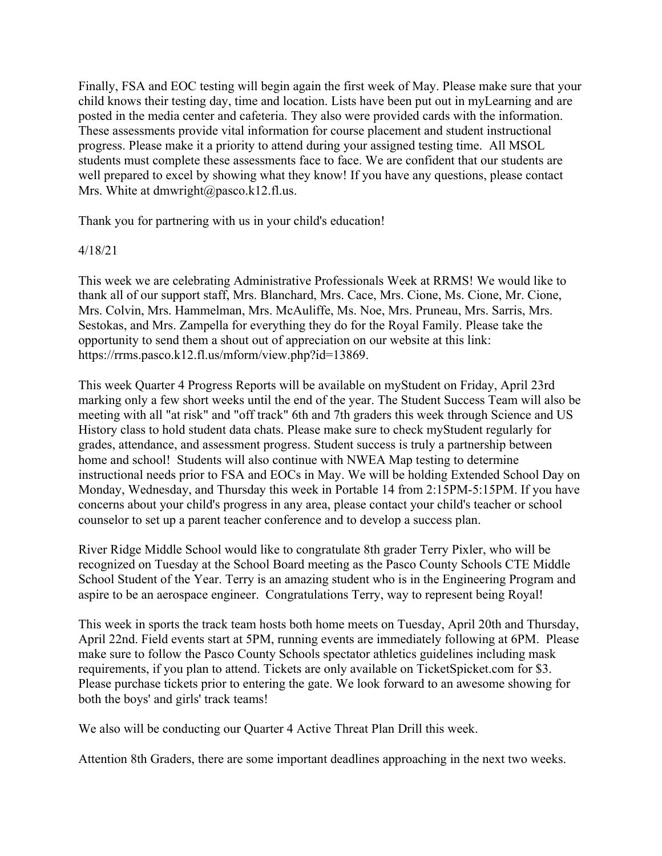Finally, FSA and EOC testing will begin again the first week of May. Please make sure that your child knows their testing day, time and location. Lists have been put out in myLearning and are posted in the media center and cafeteria. They also were provided cards with the information. These assessments provide vital information for course placement and student instructional progress. Please make it a priority to attend during your assigned testing time. All MSOL students must complete these assessments face to face. We are confident that our students are well prepared to excel by showing what they know! If you have any questions, please contact Mrs. White at dmwright@pasco.k12.fl.us.

Thank you for partnering with us in your child's education!

### 4/18/21

This week we are celebrating Administrative Professionals Week at RRMS! We would like to thank all of our support staff, Mrs. Blanchard, Mrs. Cace, Mrs. Cione, Ms. Cione, Mr. Cione, Mrs. Colvin, Mrs. Hammelman, Mrs. McAuliffe, Ms. Noe, Mrs. Pruneau, Mrs. Sarris, Mrs. Sestokas, and Mrs. Zampella for everything they do for the Royal Family. Please take the opportunity to send them a shout out of appreciation on our website at this link: https://rrms.pasco.k12.fl.us/mform/view.php?id=13869.

This week Quarter 4 Progress Reports will be available on myStudent on Friday, April 23rd marking only a few short weeks until the end of the year. The Student Success Team will also be meeting with all "at risk" and "off track" 6th and 7th graders this week through Science and US History class to hold student data chats. Please make sure to check myStudent regularly for grades, attendance, and assessment progress. Student success is truly a partnership between home and school! Students will also continue with NWEA Map testing to determine instructional needs prior to FSA and EOCs in May. We will be holding Extended School Day on Monday, Wednesday, and Thursday this week in Portable 14 from 2:15PM-5:15PM. If you have concerns about your child's progress in any area, please contact your child's teacher or school counselor to set up a parent teacher conference and to develop a success plan.

River Ridge Middle School would like to congratulate 8th grader Terry Pixler, who will be recognized on Tuesday at the School Board meeting as the Pasco County Schools CTE Middle School Student of the Year. Terry is an amazing student who is in the Engineering Program and aspire to be an aerospace engineer. Congratulations Terry, way to represent being Royal!

This week in sports the track team hosts both home meets on Tuesday, April 20th and Thursday, April 22nd. Field events start at 5PM, running events are immediately following at 6PM. Please make sure to follow the Pasco County Schools spectator athletics guidelines including mask requirements, if you plan to attend. Tickets are only available on TicketSpicket.com for \$3. Please purchase tickets prior to entering the gate. We look forward to an awesome showing for both the boys' and girls' track teams!

We also will be conducting our Quarter 4 Active Threat Plan Drill this week.

Attention 8th Graders, there are some important deadlines approaching in the next two weeks.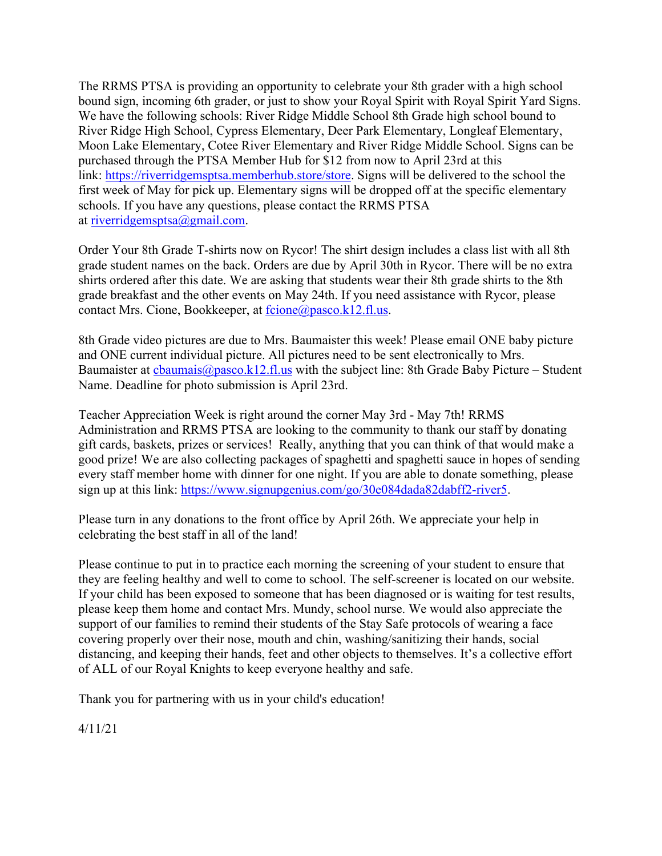The RRMS PTSA is providing an opportunity to celebrate your 8th grader with a high school bound sign, incoming 6th grader, or just to show your Royal Spirit with Royal Spirit Yard Signs. We have the following schools: River Ridge Middle School 8th Grade high school bound to River Ridge High School, Cypress Elementary, Deer Park Elementary, Longleaf Elementary, Moon Lake Elementary, Cotee River Elementary and River Ridge Middle School. Signs can be purchased through the PTSA Member Hub for \$12 from now to April 23rd at this link: https://riverridgemsptsa.memberhub.store/store. Signs will be delivered to the school the first week of May for pick up. Elementary signs will be dropped off at the specific elementary schools. If you have any questions, please contact the RRMS PTSA at riverridgemsptsa@gmail.com.

Order Your 8th Grade T-shirts now on Rycor! The shirt design includes a class list with all 8th grade student names on the back. Orders are due by April 30th in Rycor. There will be no extra shirts ordered after this date. We are asking that students wear their 8th grade shirts to the 8th grade breakfast and the other events on May 24th. If you need assistance with Rycor, please contact Mrs. Cione, Bookkeeper, at fcione@pasco.k12.fl.us.

8th Grade video pictures are due to Mrs. Baumaister this week! Please email ONE baby picture and ONE current individual picture. All pictures need to be sent electronically to Mrs. Baumaister at  $\frac{c$ baumais $\omega$ pasco.k12.fl.us with the subject line: 8th Grade Baby Picture – Student Name. Deadline for photo submission is April 23rd.

Teacher Appreciation Week is right around the corner May 3rd - May 7th! RRMS Administration and RRMS PTSA are looking to the community to thank our staff by donating gift cards, baskets, prizes or services! Really, anything that you can think of that would make a good prize! We are also collecting packages of spaghetti and spaghetti sauce in hopes of sending every staff member home with dinner for one night. If you are able to donate something, please sign up at this link: https://www.signupgenius.com/go/30e084dada82dabff2-river5.

Please turn in any donations to the front office by April 26th. We appreciate your help in celebrating the best staff in all of the land!

Please continue to put in to practice each morning the screening of your student to ensure that they are feeling healthy and well to come to school. The self-screener is located on our website. If your child has been exposed to someone that has been diagnosed or is waiting for test results, please keep them home and contact Mrs. Mundy, school nurse. We would also appreciate the support of our families to remind their students of the Stay Safe protocols of wearing a face covering properly over their nose, mouth and chin, washing/sanitizing their hands, social distancing, and keeping their hands, feet and other objects to themselves. It's a collective effort of ALL of our Royal Knights to keep everyone healthy and safe.

Thank you for partnering with us in your child's education!

4/11/21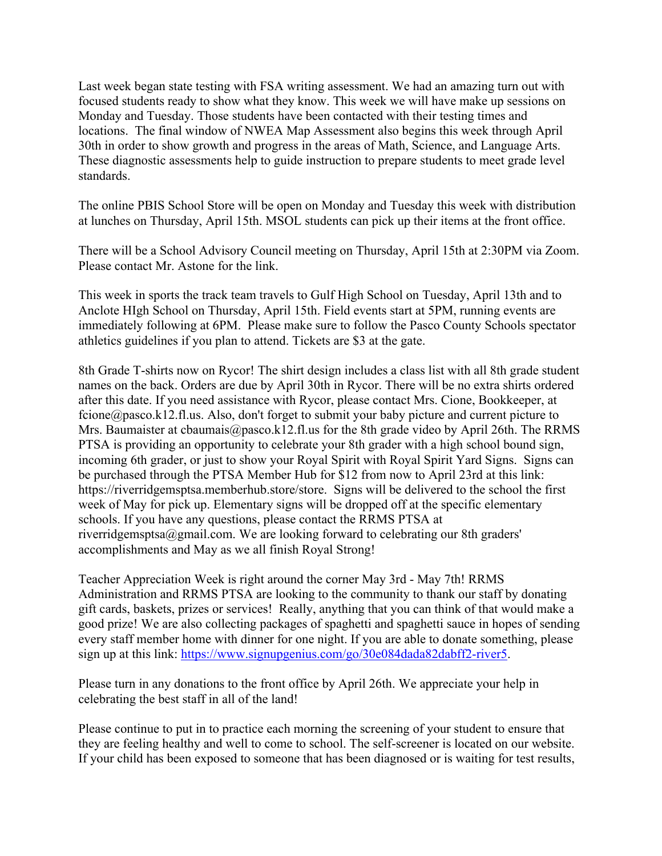Last week began state testing with FSA writing assessment. We had an amazing turn out with focused students ready to show what they know. This week we will have make up sessions on Monday and Tuesday. Those students have been contacted with their testing times and locations. The final window of NWEA Map Assessment also begins this week through April 30th in order to show growth and progress in the areas of Math, Science, and Language Arts. These diagnostic assessments help to guide instruction to prepare students to meet grade level standards.

The online PBIS School Store will be open on Monday and Tuesday this week with distribution at lunches on Thursday, April 15th. MSOL students can pick up their items at the front office.

There will be a School Advisory Council meeting on Thursday, April 15th at 2:30PM via Zoom. Please contact Mr. Astone for the link.

This week in sports the track team travels to Gulf High School on Tuesday, April 13th and to Anclote HIgh School on Thursday, April 15th. Field events start at 5PM, running events are immediately following at 6PM. Please make sure to follow the Pasco County Schools spectator athletics guidelines if you plan to attend. Tickets are \$3 at the gate.

8th Grade T-shirts now on Rycor! The shirt design includes a class list with all 8th grade student names on the back. Orders are due by April 30th in Rycor. There will be no extra shirts ordered after this date. If you need assistance with Rycor, please contact Mrs. Cione, Bookkeeper, at fcione@pasco.k12.fl.us. Also, don't forget to submit your baby picture and current picture to Mrs. Baumaister at cbaumais@pasco.k12.fl.us for the 8th grade video by April 26th. The RRMS PTSA is providing an opportunity to celebrate your 8th grader with a high school bound sign, incoming 6th grader, or just to show your Royal Spirit with Royal Spirit Yard Signs. Signs can be purchased through the PTSA Member Hub for \$12 from now to April 23rd at this link: https://riverridgemsptsa.memberhub.store/store. Signs will be delivered to the school the first week of May for pick up. Elementary signs will be dropped off at the specific elementary schools. If you have any questions, please contact the RRMS PTSA at riverridgemsptsa@gmail.com. We are looking forward to celebrating our 8th graders' accomplishments and May as we all finish Royal Strong!

Teacher Appreciation Week is right around the corner May 3rd - May 7th! RRMS Administration and RRMS PTSA are looking to the community to thank our staff by donating gift cards, baskets, prizes or services! Really, anything that you can think of that would make a good prize! We are also collecting packages of spaghetti and spaghetti sauce in hopes of sending every staff member home with dinner for one night. If you are able to donate something, please sign up at this link: https://www.signupgenius.com/go/30e084dada82dabff2-river5.

Please turn in any donations to the front office by April 26th. We appreciate your help in celebrating the best staff in all of the land!

Please continue to put in to practice each morning the screening of your student to ensure that they are feeling healthy and well to come to school. The self-screener is located on our website. If your child has been exposed to someone that has been diagnosed or is waiting for test results,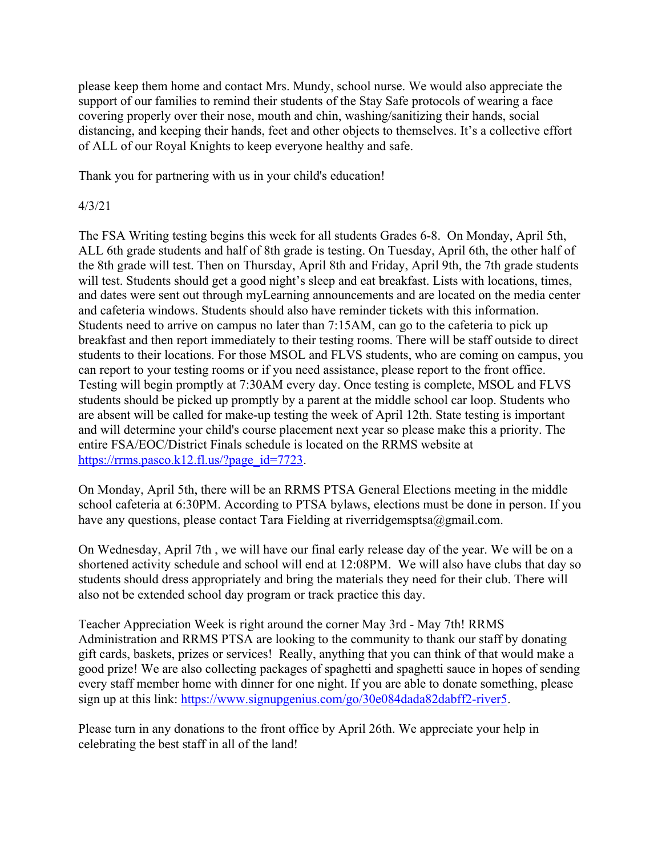please keep them home and contact Mrs. Mundy, school nurse. We would also appreciate the support of our families to remind their students of the Stay Safe protocols of wearing a face covering properly over their nose, mouth and chin, washing/sanitizing their hands, social distancing, and keeping their hands, feet and other objects to themselves. It's a collective effort of ALL of our Royal Knights to keep everyone healthy and safe.

Thank you for partnering with us in your child's education!

### 4/3/21

The FSA Writing testing begins this week for all students Grades 6-8. On Monday, April 5th, ALL 6th grade students and half of 8th grade is testing. On Tuesday, April 6th, the other half of the 8th grade will test. Then on Thursday, April 8th and Friday, April 9th, the 7th grade students will test. Students should get a good night's sleep and eat breakfast. Lists with locations, times, and dates were sent out through myLearning announcements and are located on the media center and cafeteria windows. Students should also have reminder tickets with this information. Students need to arrive on campus no later than 7:15AM, can go to the cafeteria to pick up breakfast and then report immediately to their testing rooms. There will be staff outside to direct students to their locations. For those MSOL and FLVS students, who are coming on campus, you can report to your testing rooms or if you need assistance, please report to the front office. Testing will begin promptly at 7:30AM every day. Once testing is complete, MSOL and FLVS students should be picked up promptly by a parent at the middle school car loop. Students who are absent will be called for make-up testing the week of April 12th. State testing is important and will determine your child's course placement next year so please make this a priority. The entire FSA/EOC/District Finals schedule is located on the RRMS website at https://rrms.pasco.k12.fl.us/?page\_id=7723.

On Monday, April 5th, there will be an RRMS PTSA General Elections meeting in the middle school cafeteria at 6:30PM. According to PTSA bylaws, elections must be done in person. If you have any questions, please contact Tara Fielding at riverridgemsptsa@gmail.com.

On Wednesday, April 7th , we will have our final early release day of the year. We will be on a shortened activity schedule and school will end at 12:08PM. We will also have clubs that day so students should dress appropriately and bring the materials they need for their club. There will also not be extended school day program or track practice this day.

Teacher Appreciation Week is right around the corner May 3rd - May 7th! RRMS Administration and RRMS PTSA are looking to the community to thank our staff by donating gift cards, baskets, prizes or services! Really, anything that you can think of that would make a good prize! We are also collecting packages of spaghetti and spaghetti sauce in hopes of sending every staff member home with dinner for one night. If you are able to donate something, please sign up at this link: https://www.signupgenius.com/go/30e084dada82dabff2-river5.

Please turn in any donations to the front office by April 26th. We appreciate your help in celebrating the best staff in all of the land!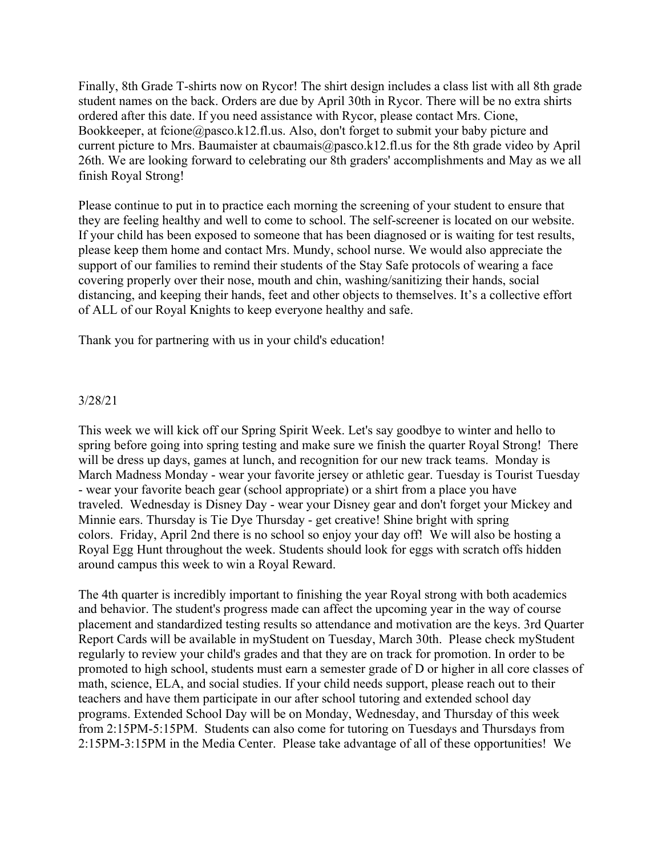Finally, 8th Grade T-shirts now on Rycor! The shirt design includes a class list with all 8th grade student names on the back. Orders are due by April 30th in Rycor. There will be no extra shirts ordered after this date. If you need assistance with Rycor, please contact Mrs. Cione, Bookkeeper, at fcione@pasco.k12.fl.us. Also, don't forget to submit your baby picture and current picture to Mrs. Baumaister at cbaumais@pasco.k12.fl.us for the 8th grade video by April 26th. We are looking forward to celebrating our 8th graders' accomplishments and May as we all finish Royal Strong!

Please continue to put in to practice each morning the screening of your student to ensure that they are feeling healthy and well to come to school. The self-screener is located on our website. If your child has been exposed to someone that has been diagnosed or is waiting for test results, please keep them home and contact Mrs. Mundy, school nurse. We would also appreciate the support of our families to remind their students of the Stay Safe protocols of wearing a face covering properly over their nose, mouth and chin, washing/sanitizing their hands, social distancing, and keeping their hands, feet and other objects to themselves. It's a collective effort of ALL of our Royal Knights to keep everyone healthy and safe.

Thank you for partnering with us in your child's education!

### 3/28/21

This week we will kick off our Spring Spirit Week. Let's say goodbye to winter and hello to spring before going into spring testing and make sure we finish the quarter Royal Strong! There will be dress up days, games at lunch, and recognition for our new track teams. Monday is March Madness Monday - wear your favorite jersey or athletic gear. Tuesday is Tourist Tuesday - wear your favorite beach gear (school appropriate) or a shirt from a place you have traveled. Wednesday is Disney Day - wear your Disney gear and don't forget your Mickey and Minnie ears. Thursday is Tie Dye Thursday - get creative! Shine bright with spring colors. Friday, April 2nd there is no school so enjoy your day off! We will also be hosting a Royal Egg Hunt throughout the week. Students should look for eggs with scratch offs hidden around campus this week to win a Royal Reward.

The 4th quarter is incredibly important to finishing the year Royal strong with both academics and behavior. The student's progress made can affect the upcoming year in the way of course placement and standardized testing results so attendance and motivation are the keys. 3rd Quarter Report Cards will be available in myStudent on Tuesday, March 30th. Please check myStudent regularly to review your child's grades and that they are on track for promotion. In order to be promoted to high school, students must earn a semester grade of D or higher in all core classes of math, science, ELA, and social studies. If your child needs support, please reach out to their teachers and have them participate in our after school tutoring and extended school day programs. Extended School Day will be on Monday, Wednesday, and Thursday of this week from 2:15PM-5:15PM. Students can also come for tutoring on Tuesdays and Thursdays from 2:15PM-3:15PM in the Media Center. Please take advantage of all of these opportunities! We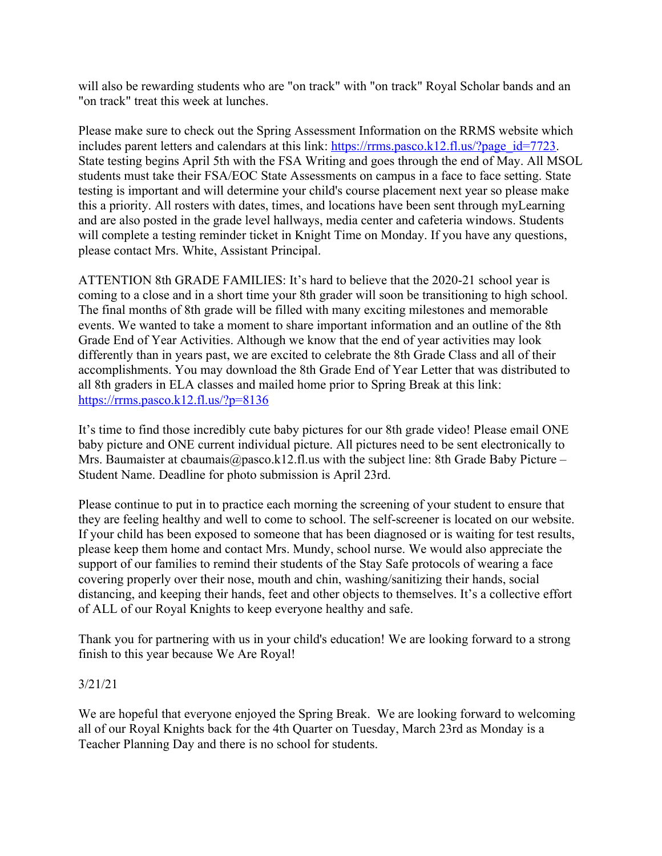will also be rewarding students who are "on track" with "on track" Royal Scholar bands and an "on track" treat this week at lunches.

Please make sure to check out the Spring Assessment Information on the RRMS website which includes parent letters and calendars at this link: https://rrms.pasco.k12.fl.us/?page\_id=7723. State testing begins April 5th with the FSA Writing and goes through the end of May. All MSOL students must take their FSA/EOC State Assessments on campus in a face to face setting. State testing is important and will determine your child's course placement next year so please make this a priority. All rosters with dates, times, and locations have been sent through myLearning and are also posted in the grade level hallways, media center and cafeteria windows. Students will complete a testing reminder ticket in Knight Time on Monday. If you have any questions, please contact Mrs. White, Assistant Principal.

ATTENTION 8th GRADE FAMILIES: It's hard to believe that the 2020-21 school year is coming to a close and in a short time your 8th grader will soon be transitioning to high school. The final months of 8th grade will be filled with many exciting milestones and memorable events. We wanted to take a moment to share important information and an outline of the 8th Grade End of Year Activities. Although we know that the end of year activities may look differently than in years past, we are excited to celebrate the 8th Grade Class and all of their accomplishments. You may download the 8th Grade End of Year Letter that was distributed to all 8th graders in ELA classes and mailed home prior to Spring Break at this link: https://rrms.pasco.k12.fl.us/?p=8136

It's time to find those incredibly cute baby pictures for our 8th grade video! Please email ONE baby picture and ONE current individual picture. All pictures need to be sent electronically to Mrs. Baumaister at cbaumais@pasco.k12.fl.us with the subject line: 8th Grade Baby Picture – Student Name. Deadline for photo submission is April 23rd.

Please continue to put in to practice each morning the screening of your student to ensure that they are feeling healthy and well to come to school. The self-screener is located on our website. If your child has been exposed to someone that has been diagnosed or is waiting for test results, please keep them home and contact Mrs. Mundy, school nurse. We would also appreciate the support of our families to remind their students of the Stay Safe protocols of wearing a face covering properly over their nose, mouth and chin, washing/sanitizing their hands, social distancing, and keeping their hands, feet and other objects to themselves. It's a collective effort of ALL of our Royal Knights to keep everyone healthy and safe.

Thank you for partnering with us in your child's education! We are looking forward to a strong finish to this year because We Are Royal!

# 3/21/21

We are hopeful that everyone enjoyed the Spring Break. We are looking forward to welcoming all of our Royal Knights back for the 4th Quarter on Tuesday, March 23rd as Monday is a Teacher Planning Day and there is no school for students.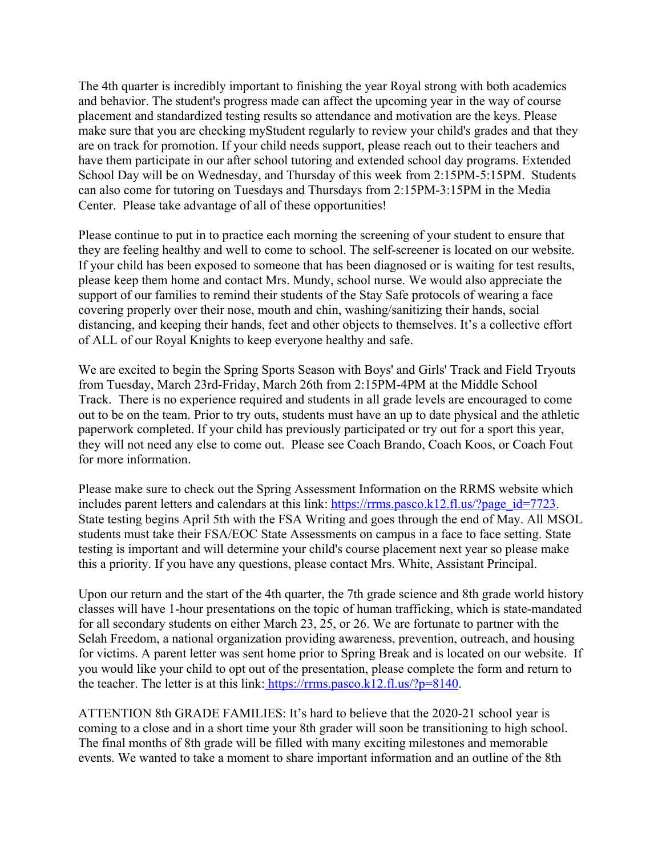The 4th quarter is incredibly important to finishing the year Royal strong with both academics and behavior. The student's progress made can affect the upcoming year in the way of course placement and standardized testing results so attendance and motivation are the keys. Please make sure that you are checking myStudent regularly to review your child's grades and that they are on track for promotion. If your child needs support, please reach out to their teachers and have them participate in our after school tutoring and extended school day programs. Extended School Day will be on Wednesday, and Thursday of this week from 2:15PM-5:15PM. Students can also come for tutoring on Tuesdays and Thursdays from 2:15PM-3:15PM in the Media Center. Please take advantage of all of these opportunities!

Please continue to put in to practice each morning the screening of your student to ensure that they are feeling healthy and well to come to school. The self-screener is located on our website. If your child has been exposed to someone that has been diagnosed or is waiting for test results, please keep them home and contact Mrs. Mundy, school nurse. We would also appreciate the support of our families to remind their students of the Stay Safe protocols of wearing a face covering properly over their nose, mouth and chin, washing/sanitizing their hands, social distancing, and keeping their hands, feet and other objects to themselves. It's a collective effort of ALL of our Royal Knights to keep everyone healthy and safe.

We are excited to begin the Spring Sports Season with Boys' and Girls' Track and Field Tryouts from Tuesday, March 23rd-Friday, March 26th from 2:15PM-4PM at the Middle School Track. There is no experience required and students in all grade levels are encouraged to come out to be on the team. Prior to try outs, students must have an up to date physical and the athletic paperwork completed. If your child has previously participated or try out for a sport this year, they will not need any else to come out. Please see Coach Brando, Coach Koos, or Coach Fout for more information.

Please make sure to check out the Spring Assessment Information on the RRMS website which includes parent letters and calendars at this link:  $\frac{https://rrms.pasco.k12.f1.us/?pageid=7723.}$ State testing begins April 5th with the FSA Writing and goes through the end of May. All MSOL students must take their FSA/EOC State Assessments on campus in a face to face setting. State testing is important and will determine your child's course placement next year so please make this a priority. If you have any questions, please contact Mrs. White, Assistant Principal.

Upon our return and the start of the 4th quarter, the 7th grade science and 8th grade world history classes will have 1-hour presentations on the topic of human trafficking, which is state-mandated for all secondary students on either March 23, 25, or 26. We are fortunate to partner with the Selah Freedom, a national organization providing awareness, prevention, outreach, and housing for victims. A parent letter was sent home prior to Spring Break and is located on our website. If you would like your child to opt out of the presentation, please complete the form and return to the teacher. The letter is at this link: https://rrms.pasco.k12.fl.us/?p=8140.

ATTENTION 8th GRADE FAMILIES: It's hard to believe that the 2020-21 school year is coming to a close and in a short time your 8th grader will soon be transitioning to high school. The final months of 8th grade will be filled with many exciting milestones and memorable events. We wanted to take a moment to share important information and an outline of the 8th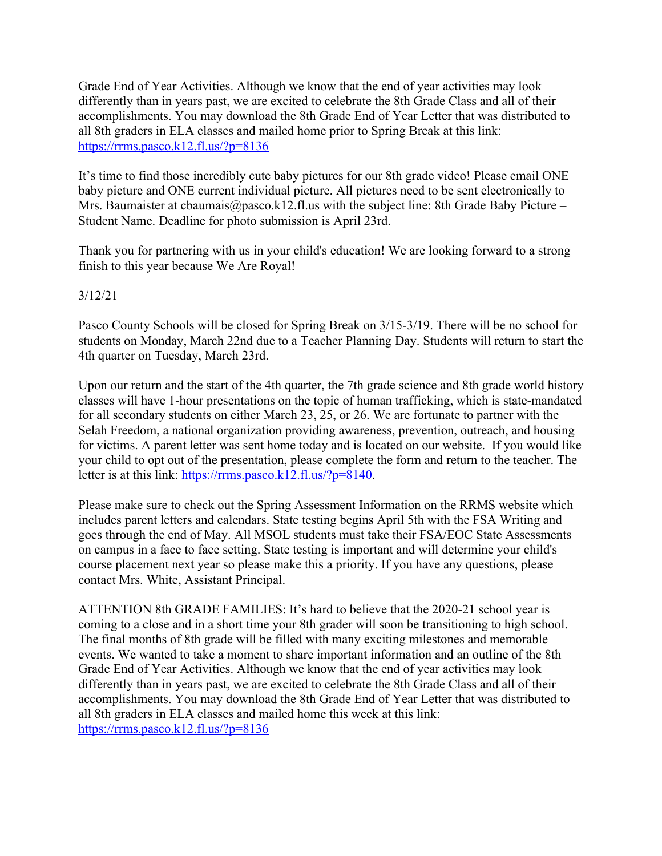Grade End of Year Activities. Although we know that the end of year activities may look differently than in years past, we are excited to celebrate the 8th Grade Class and all of their accomplishments. You may download the 8th Grade End of Year Letter that was distributed to all 8th graders in ELA classes and mailed home prior to Spring Break at this link: https://rrms.pasco.k12.fl.us/?p=8136

It's time to find those incredibly cute baby pictures for our 8th grade video! Please email ONE baby picture and ONE current individual picture. All pictures need to be sent electronically to Mrs. Baumaister at cbaumais@pasco.k12.fl.us with the subject line: 8th Grade Baby Picture – Student Name. Deadline for photo submission is April 23rd.

Thank you for partnering with us in your child's education! We are looking forward to a strong finish to this year because We Are Royal!

### 3/12/21

Pasco County Schools will be closed for Spring Break on 3/15-3/19. There will be no school for students on Monday, March 22nd due to a Teacher Planning Day. Students will return to start the 4th quarter on Tuesday, March 23rd.

Upon our return and the start of the 4th quarter, the 7th grade science and 8th grade world history classes will have 1-hour presentations on the topic of human trafficking, which is state-mandated for all secondary students on either March 23, 25, or 26. We are fortunate to partner with the Selah Freedom, a national organization providing awareness, prevention, outreach, and housing for victims. A parent letter was sent home today and is located on our website. If you would like your child to opt out of the presentation, please complete the form and return to the teacher. The letter is at this link: https://rrms.pasco.k12.fl.us/?p=8140.

Please make sure to check out the Spring Assessment Information on the RRMS website which includes parent letters and calendars. State testing begins April 5th with the FSA Writing and goes through the end of May. All MSOL students must take their FSA/EOC State Assessments on campus in a face to face setting. State testing is important and will determine your child's course placement next year so please make this a priority. If you have any questions, please contact Mrs. White, Assistant Principal.

ATTENTION 8th GRADE FAMILIES: It's hard to believe that the 2020-21 school year is coming to a close and in a short time your 8th grader will soon be transitioning to high school. The final months of 8th grade will be filled with many exciting milestones and memorable events. We wanted to take a moment to share important information and an outline of the 8th Grade End of Year Activities. Although we know that the end of year activities may look differently than in years past, we are excited to celebrate the 8th Grade Class and all of their accomplishments. You may download the 8th Grade End of Year Letter that was distributed to all 8th graders in ELA classes and mailed home this week at this link: https://rrms.pasco.k12.fl.us/?p=8136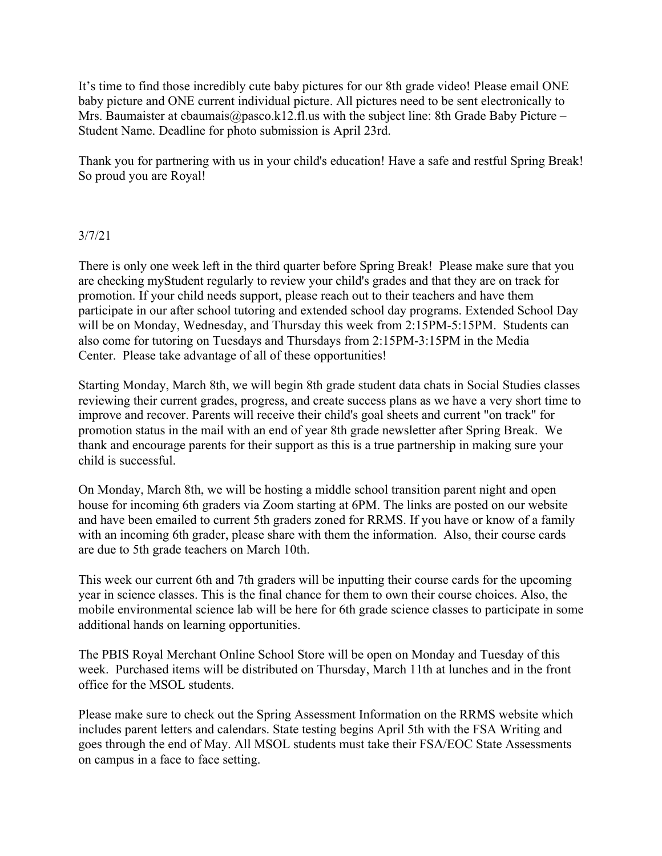It's time to find those incredibly cute baby pictures for our 8th grade video! Please email ONE baby picture and ONE current individual picture. All pictures need to be sent electronically to Mrs. Baumaister at cbaumais@pasco.k12.fl.us with the subject line: 8th Grade Baby Picture – Student Name. Deadline for photo submission is April 23rd.

Thank you for partnering with us in your child's education! Have a safe and restful Spring Break! So proud you are Royal!

### 3/7/21

There is only one week left in the third quarter before Spring Break! Please make sure that you are checking myStudent regularly to review your child's grades and that they are on track for promotion. If your child needs support, please reach out to their teachers and have them participate in our after school tutoring and extended school day programs. Extended School Day will be on Monday, Wednesday, and Thursday this week from 2:15PM-5:15PM. Students can also come for tutoring on Tuesdays and Thursdays from 2:15PM-3:15PM in the Media Center. Please take advantage of all of these opportunities!

Starting Monday, March 8th, we will begin 8th grade student data chats in Social Studies classes reviewing their current grades, progress, and create success plans as we have a very short time to improve and recover. Parents will receive their child's goal sheets and current "on track" for promotion status in the mail with an end of year 8th grade newsletter after Spring Break. We thank and encourage parents for their support as this is a true partnership in making sure your child is successful.

On Monday, March 8th, we will be hosting a middle school transition parent night and open house for incoming 6th graders via Zoom starting at 6PM. The links are posted on our website and have been emailed to current 5th graders zoned for RRMS. If you have or know of a family with an incoming 6th grader, please share with them the information. Also, their course cards are due to 5th grade teachers on March 10th.

This week our current 6th and 7th graders will be inputting their course cards for the upcoming year in science classes. This is the final chance for them to own their course choices. Also, the mobile environmental science lab will be here for 6th grade science classes to participate in some additional hands on learning opportunities.

The PBIS Royal Merchant Online School Store will be open on Monday and Tuesday of this week. Purchased items will be distributed on Thursday, March 11th at lunches and in the front office for the MSOL students.

Please make sure to check out the Spring Assessment Information on the RRMS website which includes parent letters and calendars. State testing begins April 5th with the FSA Writing and goes through the end of May. All MSOL students must take their FSA/EOC State Assessments on campus in a face to face setting.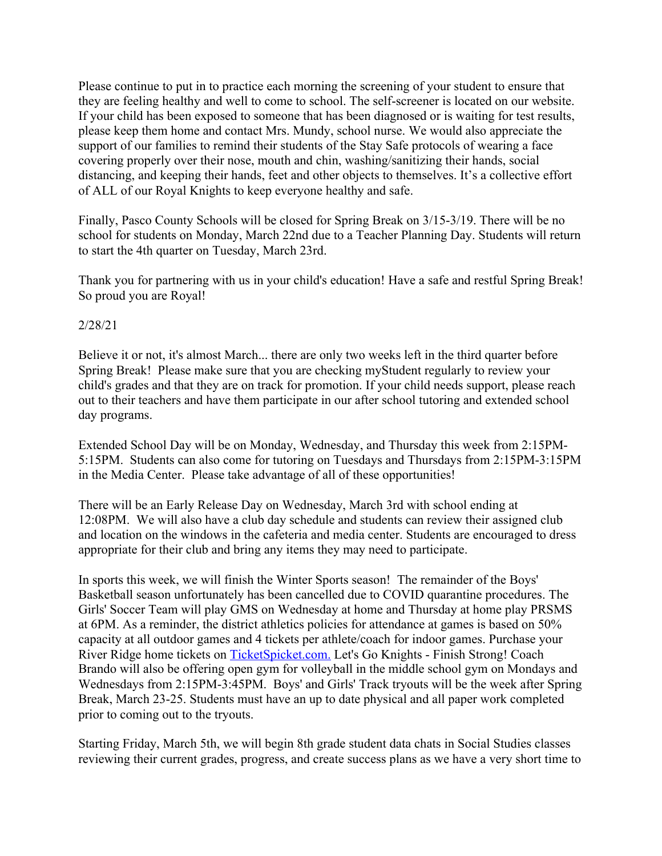Please continue to put in to practice each morning the screening of your student to ensure that they are feeling healthy and well to come to school. The self-screener is located on our website. If your child has been exposed to someone that has been diagnosed or is waiting for test results, please keep them home and contact Mrs. Mundy, school nurse. We would also appreciate the support of our families to remind their students of the Stay Safe protocols of wearing a face covering properly over their nose, mouth and chin, washing/sanitizing their hands, social distancing, and keeping their hands, feet and other objects to themselves. It's a collective effort of ALL of our Royal Knights to keep everyone healthy and safe.

Finally, Pasco County Schools will be closed for Spring Break on 3/15-3/19. There will be no school for students on Monday, March 22nd due to a Teacher Planning Day. Students will return to start the 4th quarter on Tuesday, March 23rd.

Thank you for partnering with us in your child's education! Have a safe and restful Spring Break! So proud you are Royal!

### 2/28/21

Believe it or not, it's almost March... there are only two weeks left in the third quarter before Spring Break! Please make sure that you are checking myStudent regularly to review your child's grades and that they are on track for promotion. If your child needs support, please reach out to their teachers and have them participate in our after school tutoring and extended school day programs.

Extended School Day will be on Monday, Wednesday, and Thursday this week from 2:15PM-5:15PM. Students can also come for tutoring on Tuesdays and Thursdays from 2:15PM-3:15PM in the Media Center. Please take advantage of all of these opportunities!

There will be an Early Release Day on Wednesday, March 3rd with school ending at 12:08PM. We will also have a club day schedule and students can review their assigned club and location on the windows in the cafeteria and media center. Students are encouraged to dress appropriate for their club and bring any items they may need to participate.

In sports this week, we will finish the Winter Sports season! The remainder of the Boys' Basketball season unfortunately has been cancelled due to COVID quarantine procedures. The Girls' Soccer Team will play GMS on Wednesday at home and Thursday at home play PRSMS at 6PM. As a reminder, the district athletics policies for attendance at games is based on 50% capacity at all outdoor games and 4 tickets per athlete/coach for indoor games. Purchase your River Ridge home tickets on TicketSpicket.com. Let's Go Knights - Finish Strong! Coach Brando will also be offering open gym for volleyball in the middle school gym on Mondays and Wednesdays from 2:15PM-3:45PM. Boys' and Girls' Track tryouts will be the week after Spring Break, March 23-25. Students must have an up to date physical and all paper work completed prior to coming out to the tryouts.

Starting Friday, March 5th, we will begin 8th grade student data chats in Social Studies classes reviewing their current grades, progress, and create success plans as we have a very short time to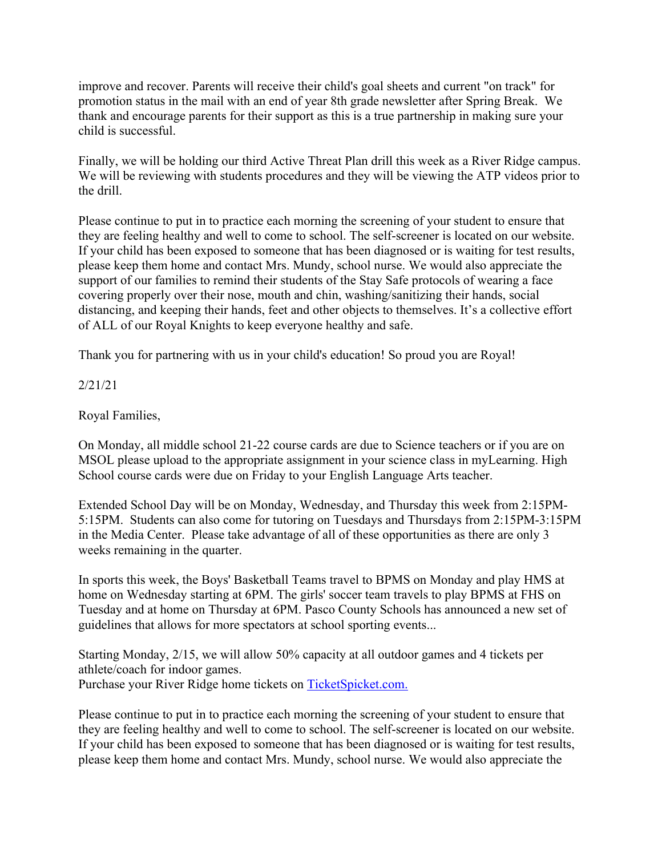improve and recover. Parents will receive their child's goal sheets and current "on track" for promotion status in the mail with an end of year 8th grade newsletter after Spring Break. We thank and encourage parents for their support as this is a true partnership in making sure your child is successful.

Finally, we will be holding our third Active Threat Plan drill this week as a River Ridge campus. We will be reviewing with students procedures and they will be viewing the ATP videos prior to the drill.

Please continue to put in to practice each morning the screening of your student to ensure that they are feeling healthy and well to come to school. The self-screener is located on our website. If your child has been exposed to someone that has been diagnosed or is waiting for test results, please keep them home and contact Mrs. Mundy, school nurse. We would also appreciate the support of our families to remind their students of the Stay Safe protocols of wearing a face covering properly over their nose, mouth and chin, washing/sanitizing their hands, social distancing, and keeping their hands, feet and other objects to themselves. It's a collective effort of ALL of our Royal Knights to keep everyone healthy and safe.

Thank you for partnering with us in your child's education! So proud you are Royal!

2/21/21

Royal Families,

On Monday, all middle school 21-22 course cards are due to Science teachers or if you are on MSOL please upload to the appropriate assignment in your science class in myLearning. High School course cards were due on Friday to your English Language Arts teacher.

Extended School Day will be on Monday, Wednesday, and Thursday this week from 2:15PM-5:15PM. Students can also come for tutoring on Tuesdays and Thursdays from 2:15PM-3:15PM in the Media Center. Please take advantage of all of these opportunities as there are only 3 weeks remaining in the quarter.

In sports this week, the Boys' Basketball Teams travel to BPMS on Monday and play HMS at home on Wednesday starting at 6PM. The girls' soccer team travels to play BPMS at FHS on Tuesday and at home on Thursday at 6PM. Pasco County Schools has announced a new set of guidelines that allows for more spectators at school sporting events...

Starting Monday, 2/15, we will allow 50% capacity at all outdoor games and 4 tickets per athlete/coach for indoor games. Purchase your River Ridge home tickets on TicketSpicket.com.

Please continue to put in to practice each morning the screening of your student to ensure that they are feeling healthy and well to come to school. The self-screener is located on our website. If your child has been exposed to someone that has been diagnosed or is waiting for test results, please keep them home and contact Mrs. Mundy, school nurse. We would also appreciate the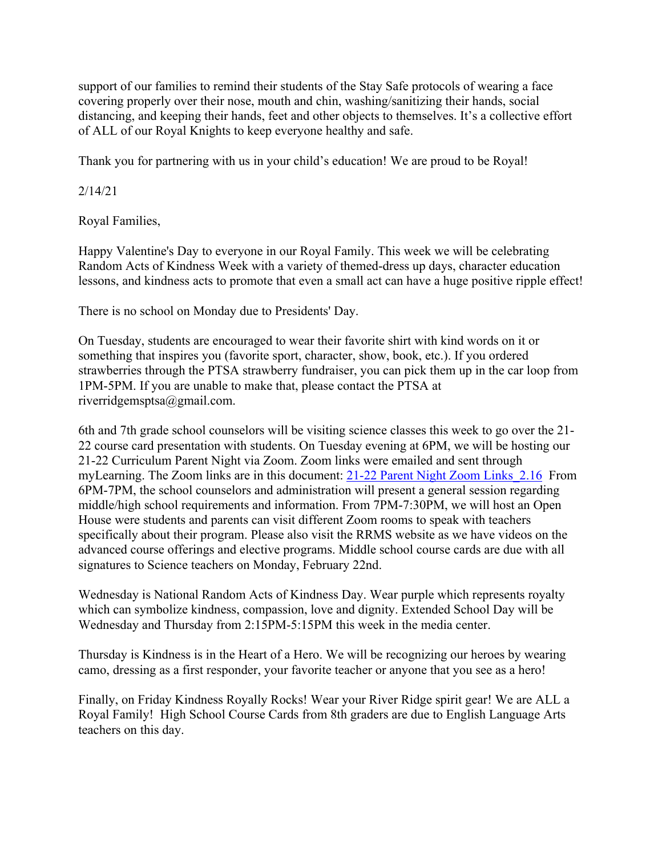support of our families to remind their students of the Stay Safe protocols of wearing a face covering properly over their nose, mouth and chin, washing/sanitizing their hands, social distancing, and keeping their hands, feet and other objects to themselves. It's a collective effort of ALL of our Royal Knights to keep everyone healthy and safe.

Thank you for partnering with us in your child's education! We are proud to be Royal!

2/14/21

Royal Families,

Happy Valentine's Day to everyone in our Royal Family. This week we will be celebrating Random Acts of Kindness Week with a variety of themed-dress up days, character education lessons, and kindness acts to promote that even a small act can have a huge positive ripple effect!

There is no school on Monday due to Presidents' Day.

On Tuesday, students are encouraged to wear their favorite shirt with kind words on it or something that inspires you (favorite sport, character, show, book, etc.). If you ordered strawberries through the PTSA strawberry fundraiser, you can pick them up in the car loop from 1PM-5PM. If you are unable to make that, please contact the PTSA at riverridgemsptsa@gmail.com.

6th and 7th grade school counselors will be visiting science classes this week to go over the 21- 22 course card presentation with students. On Tuesday evening at 6PM, we will be hosting our 21-22 Curriculum Parent Night via Zoom. Zoom links were emailed and sent through myLearning. The Zoom links are in this document: 21-22 Parent Night Zoom Links\_2.16 From 6PM-7PM, the school counselors and administration will present a general session regarding middle/high school requirements and information. From 7PM-7:30PM, we will host an Open House were students and parents can visit different Zoom rooms to speak with teachers specifically about their program. Please also visit the RRMS website as we have videos on the advanced course offerings and elective programs. Middle school course cards are due with all signatures to Science teachers on Monday, February 22nd.

Wednesday is National Random Acts of Kindness Day. Wear purple which represents royalty which can symbolize kindness, compassion, love and dignity. Extended School Day will be Wednesday and Thursday from 2:15PM-5:15PM this week in the media center.

Thursday is Kindness is in the Heart of a Hero. We will be recognizing our heroes by wearing camo, dressing as a first responder, your favorite teacher or anyone that you see as a hero!

Finally, on Friday Kindness Royally Rocks! Wear your River Ridge spirit gear! We are ALL a Royal Family! High School Course Cards from 8th graders are due to English Language Arts teachers on this day.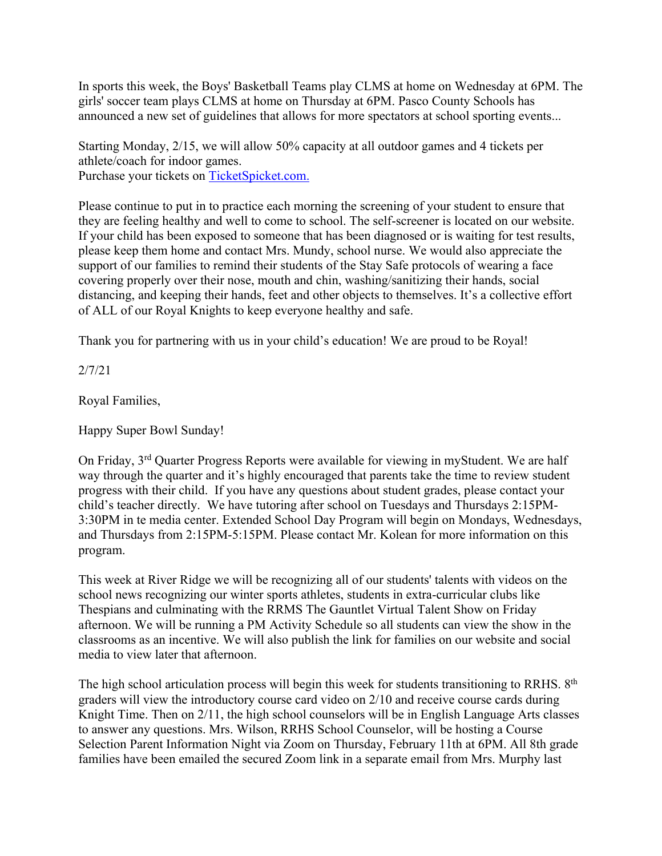In sports this week, the Boys' Basketball Teams play CLMS at home on Wednesday at 6PM. The girls' soccer team plays CLMS at home on Thursday at 6PM. Pasco County Schools has announced a new set of guidelines that allows for more spectators at school sporting events...

Starting Monday, 2/15, we will allow 50% capacity at all outdoor games and 4 tickets per athlete/coach for indoor games. Purchase your tickets on TicketSpicket.com.

Please continue to put in to practice each morning the screening of your student to ensure that they are feeling healthy and well to come to school. The self-screener is located on our website. If your child has been exposed to someone that has been diagnosed or is waiting for test results, please keep them home and contact Mrs. Mundy, school nurse. We would also appreciate the support of our families to remind their students of the Stay Safe protocols of wearing a face covering properly over their nose, mouth and chin, washing/sanitizing their hands, social distancing, and keeping their hands, feet and other objects to themselves. It's a collective effort of ALL of our Royal Knights to keep everyone healthy and safe.

Thank you for partnering with us in your child's education! We are proud to be Royal!

2/7/21

Royal Families,

Happy Super Bowl Sunday!

On Friday, 3rd Quarter Progress Reports were available for viewing in myStudent. We are half way through the quarter and it's highly encouraged that parents take the time to review student progress with their child. If you have any questions about student grades, please contact your child's teacher directly. We have tutoring after school on Tuesdays and Thursdays 2:15PM-3:30PM in te media center. Extended School Day Program will begin on Mondays, Wednesdays, and Thursdays from 2:15PM-5:15PM. Please contact Mr. Kolean for more information on this program.

This week at River Ridge we will be recognizing all of our students' talents with videos on the school news recognizing our winter sports athletes, students in extra-curricular clubs like Thespians and culminating with the RRMS The Gauntlet Virtual Talent Show on Friday afternoon. We will be running a PM Activity Schedule so all students can view the show in the classrooms as an incentive. We will also publish the link for families on our website and social media to view later that afternoon.

The high school articulation process will begin this week for students transitioning to RRHS. 8<sup>th</sup> graders will view the introductory course card video on 2/10 and receive course cards during Knight Time. Then on 2/11, the high school counselors will be in English Language Arts classes to answer any questions. Mrs. Wilson, RRHS School Counselor, will be hosting a Course Selection Parent Information Night via Zoom on Thursday, February 11th at 6PM. All 8th grade families have been emailed the secured Zoom link in a separate email from Mrs. Murphy last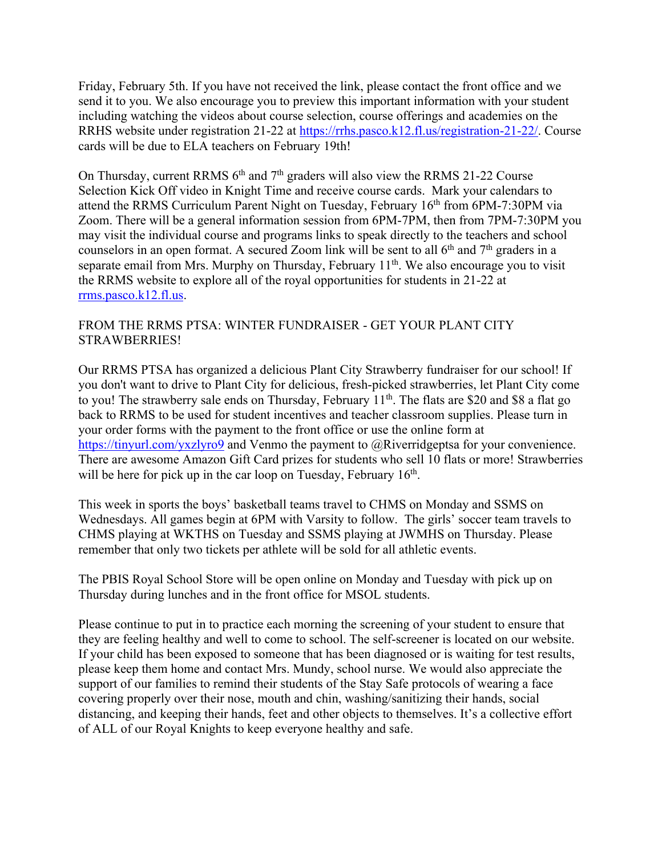Friday, February 5th. If you have not received the link, please contact the front office and we send it to you. We also encourage you to preview this important information with your student including watching the videos about course selection, course offerings and academies on the RRHS website under registration 21-22 at https://rrhs.pasco.k12.fl.us/registration-21-22/. Course cards will be due to ELA teachers on February 19th!

On Thursday, current RRMS  $6<sup>th</sup>$  and  $7<sup>th</sup>$  graders will also view the RRMS 21-22 Course Selection Kick Off video in Knight Time and receive course cards. Mark your calendars to attend the RRMS Curriculum Parent Night on Tuesday, February 16<sup>th</sup> from 6PM-7:30PM via Zoom. There will be a general information session from 6PM-7PM, then from 7PM-7:30PM you may visit the individual course and programs links to speak directly to the teachers and school counselors in an open format. A secured Zoom link will be sent to all  $6<sup>th</sup>$  and  $7<sup>th</sup>$  graders in a separate email from Mrs. Murphy on Thursday, February 11<sup>th</sup>. We also encourage you to visit the RRMS website to explore all of the royal opportunities for students in 21-22 at rrms.pasco.k12.fl.us.

# FROM THE RRMS PTSA: WINTER FUNDRAISER - GET YOUR PLANT CITY STRAWBERRIES!

Our RRMS PTSA has organized a delicious Plant City Strawberry fundraiser for our school! If you don't want to drive to Plant City for delicious, fresh-picked strawberries, let Plant City come to you! The strawberry sale ends on Thursday, February 11<sup>th</sup>. The flats are \$20 and \$8 a flat go back to RRMS to be used for student incentives and teacher classroom supplies. Please turn in your order forms with the payment to the front office or use the online form at https://tinyurl.com/yxzlyro9 and Venmo the payment to @Riverridgeptsa for your convenience. There are awesome Amazon Gift Card prizes for students who sell 10 flats or more! Strawberries will be here for pick up in the car loop on Tuesday, February 16<sup>th</sup>.

This week in sports the boys' basketball teams travel to CHMS on Monday and SSMS on Wednesdays. All games begin at 6PM with Varsity to follow. The girls' soccer team travels to CHMS playing at WKTHS on Tuesday and SSMS playing at JWMHS on Thursday. Please remember that only two tickets per athlete will be sold for all athletic events.

The PBIS Royal School Store will be open online on Monday and Tuesday with pick up on Thursday during lunches and in the front office for MSOL students.

Please continue to put in to practice each morning the screening of your student to ensure that they are feeling healthy and well to come to school. The self-screener is located on our website. If your child has been exposed to someone that has been diagnosed or is waiting for test results, please keep them home and contact Mrs. Mundy, school nurse. We would also appreciate the support of our families to remind their students of the Stay Safe protocols of wearing a face covering properly over their nose, mouth and chin, washing/sanitizing their hands, social distancing, and keeping their hands, feet and other objects to themselves. It's a collective effort of ALL of our Royal Knights to keep everyone healthy and safe.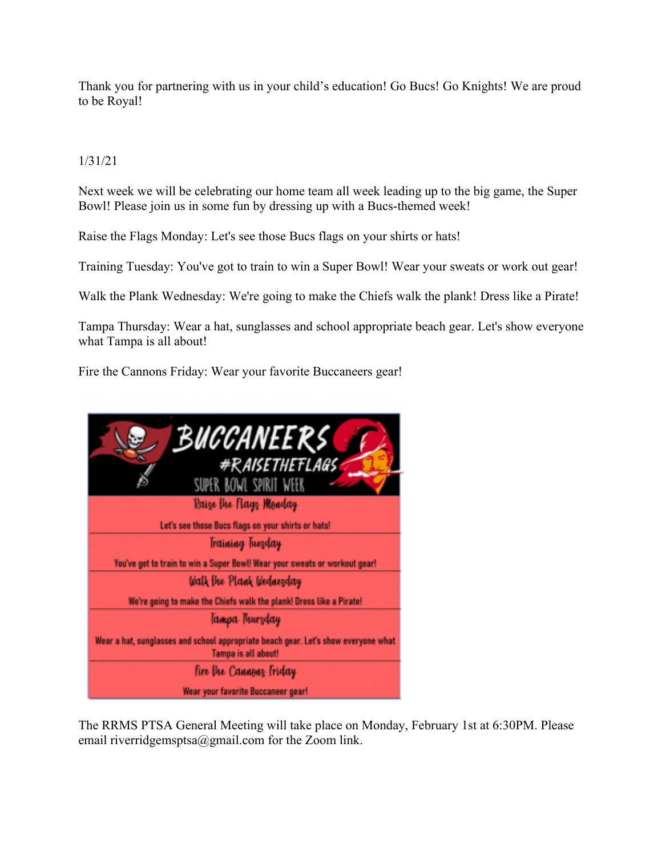Thank you for partnering with us in your child's education! Go Bucs! Go Knights! We are proud to be Royal!

# 1/31/21

Next week we will be celebrating our home team all week leading up to the big game, the Super Bowl! Please join us in some fun by dressing up with a Bucs-themed week!

Raise the Flags Monday: Let's see those Bucs flags on your shirts or hats!

Training Tuesday: You've got to train to win a Super Bowl! Wear your sweats or work out gear!

Walk the Plank Wednesday: We're going to make the Chiefs walk the plank! Dress like a Pirate!

Tampa Thursday: Wear a hat, sunglasses and school appropriate beach gear. Let's show everyone what Tampa is all about!

Fire the Cannons Friday: Wear your favorite Buccaneers gear!



The RRMS PTSA General Meeting will take place on Monday, February 1st at 6:30PM. Please email riverridgemsptsa@gmail.com for the Zoom link.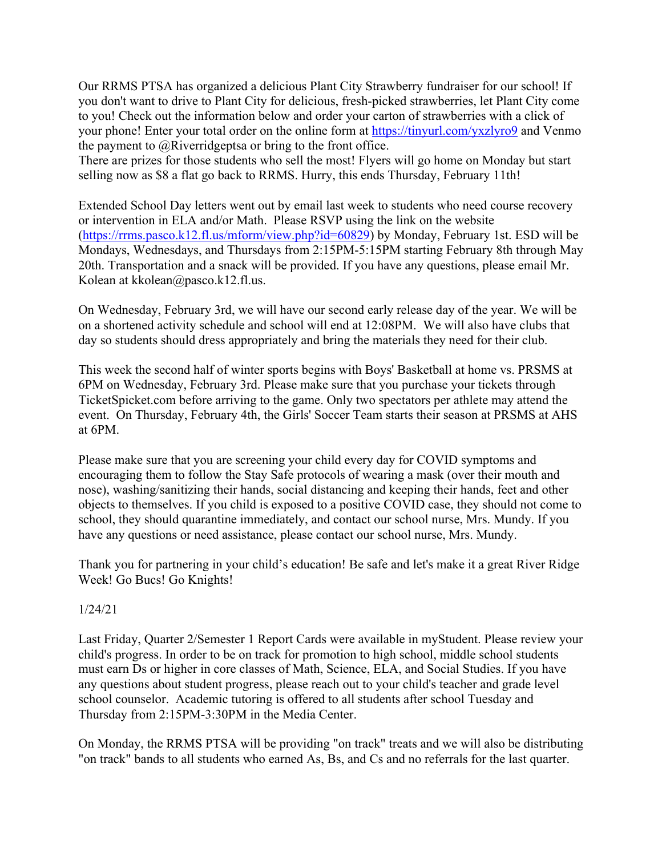Our RRMS PTSA has organized a delicious Plant City Strawberry fundraiser for our school! If you don't want to drive to Plant City for delicious, fresh-picked strawberries, let Plant City come to you! Check out the information below and order your carton of strawberries with a click of your phone! Enter your total order on the online form at https://tinyurl.com/yxzlyro9 and Venmo the payment to @Riverridgeptsa or bring to the front office.

There are prizes for those students who sell the most! Flyers will go home on Monday but start selling now as \$8 a flat go back to RRMS. Hurry, this ends Thursday, February 11th!

Extended School Day letters went out by email last week to students who need course recovery or intervention in ELA and/or Math. Please RSVP using the link on the website (https://rrms.pasco.k12.fl.us/mform/view.php?id=60829) by Monday, February 1st. ESD will be Mondays, Wednesdays, and Thursdays from 2:15PM-5:15PM starting February 8th through May 20th. Transportation and a snack will be provided. If you have any questions, please email Mr. Kolean at kkolean@pasco.k12.fl.us.

On Wednesday, February 3rd, we will have our second early release day of the year. We will be on a shortened activity schedule and school will end at 12:08PM. We will also have clubs that day so students should dress appropriately and bring the materials they need for their club.

This week the second half of winter sports begins with Boys' Basketball at home vs. PRSMS at 6PM on Wednesday, February 3rd. Please make sure that you purchase your tickets through TicketSpicket.com before arriving to the game. Only two spectators per athlete may attend the event. On Thursday, February 4th, the Girls' Soccer Team starts their season at PRSMS at AHS at 6PM.

Please make sure that you are screening your child every day for COVID symptoms and encouraging them to follow the Stay Safe protocols of wearing a mask (over their mouth and nose), washing/sanitizing their hands, social distancing and keeping their hands, feet and other objects to themselves. If you child is exposed to a positive COVID case, they should not come to school, they should quarantine immediately, and contact our school nurse, Mrs. Mundy. If you have any questions or need assistance, please contact our school nurse, Mrs. Mundy.

Thank you for partnering in your child's education! Be safe and let's make it a great River Ridge Week! Go Bucs! Go Knights!

# 1/24/21

Last Friday, Quarter 2/Semester 1 Report Cards were available in myStudent. Please review your child's progress. In order to be on track for promotion to high school, middle school students must earn Ds or higher in core classes of Math, Science, ELA, and Social Studies. If you have any questions about student progress, please reach out to your child's teacher and grade level school counselor. Academic tutoring is offered to all students after school Tuesday and Thursday from 2:15PM-3:30PM in the Media Center.

On Monday, the RRMS PTSA will be providing "on track" treats and we will also be distributing "on track" bands to all students who earned As, Bs, and Cs and no referrals for the last quarter.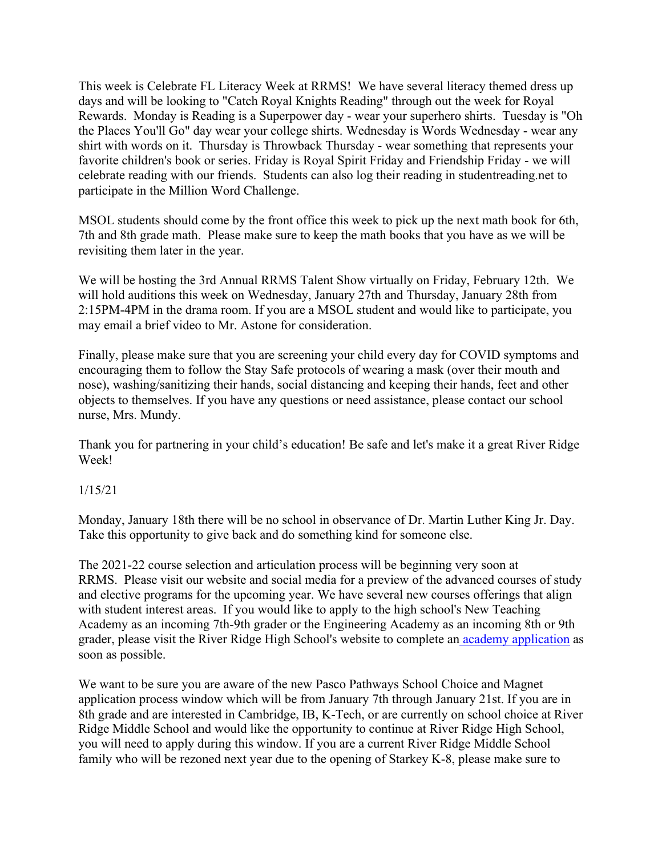This week is Celebrate FL Literacy Week at RRMS! We have several literacy themed dress up days and will be looking to "Catch Royal Knights Reading" through out the week for Royal Rewards. Monday is Reading is a Superpower day - wear your superhero shirts. Tuesday is "Oh the Places You'll Go" day wear your college shirts. Wednesday is Words Wednesday - wear any shirt with words on it. Thursday is Throwback Thursday - wear something that represents your favorite children's book or series. Friday is Royal Spirit Friday and Friendship Friday - we will celebrate reading with our friends. Students can also log their reading in studentreading.net to participate in the Million Word Challenge.

MSOL students should come by the front office this week to pick up the next math book for 6th, 7th and 8th grade math. Please make sure to keep the math books that you have as we will be revisiting them later in the year.

We will be hosting the 3rd Annual RRMS Talent Show virtually on Friday, February 12th. We will hold auditions this week on Wednesday, January 27th and Thursday, January 28th from 2:15PM-4PM in the drama room. If you are a MSOL student and would like to participate, you may email a brief video to Mr. Astone for consideration.

Finally, please make sure that you are screening your child every day for COVID symptoms and encouraging them to follow the Stay Safe protocols of wearing a mask (over their mouth and nose), washing/sanitizing their hands, social distancing and keeping their hands, feet and other objects to themselves. If you have any questions or need assistance, please contact our school nurse, Mrs. Mundy.

Thank you for partnering in your child's education! Be safe and let's make it a great River Ridge Week!

# 1/15/21

Monday, January 18th there will be no school in observance of Dr. Martin Luther King Jr. Day. Take this opportunity to give back and do something kind for someone else.

The 2021-22 course selection and articulation process will be beginning very soon at RRMS. Please visit our website and social media for a preview of the advanced courses of study and elective programs for the upcoming year. We have several new courses offerings that align with student interest areas. If you would like to apply to the high school's New Teaching Academy as an incoming 7th-9th grader or the Engineering Academy as an incoming 8th or 9th grader, please visit the River Ridge High School's website to complete an academy application as soon as possible.

We want to be sure you are aware of the new Pasco Pathways School Choice and Magnet application process window which will be from January 7th through January 21st. If you are in 8th grade and are interested in Cambridge, IB, K-Tech, or are currently on school choice at River Ridge Middle School and would like the opportunity to continue at River Ridge High School, you will need to apply during this window. If you are a current River Ridge Middle School family who will be rezoned next year due to the opening of Starkey K-8, please make sure to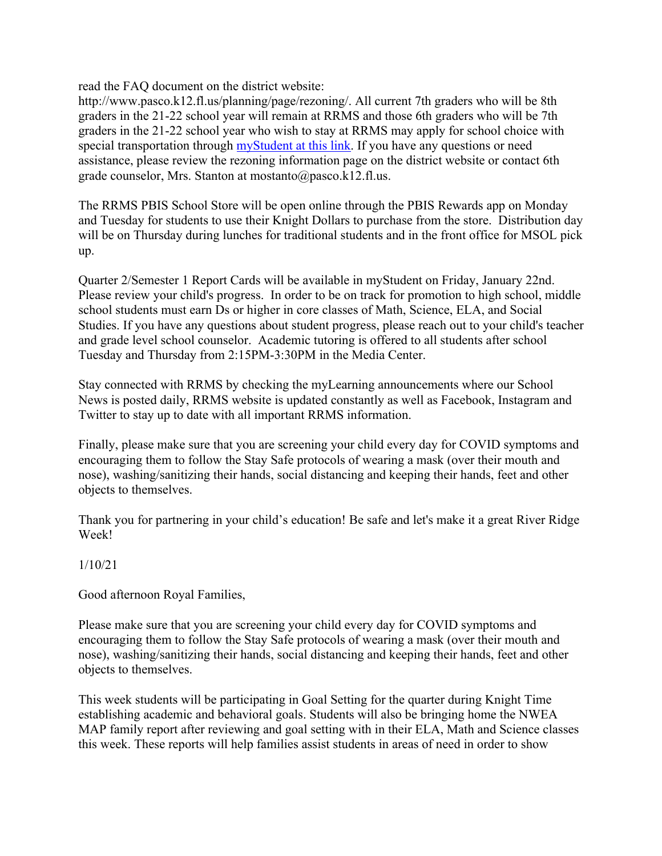read the FAQ document on the district website:

http://www.pasco.k12.fl.us/planning/page/rezoning/. All current 7th graders who will be 8th graders in the 21-22 school year will remain at RRMS and those 6th graders who will be 7th graders in the 21-22 school year who wish to stay at RRMS may apply for school choice with special transportation through myStudent at this link. If you have any questions or need assistance, please review the rezoning information page on the district website or contact 6th grade counselor, Mrs. Stanton at mostanto@pasco.k12.fl.us.

The RRMS PBIS School Store will be open online through the PBIS Rewards app on Monday and Tuesday for students to use their Knight Dollars to purchase from the store. Distribution day will be on Thursday during lunches for traditional students and in the front office for MSOL pick up.

Quarter 2/Semester 1 Report Cards will be available in myStudent on Friday, January 22nd. Please review your child's progress. In order to be on track for promotion to high school, middle school students must earn Ds or higher in core classes of Math, Science, ELA, and Social Studies. If you have any questions about student progress, please reach out to your child's teacher and grade level school counselor. Academic tutoring is offered to all students after school Tuesday and Thursday from 2:15PM-3:30PM in the Media Center.

Stay connected with RRMS by checking the myLearning announcements where our School News is posted daily, RRMS website is updated constantly as well as Facebook, Instagram and Twitter to stay up to date with all important RRMS information.

Finally, please make sure that you are screening your child every day for COVID symptoms and encouraging them to follow the Stay Safe protocols of wearing a mask (over their mouth and nose), washing/sanitizing their hands, social distancing and keeping their hands, feet and other objects to themselves.

Thank you for partnering in your child's education! Be safe and let's make it a great River Ridge Week!

# 1/10/21

Good afternoon Royal Families,

Please make sure that you are screening your child every day for COVID symptoms and encouraging them to follow the Stay Safe protocols of wearing a mask (over their mouth and nose), washing/sanitizing their hands, social distancing and keeping their hands, feet and other objects to themselves.

This week students will be participating in Goal Setting for the quarter during Knight Time establishing academic and behavioral goals. Students will also be bringing home the NWEA MAP family report after reviewing and goal setting with in their ELA, Math and Science classes this week. These reports will help families assist students in areas of need in order to show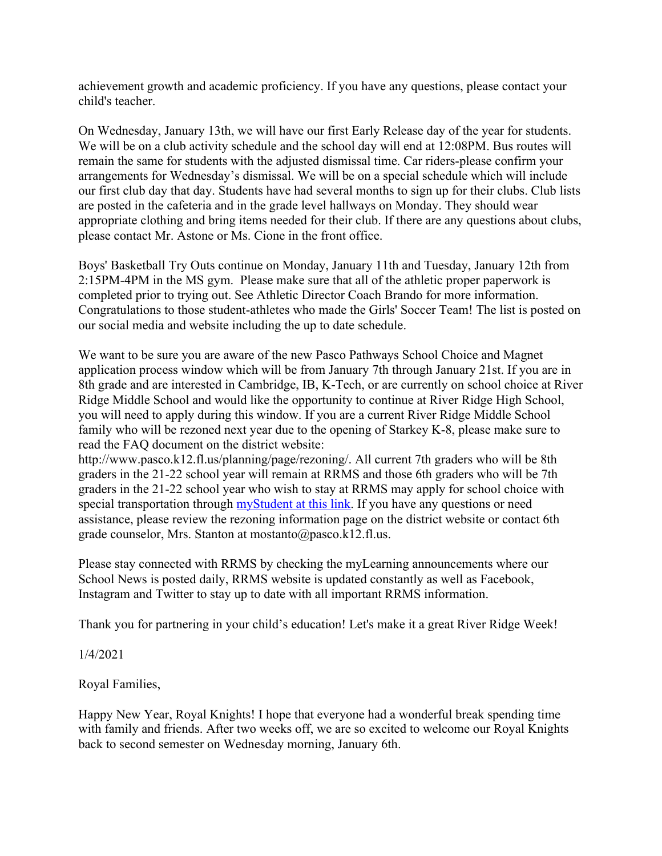achievement growth and academic proficiency. If you have any questions, please contact your child's teacher.

On Wednesday, January 13th, we will have our first Early Release day of the year for students. We will be on a club activity schedule and the school day will end at 12:08PM. Bus routes will remain the same for students with the adjusted dismissal time. Car riders-please confirm your arrangements for Wednesday's dismissal. We will be on a special schedule which will include our first club day that day. Students have had several months to sign up for their clubs. Club lists are posted in the cafeteria and in the grade level hallways on Monday. They should wear appropriate clothing and bring items needed for their club. If there are any questions about clubs, please contact Mr. Astone or Ms. Cione in the front office.

Boys' Basketball Try Outs continue on Monday, January 11th and Tuesday, January 12th from 2:15PM-4PM in the MS gym. Please make sure that all of the athletic proper paperwork is completed prior to trying out. See Athletic Director Coach Brando for more information. Congratulations to those student-athletes who made the Girls' Soccer Team! The list is posted on our social media and website including the up to date schedule.

We want to be sure you are aware of the new Pasco Pathways School Choice and Magnet application process window which will be from January 7th through January 21st. If you are in 8th grade and are interested in Cambridge, IB, K-Tech, or are currently on school choice at River Ridge Middle School and would like the opportunity to continue at River Ridge High School, you will need to apply during this window. If you are a current River Ridge Middle School family who will be rezoned next year due to the opening of Starkey K-8, please make sure to read the FAQ document on the district website:

http://www.pasco.k12.fl.us/planning/page/rezoning/. All current 7th graders who will be 8th graders in the 21-22 school year will remain at RRMS and those 6th graders who will be 7th graders in the 21-22 school year who wish to stay at RRMS may apply for school choice with special transportation through **myStudent** at this link. If you have any questions or need assistance, please review the rezoning information page on the district website or contact 6th grade counselor, Mrs. Stanton at mostanto@pasco.k12.fl.us.

Please stay connected with RRMS by checking the myLearning announcements where our School News is posted daily, RRMS website is updated constantly as well as Facebook, Instagram and Twitter to stay up to date with all important RRMS information.

Thank you for partnering in your child's education! Let's make it a great River Ridge Week!

1/4/2021

Royal Families,

Happy New Year, Royal Knights! I hope that everyone had a wonderful break spending time with family and friends. After two weeks off, we are so excited to welcome our Royal Knights back to second semester on Wednesday morning, January 6th.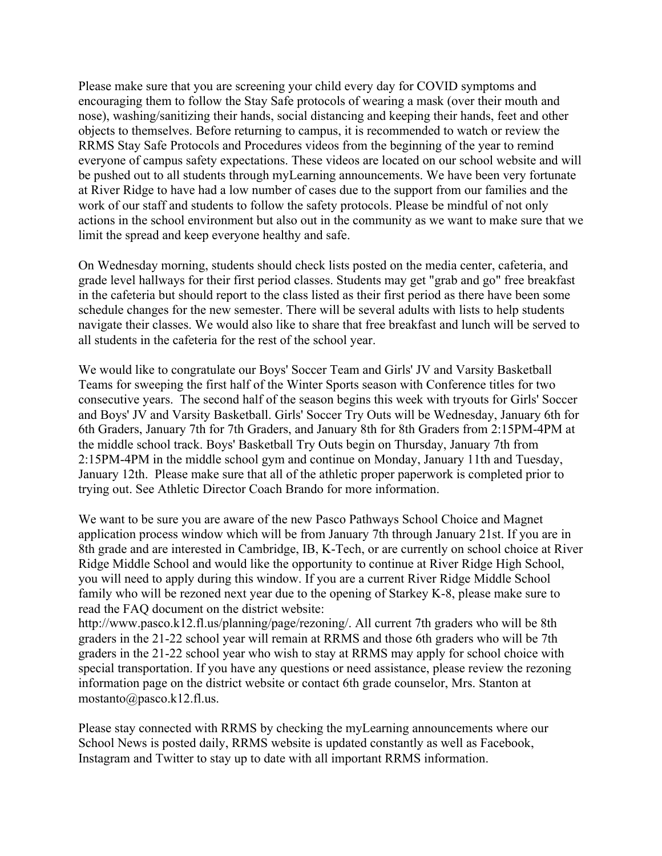Please make sure that you are screening your child every day for COVID symptoms and encouraging them to follow the Stay Safe protocols of wearing a mask (over their mouth and nose), washing/sanitizing their hands, social distancing and keeping their hands, feet and other objects to themselves. Before returning to campus, it is recommended to watch or review the RRMS Stay Safe Protocols and Procedures videos from the beginning of the year to remind everyone of campus safety expectations. These videos are located on our school website and will be pushed out to all students through myLearning announcements. We have been very fortunate at River Ridge to have had a low number of cases due to the support from our families and the work of our staff and students to follow the safety protocols. Please be mindful of not only actions in the school environment but also out in the community as we want to make sure that we limit the spread and keep everyone healthy and safe.

On Wednesday morning, students should check lists posted on the media center, cafeteria, and grade level hallways for their first period classes. Students may get "grab and go" free breakfast in the cafeteria but should report to the class listed as their first period as there have been some schedule changes for the new semester. There will be several adults with lists to help students navigate their classes. We would also like to share that free breakfast and lunch will be served to all students in the cafeteria for the rest of the school year.

We would like to congratulate our Boys' Soccer Team and Girls' JV and Varsity Basketball Teams for sweeping the first half of the Winter Sports season with Conference titles for two consecutive years. The second half of the season begins this week with tryouts for Girls' Soccer and Boys' JV and Varsity Basketball. Girls' Soccer Try Outs will be Wednesday, January 6th for 6th Graders, January 7th for 7th Graders, and January 8th for 8th Graders from 2:15PM-4PM at the middle school track. Boys' Basketball Try Outs begin on Thursday, January 7th from 2:15PM-4PM in the middle school gym and continue on Monday, January 11th and Tuesday, January 12th. Please make sure that all of the athletic proper paperwork is completed prior to trying out. See Athletic Director Coach Brando for more information.

We want to be sure you are aware of the new Pasco Pathways School Choice and Magnet application process window which will be from January 7th through January 21st. If you are in 8th grade and are interested in Cambridge, IB, K-Tech, or are currently on school choice at River Ridge Middle School and would like the opportunity to continue at River Ridge High School, you will need to apply during this window. If you are a current River Ridge Middle School family who will be rezoned next year due to the opening of Starkey K-8, please make sure to read the FAQ document on the district website:

http://www.pasco.k12.fl.us/planning/page/rezoning/. All current 7th graders who will be 8th graders in the 21-22 school year will remain at RRMS and those 6th graders who will be 7th graders in the 21-22 school year who wish to stay at RRMS may apply for school choice with special transportation. If you have any questions or need assistance, please review the rezoning information page on the district website or contact 6th grade counselor, Mrs. Stanton at mostanto@pasco.k12.fl.us.

Please stay connected with RRMS by checking the myLearning announcements where our School News is posted daily, RRMS website is updated constantly as well as Facebook, Instagram and Twitter to stay up to date with all important RRMS information.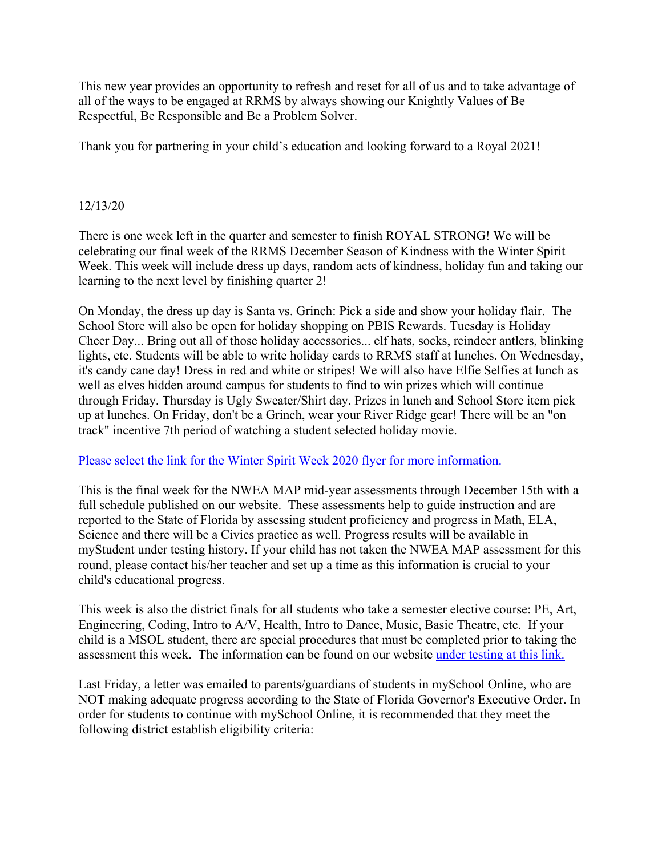This new year provides an opportunity to refresh and reset for all of us and to take advantage of all of the ways to be engaged at RRMS by always showing our Knightly Values of Be Respectful, Be Responsible and Be a Problem Solver.

Thank you for partnering in your child's education and looking forward to a Royal 2021!

### 12/13/20

There is one week left in the quarter and semester to finish ROYAL STRONG! We will be celebrating our final week of the RRMS December Season of Kindness with the Winter Spirit Week. This week will include dress up days, random acts of kindness, holiday fun and taking our learning to the next level by finishing quarter 2!

On Monday, the dress up day is Santa vs. Grinch: Pick a side and show your holiday flair. The School Store will also be open for holiday shopping on PBIS Rewards. Tuesday is Holiday Cheer Day... Bring out all of those holiday accessories... elf hats, socks, reindeer antlers, blinking lights, etc. Students will be able to write holiday cards to RRMS staff at lunches. On Wednesday, it's candy cane day! Dress in red and white or stripes! We will also have Elfie Selfies at lunch as well as elves hidden around campus for students to find to win prizes which will continue through Friday. Thursday is Ugly Sweater/Shirt day. Prizes in lunch and School Store item pick up at lunches. On Friday, don't be a Grinch, wear your River Ridge gear! There will be an "on track" incentive 7th period of watching a student selected holiday movie.

#### Please select the link for the Winter Spirit Week 2020 flyer for more information.

This is the final week for the NWEA MAP mid-year assessments through December 15th with a full schedule published on our website. These assessments help to guide instruction and are reported to the State of Florida by assessing student proficiency and progress in Math, ELA, Science and there will be a Civics practice as well. Progress results will be available in myStudent under testing history. If your child has not taken the NWEA MAP assessment for this round, please contact his/her teacher and set up a time as this information is crucial to your child's educational progress.

This week is also the district finals for all students who take a semester elective course: PE, Art, Engineering, Coding, Intro to A/V, Health, Intro to Dance, Music, Basic Theatre, etc. If your child is a MSOL student, there are special procedures that must be completed prior to taking the assessment this week. The information can be found on our website under testing at this link.

Last Friday, a letter was emailed to parents/guardians of students in mySchool Online, who are NOT making adequate progress according to the State of Florida Governor's Executive Order. In order for students to continue with mySchool Online, it is recommended that they meet the following district establish eligibility criteria: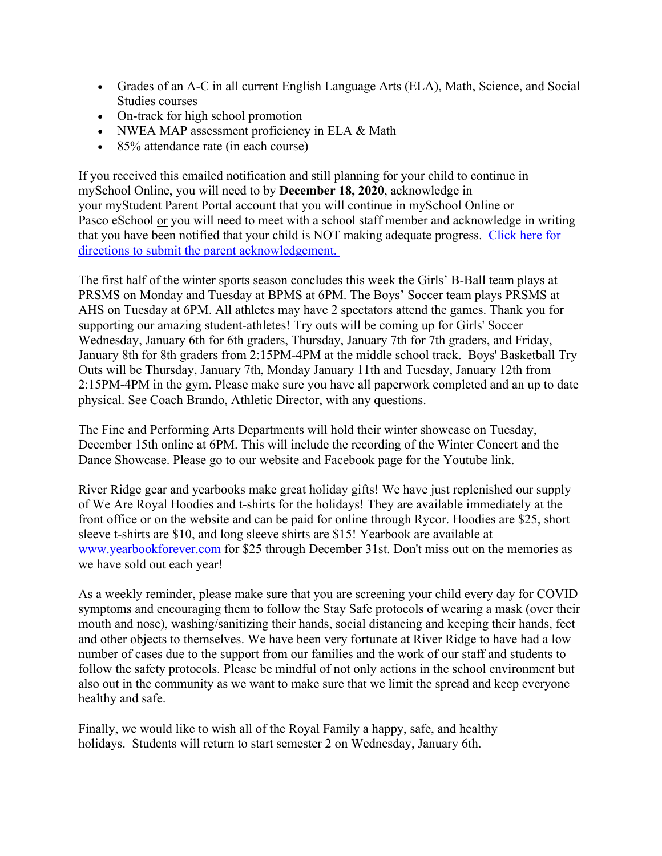- Grades of an A-C in all current English Language Arts (ELA), Math, Science, and Social Studies courses
- On-track for high school promotion
- NWEA MAP assessment proficiency in ELA & Math
- 85% attendance rate (in each course)

If you received this emailed notification and still planning for your child to continue in mySchool Online, you will need to by **December 18, 2020**, acknowledge in your myStudent Parent Portal account that you will continue in mySchool Online or Pasco eSchool or you will need to meet with a school staff member and acknowledge in writing that you have been notified that your child is NOT making adequate progress. Click here for directions to submit the parent acknowledgement.

The first half of the winter sports season concludes this week the Girls' B-Ball team plays at PRSMS on Monday and Tuesday at BPMS at 6PM. The Boys' Soccer team plays PRSMS at AHS on Tuesday at 6PM. All athletes may have 2 spectators attend the games. Thank you for supporting our amazing student-athletes! Try outs will be coming up for Girls' Soccer Wednesday, January 6th for 6th graders, Thursday, January 7th for 7th graders, and Friday, January 8th for 8th graders from 2:15PM-4PM at the middle school track. Boys' Basketball Try Outs will be Thursday, January 7th, Monday January 11th and Tuesday, January 12th from 2:15PM-4PM in the gym. Please make sure you have all paperwork completed and an up to date physical. See Coach Brando, Athletic Director, with any questions.

The Fine and Performing Arts Departments will hold their winter showcase on Tuesday, December 15th online at 6PM. This will include the recording of the Winter Concert and the Dance Showcase. Please go to our website and Facebook page for the Youtube link.

River Ridge gear and yearbooks make great holiday gifts! We have just replenished our supply of We Are Royal Hoodies and t-shirts for the holidays! They are available immediately at the front office or on the website and can be paid for online through Rycor. Hoodies are \$25, short sleeve t-shirts are \$10, and long sleeve shirts are \$15! Yearbook are available at www.yearbookforever.com for \$25 through December 31st. Don't miss out on the memories as we have sold out each year!

As a weekly reminder, please make sure that you are screening your child every day for COVID symptoms and encouraging them to follow the Stay Safe protocols of wearing a mask (over their mouth and nose), washing/sanitizing their hands, social distancing and keeping their hands, feet and other objects to themselves. We have been very fortunate at River Ridge to have had a low number of cases due to the support from our families and the work of our staff and students to follow the safety protocols. Please be mindful of not only actions in the school environment but also out in the community as we want to make sure that we limit the spread and keep everyone healthy and safe.

Finally, we would like to wish all of the Royal Family a happy, safe, and healthy holidays. Students will return to start semester 2 on Wednesday, January 6th.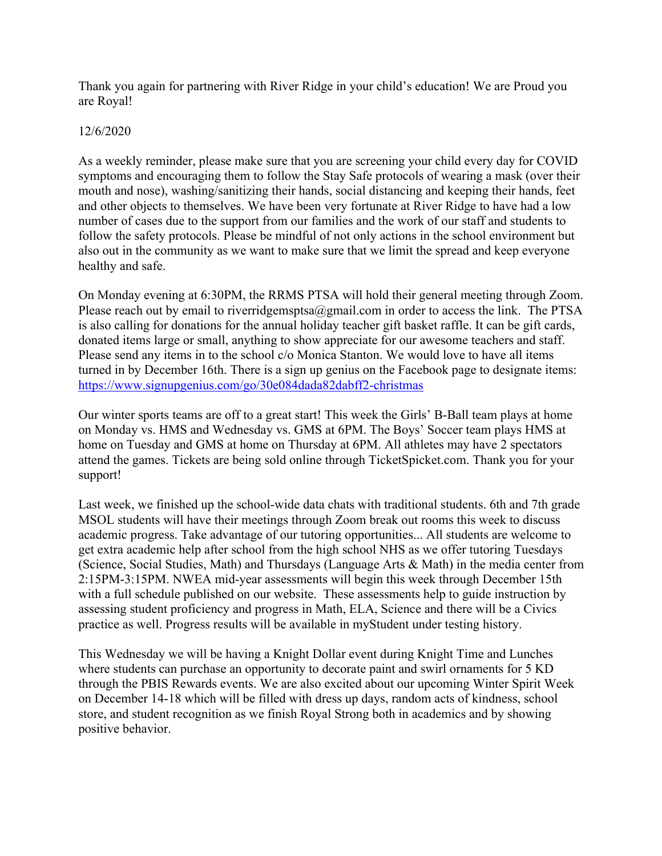Thank you again for partnering with River Ridge in your child's education! We are Proud you are Royal!

### 12/6/2020

As a weekly reminder, please make sure that you are screening your child every day for COVID symptoms and encouraging them to follow the Stay Safe protocols of wearing a mask (over their mouth and nose), washing/sanitizing their hands, social distancing and keeping their hands, feet and other objects to themselves. We have been very fortunate at River Ridge to have had a low number of cases due to the support from our families and the work of our staff and students to follow the safety protocols. Please be mindful of not only actions in the school environment but also out in the community as we want to make sure that we limit the spread and keep everyone healthy and safe.

On Monday evening at 6:30PM, the RRMS PTSA will hold their general meeting through Zoom. Please reach out by email to riverridgemsptsa $@g$ gmail.com in order to access the link. The PTSA is also calling for donations for the annual holiday teacher gift basket raffle. It can be gift cards, donated items large or small, anything to show appreciate for our awesome teachers and staff. Please send any items in to the school c/o Monica Stanton. We would love to have all items turned in by December 16th. There is a sign up genius on the Facebook page to designate items: https://www.signupgenius.com/go/30e084dada82dabff2-christmas

Our winter sports teams are off to a great start! This week the Girls' B-Ball team plays at home on Monday vs. HMS and Wednesday vs. GMS at 6PM. The Boys' Soccer team plays HMS at home on Tuesday and GMS at home on Thursday at 6PM. All athletes may have 2 spectators attend the games. Tickets are being sold online through TicketSpicket.com. Thank you for your support!

Last week, we finished up the school-wide data chats with traditional students. 6th and 7th grade MSOL students will have their meetings through Zoom break out rooms this week to discuss academic progress. Take advantage of our tutoring opportunities... All students are welcome to get extra academic help after school from the high school NHS as we offer tutoring Tuesdays (Science, Social Studies, Math) and Thursdays (Language Arts & Math) in the media center from 2:15PM-3:15PM. NWEA mid-year assessments will begin this week through December 15th with a full schedule published on our website. These assessments help to guide instruction by assessing student proficiency and progress in Math, ELA, Science and there will be a Civics practice as well. Progress results will be available in myStudent under testing history.

This Wednesday we will be having a Knight Dollar event during Knight Time and Lunches where students can purchase an opportunity to decorate paint and swirl ornaments for 5 KD through the PBIS Rewards events. We are also excited about our upcoming Winter Spirit Week on December 14-18 which will be filled with dress up days, random acts of kindness, school store, and student recognition as we finish Royal Strong both in academics and by showing positive behavior.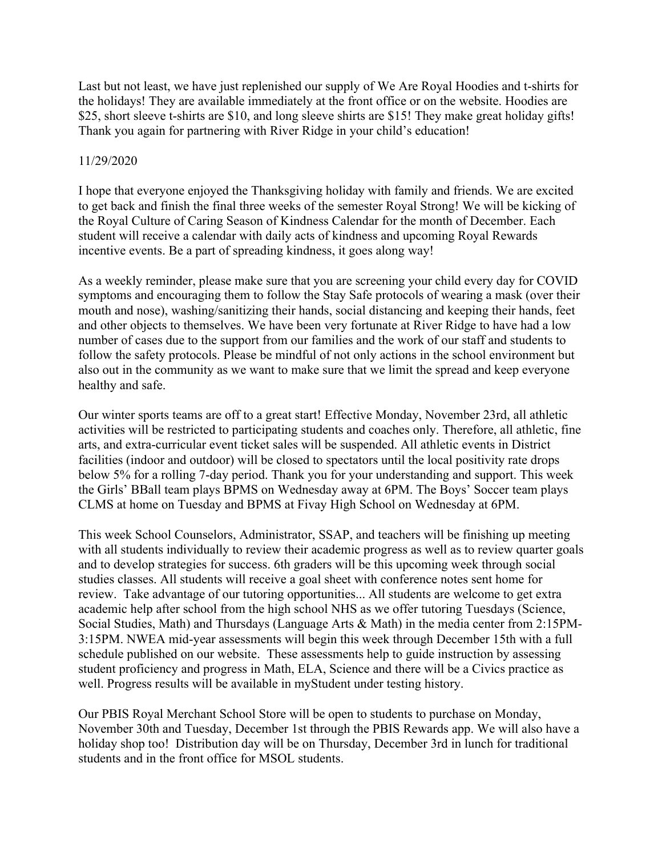Last but not least, we have just replenished our supply of We Are Royal Hoodies and t-shirts for the holidays! They are available immediately at the front office or on the website. Hoodies are \$25, short sleeve t-shirts are \$10, and long sleeve shirts are \$15! They make great holiday gifts! Thank you again for partnering with River Ridge in your child's education!

#### 11/29/2020

I hope that everyone enjoyed the Thanksgiving holiday with family and friends. We are excited to get back and finish the final three weeks of the semester Royal Strong! We will be kicking of the Royal Culture of Caring Season of Kindness Calendar for the month of December. Each student will receive a calendar with daily acts of kindness and upcoming Royal Rewards incentive events. Be a part of spreading kindness, it goes along way!

As a weekly reminder, please make sure that you are screening your child every day for COVID symptoms and encouraging them to follow the Stay Safe protocols of wearing a mask (over their mouth and nose), washing/sanitizing their hands, social distancing and keeping their hands, feet and other objects to themselves. We have been very fortunate at River Ridge to have had a low number of cases due to the support from our families and the work of our staff and students to follow the safety protocols. Please be mindful of not only actions in the school environment but also out in the community as we want to make sure that we limit the spread and keep everyone healthy and safe.

Our winter sports teams are off to a great start! Effective Monday, November 23rd, all athletic activities will be restricted to participating students and coaches only. Therefore, all athletic, fine arts, and extra-curricular event ticket sales will be suspended. All athletic events in District facilities (indoor and outdoor) will be closed to spectators until the local positivity rate drops below 5% for a rolling 7-day period. Thank you for your understanding and support. This week the Girls' BBall team plays BPMS on Wednesday away at 6PM. The Boys' Soccer team plays CLMS at home on Tuesday and BPMS at Fivay High School on Wednesday at 6PM.

This week School Counselors, Administrator, SSAP, and teachers will be finishing up meeting with all students individually to review their academic progress as well as to review quarter goals and to develop strategies for success. 6th graders will be this upcoming week through social studies classes. All students will receive a goal sheet with conference notes sent home for review. Take advantage of our tutoring opportunities... All students are welcome to get extra academic help after school from the high school NHS as we offer tutoring Tuesdays (Science, Social Studies, Math) and Thursdays (Language Arts & Math) in the media center from 2:15PM-3:15PM. NWEA mid-year assessments will begin this week through December 15th with a full schedule published on our website. These assessments help to guide instruction by assessing student proficiency and progress in Math, ELA, Science and there will be a Civics practice as well. Progress results will be available in myStudent under testing history.

Our PBIS Royal Merchant School Store will be open to students to purchase on Monday, November 30th and Tuesday, December 1st through the PBIS Rewards app. We will also have a holiday shop too! Distribution day will be on Thursday, December 3rd in lunch for traditional students and in the front office for MSOL students.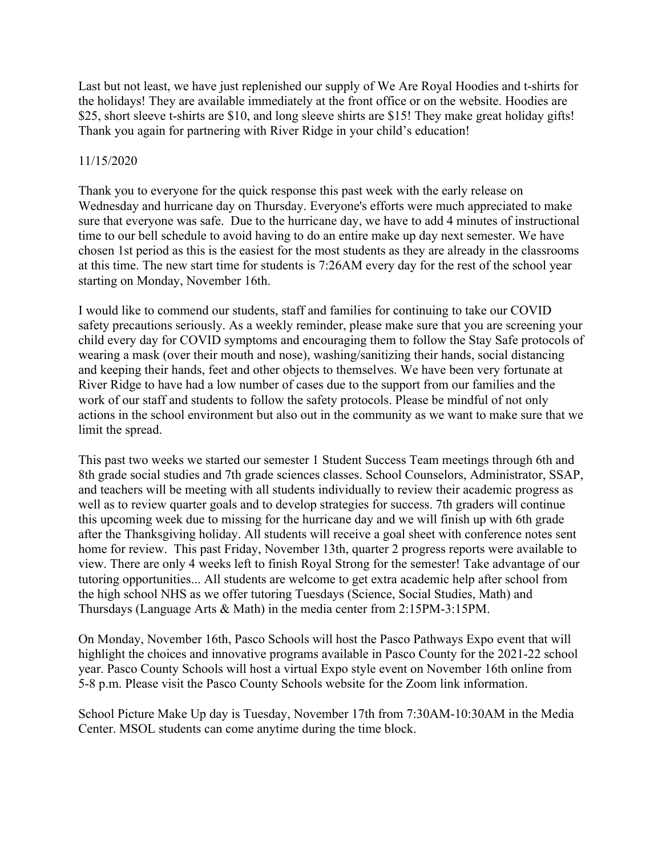Last but not least, we have just replenished our supply of We Are Royal Hoodies and t-shirts for the holidays! They are available immediately at the front office or on the website. Hoodies are \$25, short sleeve t-shirts are \$10, and long sleeve shirts are \$15! They make great holiday gifts! Thank you again for partnering with River Ridge in your child's education!

#### 11/15/2020

Thank you to everyone for the quick response this past week with the early release on Wednesday and hurricane day on Thursday. Everyone's efforts were much appreciated to make sure that everyone was safe. Due to the hurricane day, we have to add 4 minutes of instructional time to our bell schedule to avoid having to do an entire make up day next semester. We have chosen 1st period as this is the easiest for the most students as they are already in the classrooms at this time. The new start time for students is 7:26AM every day for the rest of the school year starting on Monday, November 16th.

I would like to commend our students, staff and families for continuing to take our COVID safety precautions seriously. As a weekly reminder, please make sure that you are screening your child every day for COVID symptoms and encouraging them to follow the Stay Safe protocols of wearing a mask (over their mouth and nose), washing/sanitizing their hands, social distancing and keeping their hands, feet and other objects to themselves. We have been very fortunate at River Ridge to have had a low number of cases due to the support from our families and the work of our staff and students to follow the safety protocols. Please be mindful of not only actions in the school environment but also out in the community as we want to make sure that we limit the spread.

This past two weeks we started our semester 1 Student Success Team meetings through 6th and 8th grade social studies and 7th grade sciences classes. School Counselors, Administrator, SSAP, and teachers will be meeting with all students individually to review their academic progress as well as to review quarter goals and to develop strategies for success. 7th graders will continue this upcoming week due to missing for the hurricane day and we will finish up with 6th grade after the Thanksgiving holiday. All students will receive a goal sheet with conference notes sent home for review. This past Friday, November 13th, quarter 2 progress reports were available to view. There are only 4 weeks left to finish Royal Strong for the semester! Take advantage of our tutoring opportunities... All students are welcome to get extra academic help after school from the high school NHS as we offer tutoring Tuesdays (Science, Social Studies, Math) and Thursdays (Language Arts & Math) in the media center from 2:15PM-3:15PM.

On Monday, November 16th, Pasco Schools will host the Pasco Pathways Expo event that will highlight the choices and innovative programs available in Pasco County for the 2021-22 school year. Pasco County Schools will host a virtual Expo style event on November 16th online from 5-8 p.m. Please visit the Pasco County Schools website for the Zoom link information.

School Picture Make Up day is Tuesday, November 17th from 7:30AM-10:30AM in the Media Center. MSOL students can come anytime during the time block.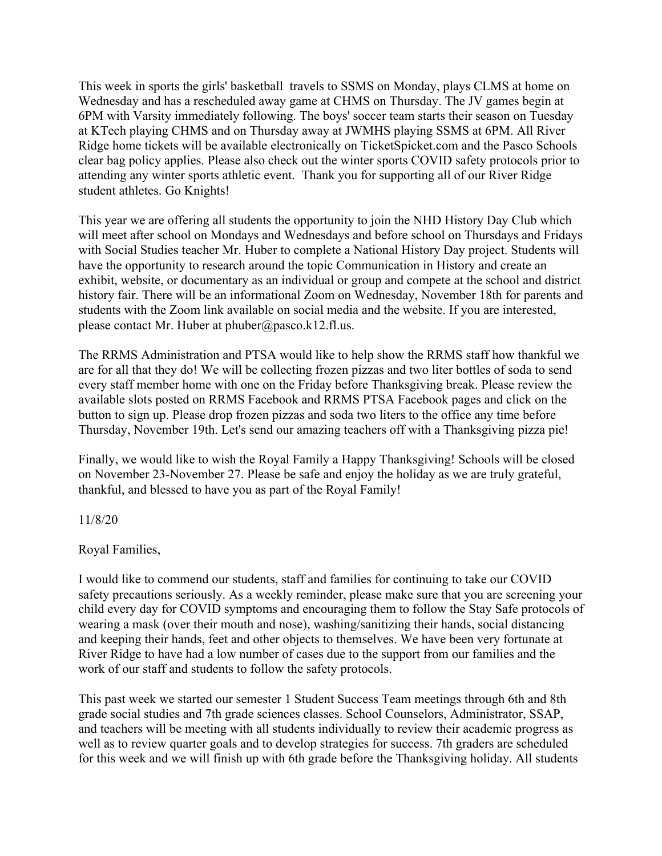This week in sports the girls' basketball travels to SSMS on Monday, plays CLMS at home on Wednesday and has a rescheduled away game at CHMS on Thursday. The JV games begin at 6PM with Varsity immediately following. The boys' soccer team starts their season on Tuesday at KTech playing CHMS and on Thursday away at JWMHS playing SSMS at 6PM. All River Ridge home tickets will be available electronically on TicketSpicket.com and the Pasco Schools clear bag policy applies. Please also check out the winter sports COVID safety protocols prior to attending any winter sports athletic event. Thank you for supporting all of our River Ridge student athletes. Go Knights!

This year we are offering all students the opportunity to join the NHD History Day Club which will meet after school on Mondays and Wednesdays and before school on Thursdays and Fridays with Social Studies teacher Mr. Huber to complete a National History Day project. Students will have the opportunity to research around the topic Communication in History and create an exhibit, website, or documentary as an individual or group and compete at the school and district history fair. There will be an informational Zoom on Wednesday, November 18th for parents and students with the Zoom link available on social media and the website. If you are interested, please contact Mr. Huber at phuber@pasco.k12.fl.us.

The RRMS Administration and PTSA would like to help show the RRMS staff how thankful we are for all that they do! We will be collecting frozen pizzas and two liter bottles of soda to send every staff member home with one on the Friday before Thanksgiving break. Please review the available slots posted on RRMS Facebook and RRMS PTSA Facebook pages and click on the button to sign up. Please drop frozen pizzas and soda two liters to the office any time before Thursday, November 19th. Let's send our amazing teachers off with a Thanksgiving pizza pie!

Finally, we would like to wish the Royal Family a Happy Thanksgiving! Schools will be closed on November 23-November 27. Please be safe and enjoy the holiday as we are truly grateful, thankful, and blessed to have you as part of the Royal Family!

11/8/20

Royal Families,

I would like to commend our students, staff and families for continuing to take our COVID safety precautions seriously. As a weekly reminder, please make sure that you are screening your child every day for COVID symptoms and encouraging them to follow the Stay Safe protocols of wearing a mask (over their mouth and nose), washing/sanitizing their hands, social distancing and keeping their hands, feet and other objects to themselves. We have been very fortunate at River Ridge to have had a low number of cases due to the support from our families and the work of our staff and students to follow the safety protocols.

This past week we started our semester 1 Student Success Team meetings through 6th and 8th grade social studies and 7th grade sciences classes. School Counselors, Administrator, SSAP, and teachers will be meeting with all students individually to review their academic progress as well as to review quarter goals and to develop strategies for success. 7th graders are scheduled for this week and we will finish up with 6th grade before the Thanksgiving holiday. All students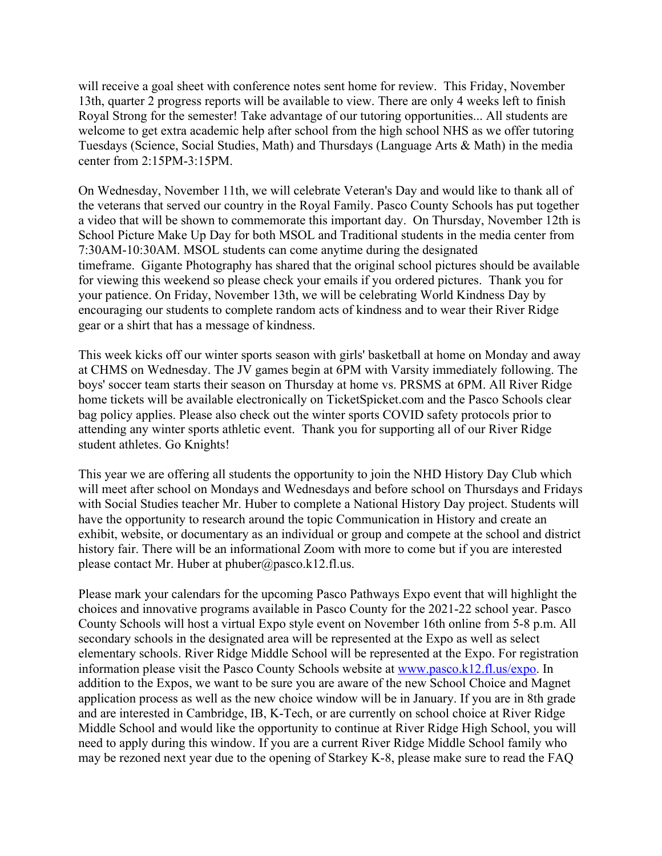will receive a goal sheet with conference notes sent home for review. This Friday, November 13th, quarter 2 progress reports will be available to view. There are only 4 weeks left to finish Royal Strong for the semester! Take advantage of our tutoring opportunities... All students are welcome to get extra academic help after school from the high school NHS as we offer tutoring Tuesdays (Science, Social Studies, Math) and Thursdays (Language Arts & Math) in the media center from 2:15PM-3:15PM.

On Wednesday, November 11th, we will celebrate Veteran's Day and would like to thank all of the veterans that served our country in the Royal Family. Pasco County Schools has put together a video that will be shown to commemorate this important day. On Thursday, November 12th is School Picture Make Up Day for both MSOL and Traditional students in the media center from 7:30AM-10:30AM. MSOL students can come anytime during the designated timeframe. Gigante Photography has shared that the original school pictures should be available for viewing this weekend so please check your emails if you ordered pictures. Thank you for your patience. On Friday, November 13th, we will be celebrating World Kindness Day by encouraging our students to complete random acts of kindness and to wear their River Ridge gear or a shirt that has a message of kindness.

This week kicks off our winter sports season with girls' basketball at home on Monday and away at CHMS on Wednesday. The JV games begin at 6PM with Varsity immediately following. The boys' soccer team starts their season on Thursday at home vs. PRSMS at 6PM. All River Ridge home tickets will be available electronically on TicketSpicket.com and the Pasco Schools clear bag policy applies. Please also check out the winter sports COVID safety protocols prior to attending any winter sports athletic event. Thank you for supporting all of our River Ridge student athletes. Go Knights!

This year we are offering all students the opportunity to join the NHD History Day Club which will meet after school on Mondays and Wednesdays and before school on Thursdays and Fridays with Social Studies teacher Mr. Huber to complete a National History Day project. Students will have the opportunity to research around the topic Communication in History and create an exhibit, website, or documentary as an individual or group and compete at the school and district history fair. There will be an informational Zoom with more to come but if you are interested please contact Mr. Huber at phuber@pasco.k12.fl.us.

Please mark your calendars for the upcoming Pasco Pathways Expo event that will highlight the choices and innovative programs available in Pasco County for the 2021-22 school year. Pasco County Schools will host a virtual Expo style event on November 16th online from 5-8 p.m. All secondary schools in the designated area will be represented at the Expo as well as select elementary schools. River Ridge Middle School will be represented at the Expo. For registration information please visit the Pasco County Schools website at www.pasco.k12.fl.us/expo. In addition to the Expos, we want to be sure you are aware of the new School Choice and Magnet application process as well as the new choice window will be in January. If you are in 8th grade and are interested in Cambridge, IB, K-Tech, or are currently on school choice at River Ridge Middle School and would like the opportunity to continue at River Ridge High School, you will need to apply during this window. If you are a current River Ridge Middle School family who may be rezoned next year due to the opening of Starkey K-8, please make sure to read the FAQ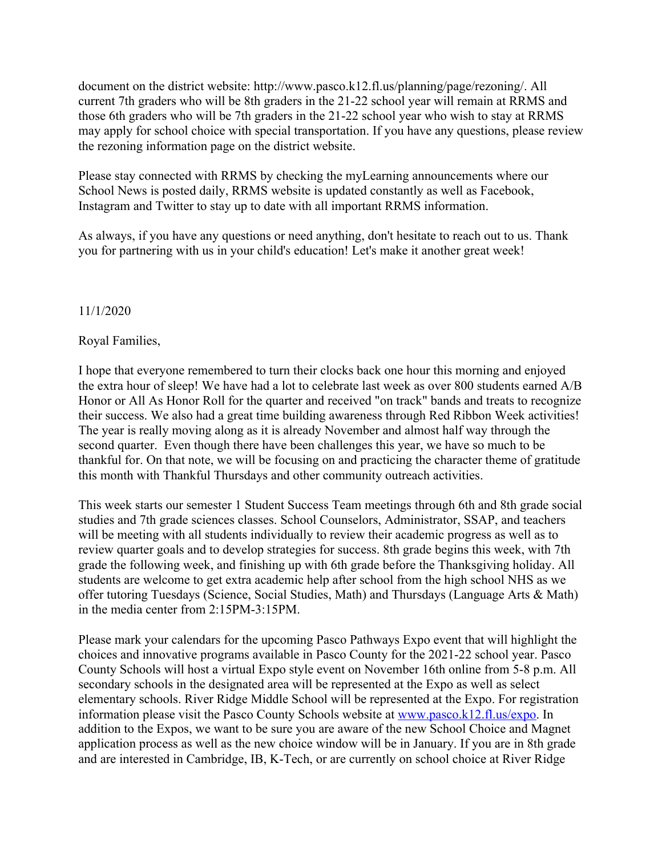document on the district website: http://www.pasco.k12.fl.us/planning/page/rezoning/. All current 7th graders who will be 8th graders in the 21-22 school year will remain at RRMS and those 6th graders who will be 7th graders in the 21-22 school year who wish to stay at RRMS may apply for school choice with special transportation. If you have any questions, please review the rezoning information page on the district website.

Please stay connected with RRMS by checking the myLearning announcements where our School News is posted daily, RRMS website is updated constantly as well as Facebook, Instagram and Twitter to stay up to date with all important RRMS information.

As always, if you have any questions or need anything, don't hesitate to reach out to us. Thank you for partnering with us in your child's education! Let's make it another great week!

# 11/1/2020

# Royal Families,

I hope that everyone remembered to turn their clocks back one hour this morning and enjoyed the extra hour of sleep! We have had a lot to celebrate last week as over 800 students earned A/B Honor or All As Honor Roll for the quarter and received "on track" bands and treats to recognize their success. We also had a great time building awareness through Red Ribbon Week activities! The year is really moving along as it is already November and almost half way through the second quarter. Even though there have been challenges this year, we have so much to be thankful for. On that note, we will be focusing on and practicing the character theme of gratitude this month with Thankful Thursdays and other community outreach activities.

This week starts our semester 1 Student Success Team meetings through 6th and 8th grade social studies and 7th grade sciences classes. School Counselors, Administrator, SSAP, and teachers will be meeting with all students individually to review their academic progress as well as to review quarter goals and to develop strategies for success. 8th grade begins this week, with 7th grade the following week, and finishing up with 6th grade before the Thanksgiving holiday. All students are welcome to get extra academic help after school from the high school NHS as we offer tutoring Tuesdays (Science, Social Studies, Math) and Thursdays (Language Arts & Math) in the media center from 2:15PM-3:15PM.

Please mark your calendars for the upcoming Pasco Pathways Expo event that will highlight the choices and innovative programs available in Pasco County for the 2021-22 school year. Pasco County Schools will host a virtual Expo style event on November 16th online from 5-8 p.m. All secondary schools in the designated area will be represented at the Expo as well as select elementary schools. River Ridge Middle School will be represented at the Expo. For registration information please visit the Pasco County Schools website at www.pasco.k12.fl.us/expo. In addition to the Expos, we want to be sure you are aware of the new School Choice and Magnet application process as well as the new choice window will be in January. If you are in 8th grade and are interested in Cambridge, IB, K-Tech, or are currently on school choice at River Ridge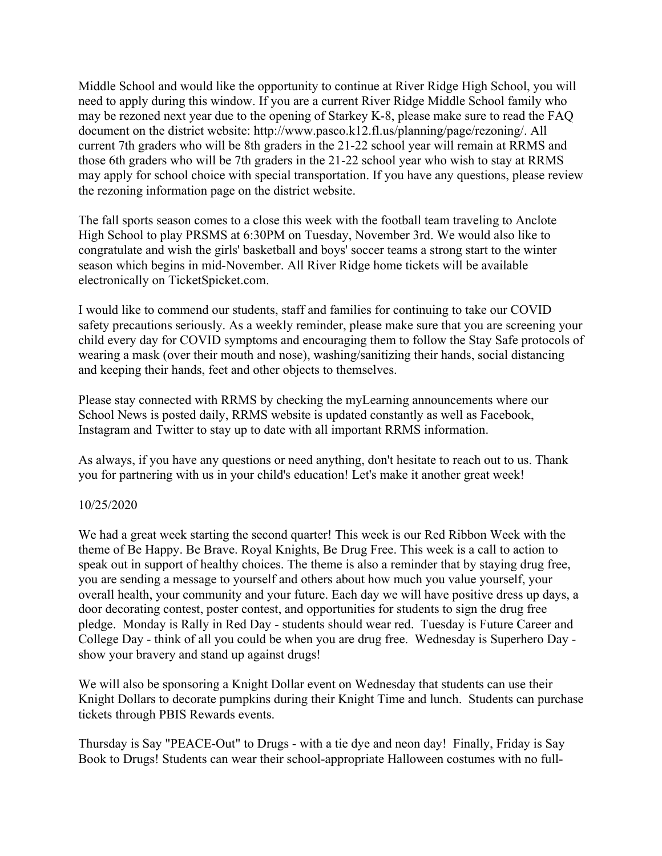Middle School and would like the opportunity to continue at River Ridge High School, you will need to apply during this window. If you are a current River Ridge Middle School family who may be rezoned next year due to the opening of Starkey K-8, please make sure to read the FAQ document on the district website: http://www.pasco.k12.fl.us/planning/page/rezoning/. All current 7th graders who will be 8th graders in the 21-22 school year will remain at RRMS and those 6th graders who will be 7th graders in the 21-22 school year who wish to stay at RRMS may apply for school choice with special transportation. If you have any questions, please review the rezoning information page on the district website.

The fall sports season comes to a close this week with the football team traveling to Anclote High School to play PRSMS at 6:30PM on Tuesday, November 3rd. We would also like to congratulate and wish the girls' basketball and boys' soccer teams a strong start to the winter season which begins in mid-November. All River Ridge home tickets will be available electronically on TicketSpicket.com.

I would like to commend our students, staff and families for continuing to take our COVID safety precautions seriously. As a weekly reminder, please make sure that you are screening your child every day for COVID symptoms and encouraging them to follow the Stay Safe protocols of wearing a mask (over their mouth and nose), washing/sanitizing their hands, social distancing and keeping their hands, feet and other objects to themselves.

Please stay connected with RRMS by checking the myLearning announcements where our School News is posted daily, RRMS website is updated constantly as well as Facebook, Instagram and Twitter to stay up to date with all important RRMS information.

As always, if you have any questions or need anything, don't hesitate to reach out to us. Thank you for partnering with us in your child's education! Let's make it another great week!

# 10/25/2020

We had a great week starting the second quarter! This week is our Red Ribbon Week with the theme of Be Happy. Be Brave. Royal Knights, Be Drug Free. This week is a call to action to speak out in support of healthy choices. The theme is also a reminder that by staying drug free, you are sending a message to yourself and others about how much you value yourself, your overall health, your community and your future. Each day we will have positive dress up days, a door decorating contest, poster contest, and opportunities for students to sign the drug free pledge. Monday is Rally in Red Day - students should wear red. Tuesday is Future Career and College Day - think of all you could be when you are drug free. Wednesday is Superhero Day show your bravery and stand up against drugs!

We will also be sponsoring a Knight Dollar event on Wednesday that students can use their Knight Dollars to decorate pumpkins during their Knight Time and lunch. Students can purchase tickets through PBIS Rewards events.

Thursday is Say "PEACE-Out" to Drugs - with a tie dye and neon day! Finally, Friday is Say Book to Drugs! Students can wear their school-appropriate Halloween costumes with no full-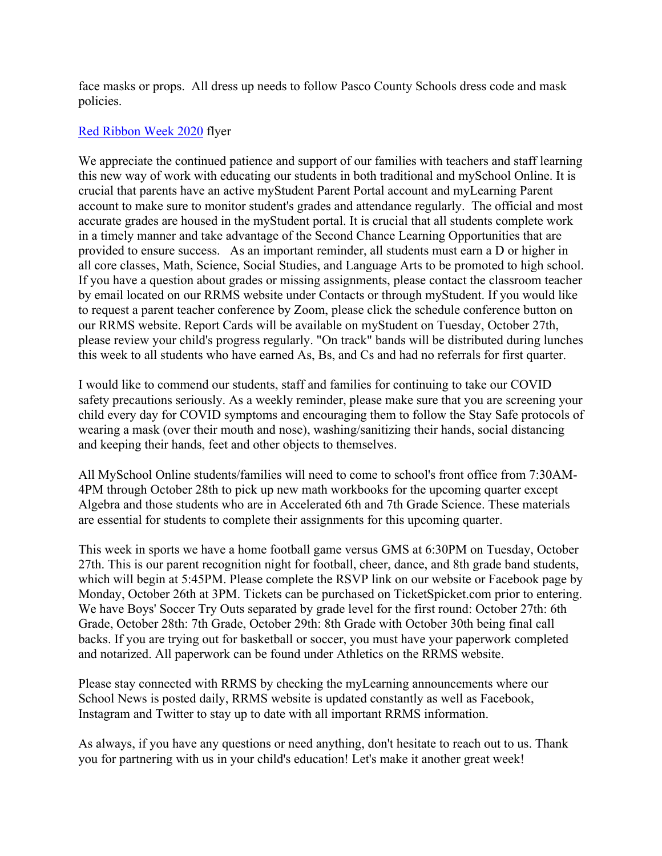face masks or props. All dress up needs to follow Pasco County Schools dress code and mask policies.

### Red Ribbon Week 2020 flyer

We appreciate the continued patience and support of our families with teachers and staff learning this new way of work with educating our students in both traditional and mySchool Online. It is crucial that parents have an active myStudent Parent Portal account and myLearning Parent account to make sure to monitor student's grades and attendance regularly. The official and most accurate grades are housed in the myStudent portal. It is crucial that all students complete work in a timely manner and take advantage of the Second Chance Learning Opportunities that are provided to ensure success. As an important reminder, all students must earn a D or higher in all core classes, Math, Science, Social Studies, and Language Arts to be promoted to high school. If you have a question about grades or missing assignments, please contact the classroom teacher by email located on our RRMS website under Contacts or through myStudent. If you would like to request a parent teacher conference by Zoom, please click the schedule conference button on our RRMS website. Report Cards will be available on myStudent on Tuesday, October 27th, please review your child's progress regularly. "On track" bands will be distributed during lunches this week to all students who have earned As, Bs, and Cs and had no referrals for first quarter.

I would like to commend our students, staff and families for continuing to take our COVID safety precautions seriously. As a weekly reminder, please make sure that you are screening your child every day for COVID symptoms and encouraging them to follow the Stay Safe protocols of wearing a mask (over their mouth and nose), washing/sanitizing their hands, social distancing and keeping their hands, feet and other objects to themselves.

All MySchool Online students/families will need to come to school's front office from 7:30AM-4PM through October 28th to pick up new math workbooks for the upcoming quarter except Algebra and those students who are in Accelerated 6th and 7th Grade Science. These materials are essential for students to complete their assignments for this upcoming quarter.

This week in sports we have a home football game versus GMS at 6:30PM on Tuesday, October 27th. This is our parent recognition night for football, cheer, dance, and 8th grade band students, which will begin at 5:45PM. Please complete the RSVP link on our website or Facebook page by Monday, October 26th at 3PM. Tickets can be purchased on TicketSpicket.com prior to entering. We have Boys' Soccer Try Outs separated by grade level for the first round: October 27th: 6th Grade, October 28th: 7th Grade, October 29th: 8th Grade with October 30th being final call backs. If you are trying out for basketball or soccer, you must have your paperwork completed and notarized. All paperwork can be found under Athletics on the RRMS website.

Please stay connected with RRMS by checking the myLearning announcements where our School News is posted daily, RRMS website is updated constantly as well as Facebook, Instagram and Twitter to stay up to date with all important RRMS information.

As always, if you have any questions or need anything, don't hesitate to reach out to us. Thank you for partnering with us in your child's education! Let's make it another great week!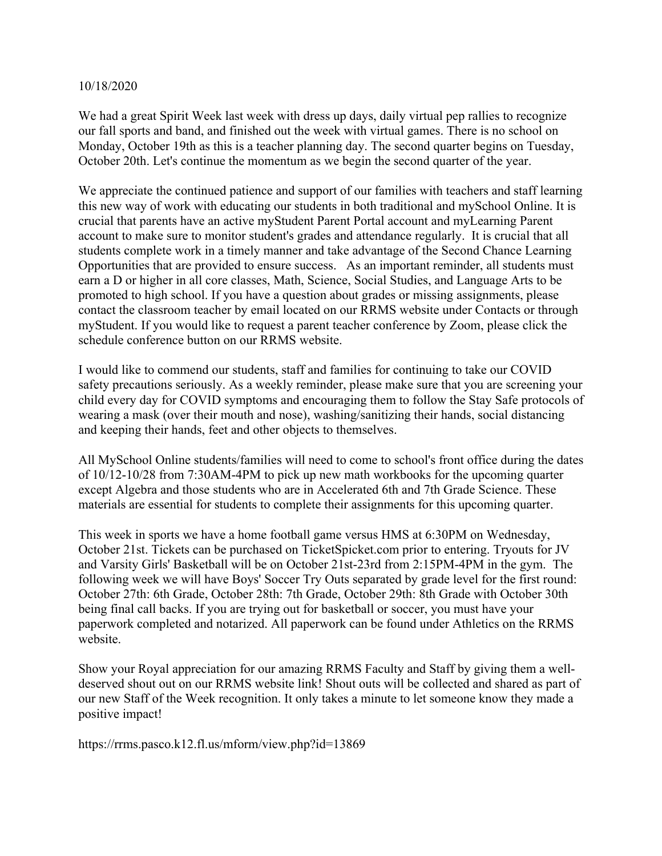#### 10/18/2020

We had a great Spirit Week last week with dress up days, daily virtual pep rallies to recognize our fall sports and band, and finished out the week with virtual games. There is no school on Monday, October 19th as this is a teacher planning day. The second quarter begins on Tuesday, October 20th. Let's continue the momentum as we begin the second quarter of the year.

We appreciate the continued patience and support of our families with teachers and staff learning this new way of work with educating our students in both traditional and mySchool Online. It is crucial that parents have an active myStudent Parent Portal account and myLearning Parent account to make sure to monitor student's grades and attendance regularly. It is crucial that all students complete work in a timely manner and take advantage of the Second Chance Learning Opportunities that are provided to ensure success. As an important reminder, all students must earn a D or higher in all core classes, Math, Science, Social Studies, and Language Arts to be promoted to high school. If you have a question about grades or missing assignments, please contact the classroom teacher by email located on our RRMS website under Contacts or through myStudent. If you would like to request a parent teacher conference by Zoom, please click the schedule conference button on our RRMS website.

I would like to commend our students, staff and families for continuing to take our COVID safety precautions seriously. As a weekly reminder, please make sure that you are screening your child every day for COVID symptoms and encouraging them to follow the Stay Safe protocols of wearing a mask (over their mouth and nose), washing/sanitizing their hands, social distancing and keeping their hands, feet and other objects to themselves.

All MySchool Online students/families will need to come to school's front office during the dates of 10/12-10/28 from 7:30AM-4PM to pick up new math workbooks for the upcoming quarter except Algebra and those students who are in Accelerated 6th and 7th Grade Science. These materials are essential for students to complete their assignments for this upcoming quarter.

This week in sports we have a home football game versus HMS at 6:30PM on Wednesday, October 21st. Tickets can be purchased on TicketSpicket.com prior to entering. Tryouts for JV and Varsity Girls' Basketball will be on October 21st-23rd from 2:15PM-4PM in the gym. The following week we will have Boys' Soccer Try Outs separated by grade level for the first round: October 27th: 6th Grade, October 28th: 7th Grade, October 29th: 8th Grade with October 30th being final call backs. If you are trying out for basketball or soccer, you must have your paperwork completed and notarized. All paperwork can be found under Athletics on the RRMS website.

Show your Royal appreciation for our amazing RRMS Faculty and Staff by giving them a welldeserved shout out on our RRMS website link! Shout outs will be collected and shared as part of our new Staff of the Week recognition. It only takes a minute to let someone know they made a positive impact!

https://rrms.pasco.k12.fl.us/mform/view.php?id=13869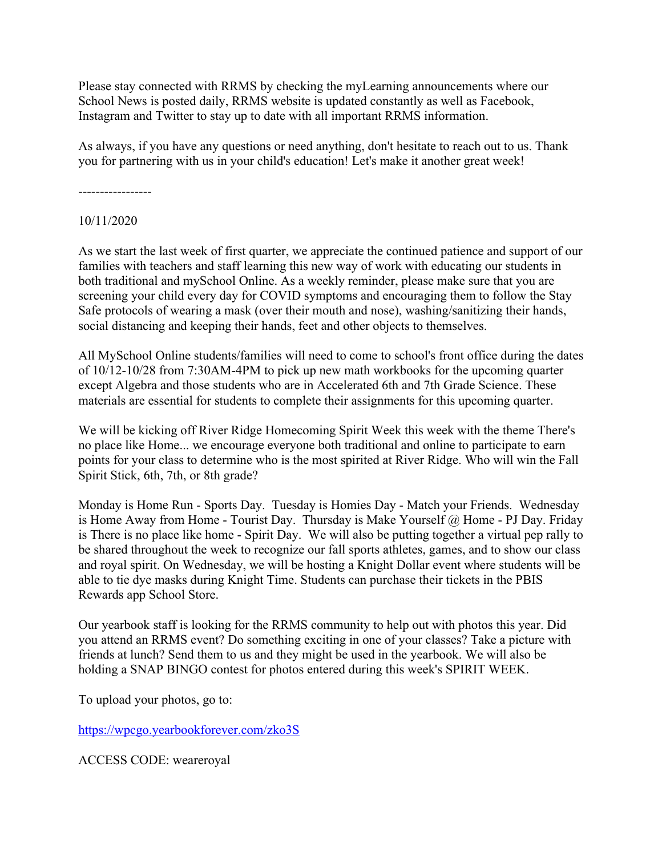Please stay connected with RRMS by checking the myLearning announcements where our School News is posted daily, RRMS website is updated constantly as well as Facebook, Instagram and Twitter to stay up to date with all important RRMS information.

As always, if you have any questions or need anything, don't hesitate to reach out to us. Thank you for partnering with us in your child's education! Let's make it another great week!

-----------------

10/11/2020

As we start the last week of first quarter, we appreciate the continued patience and support of our families with teachers and staff learning this new way of work with educating our students in both traditional and mySchool Online. As a weekly reminder, please make sure that you are screening your child every day for COVID symptoms and encouraging them to follow the Stay Safe protocols of wearing a mask (over their mouth and nose), washing/sanitizing their hands, social distancing and keeping their hands, feet and other objects to themselves.

All MySchool Online students/families will need to come to school's front office during the dates of 10/12-10/28 from 7:30AM-4PM to pick up new math workbooks for the upcoming quarter except Algebra and those students who are in Accelerated 6th and 7th Grade Science. These materials are essential for students to complete their assignments for this upcoming quarter.

We will be kicking off River Ridge Homecoming Spirit Week this week with the theme There's no place like Home... we encourage everyone both traditional and online to participate to earn points for your class to determine who is the most spirited at River Ridge. Who will win the Fall Spirit Stick, 6th, 7th, or 8th grade?

Monday is Home Run - Sports Day. Tuesday is Homies Day - Match your Friends. Wednesday is Home Away from Home - Tourist Day. Thursday is Make Yourself @ Home - PJ Day. Friday is There is no place like home - Spirit Day. We will also be putting together a virtual pep rally to be shared throughout the week to recognize our fall sports athletes, games, and to show our class and royal spirit. On Wednesday, we will be hosting a Knight Dollar event where students will be able to tie dye masks during Knight Time. Students can purchase their tickets in the PBIS Rewards app School Store.

Our yearbook staff is looking for the RRMS community to help out with photos this year. Did you attend an RRMS event? Do something exciting in one of your classes? Take a picture with friends at lunch? Send them to us and they might be used in the yearbook. We will also be holding a SNAP BINGO contest for photos entered during this week's SPIRIT WEEK.

To upload your photos, go to:

https://wpcgo.yearbookforever.com/zko3S

ACCESS CODE: weareroyal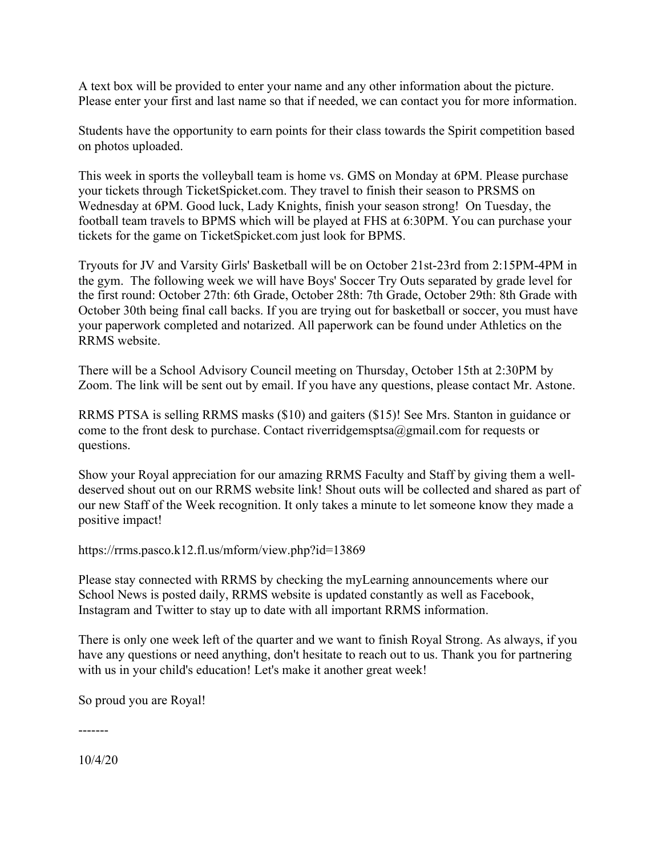A text box will be provided to enter your name and any other information about the picture. Please enter your first and last name so that if needed, we can contact you for more information.

Students have the opportunity to earn points for their class towards the Spirit competition based on photos uploaded.

This week in sports the volleyball team is home vs. GMS on Monday at 6PM. Please purchase your tickets through TicketSpicket.com. They travel to finish their season to PRSMS on Wednesday at 6PM. Good luck, Lady Knights, finish your season strong! On Tuesday, the football team travels to BPMS which will be played at FHS at 6:30PM. You can purchase your tickets for the game on TicketSpicket.com just look for BPMS.

Tryouts for JV and Varsity Girls' Basketball will be on October 21st-23rd from 2:15PM-4PM in the gym. The following week we will have Boys' Soccer Try Outs separated by grade level for the first round: October 27th: 6th Grade, October 28th: 7th Grade, October 29th: 8th Grade with October 30th being final call backs. If you are trying out for basketball or soccer, you must have your paperwork completed and notarized. All paperwork can be found under Athletics on the RRMS website.

There will be a School Advisory Council meeting on Thursday, October 15th at 2:30PM by Zoom. The link will be sent out by email. If you have any questions, please contact Mr. Astone.

RRMS PTSA is selling RRMS masks (\$10) and gaiters (\$15)! See Mrs. Stanton in guidance or come to the front desk to purchase. Contact riverridgemsptsa $@g$ mail.com for requests or questions.

Show your Royal appreciation for our amazing RRMS Faculty and Staff by giving them a welldeserved shout out on our RRMS website link! Shout outs will be collected and shared as part of our new Staff of the Week recognition. It only takes a minute to let someone know they made a positive impact!

https://rrms.pasco.k12.fl.us/mform/view.php?id=13869

Please stay connected with RRMS by checking the myLearning announcements where our School News is posted daily, RRMS website is updated constantly as well as Facebook, Instagram and Twitter to stay up to date with all important RRMS information.

There is only one week left of the quarter and we want to finish Royal Strong. As always, if you have any questions or need anything, don't hesitate to reach out to us. Thank you for partnering with us in your child's education! Let's make it another great week!

So proud you are Royal!

-------

10/4/20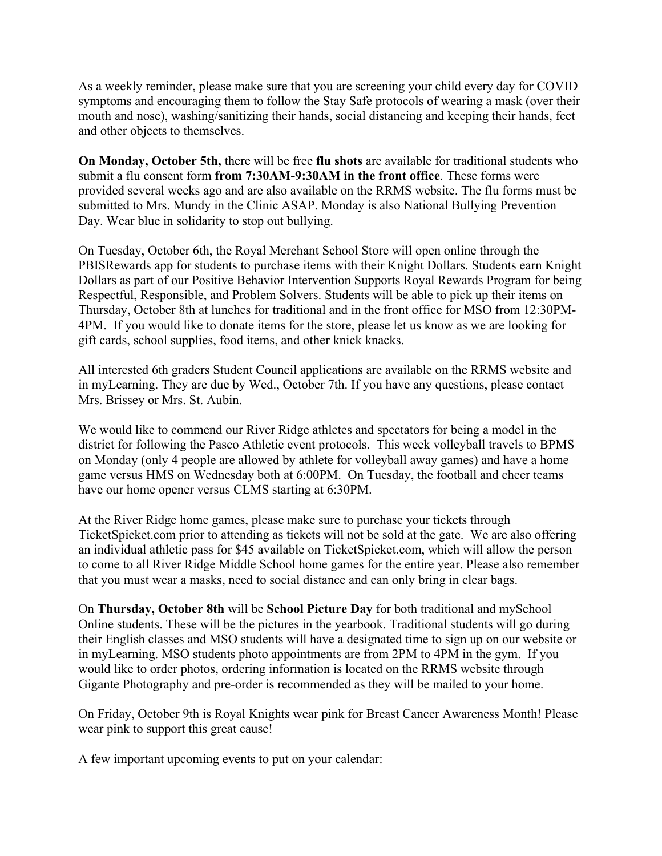As a weekly reminder, please make sure that you are screening your child every day for COVID symptoms and encouraging them to follow the Stay Safe protocols of wearing a mask (over their mouth and nose), washing/sanitizing their hands, social distancing and keeping their hands, feet and other objects to themselves.

**On Monday, October 5th,** there will be free **flu shots** are available for traditional students who submit a flu consent form **from 7:30AM-9:30AM in the front office**. These forms were provided several weeks ago and are also available on the RRMS website. The flu forms must be submitted to Mrs. Mundy in the Clinic ASAP. Monday is also National Bullying Prevention Day. Wear blue in solidarity to stop out bullying.

On Tuesday, October 6th, the Royal Merchant School Store will open online through the PBISRewards app for students to purchase items with their Knight Dollars. Students earn Knight Dollars as part of our Positive Behavior Intervention Supports Royal Rewards Program for being Respectful, Responsible, and Problem Solvers. Students will be able to pick up their items on Thursday, October 8th at lunches for traditional and in the front office for MSO from 12:30PM-4PM. If you would like to donate items for the store, please let us know as we are looking for gift cards, school supplies, food items, and other knick knacks.

All interested 6th graders Student Council applications are available on the RRMS website and in myLearning. They are due by Wed., October 7th. If you have any questions, please contact Mrs. Brissey or Mrs. St. Aubin.

We would like to commend our River Ridge athletes and spectators for being a model in the district for following the Pasco Athletic event protocols. This week volleyball travels to BPMS on Monday (only 4 people are allowed by athlete for volleyball away games) and have a home game versus HMS on Wednesday both at 6:00PM. On Tuesday, the football and cheer teams have our home opener versus CLMS starting at 6:30PM.

At the River Ridge home games, please make sure to purchase your tickets through TicketSpicket.com prior to attending as tickets will not be sold at the gate. We are also offering an individual athletic pass for \$45 available on TicketSpicket.com, which will allow the person to come to all River Ridge Middle School home games for the entire year. Please also remember that you must wear a masks, need to social distance and can only bring in clear bags.

On **Thursday, October 8th** will be **School Picture Day** for both traditional and mySchool Online students. These will be the pictures in the yearbook. Traditional students will go during their English classes and MSO students will have a designated time to sign up on our website or in myLearning. MSO students photo appointments are from 2PM to 4PM in the gym. If you would like to order photos, ordering information is located on the RRMS website through Gigante Photography and pre-order is recommended as they will be mailed to your home.

On Friday, October 9th is Royal Knights wear pink for Breast Cancer Awareness Month! Please wear pink to support this great cause!

A few important upcoming events to put on your calendar: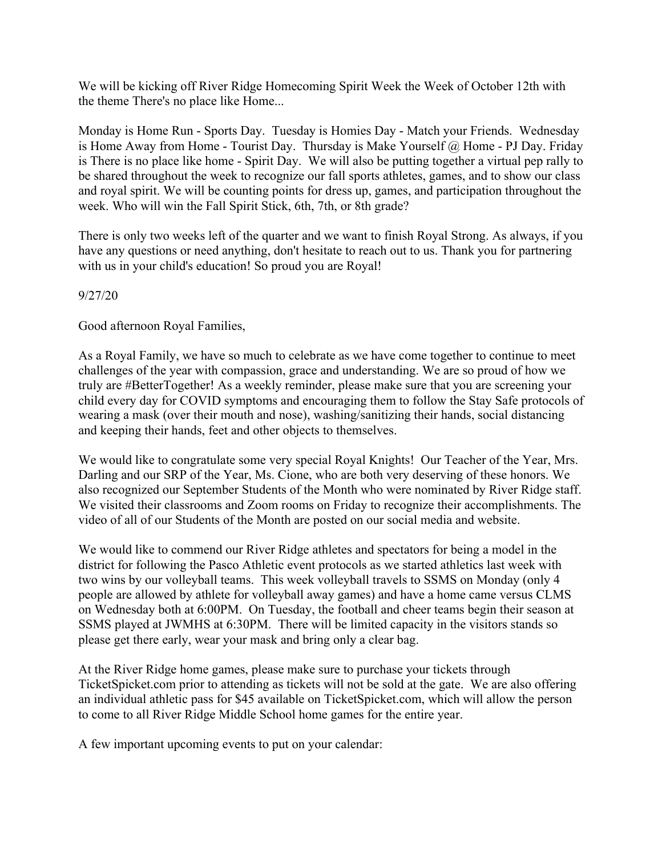We will be kicking off River Ridge Homecoming Spirit Week the Week of October 12th with the theme There's no place like Home...

Monday is Home Run - Sports Day. Tuesday is Homies Day - Match your Friends. Wednesday is Home Away from Home - Tourist Day. Thursday is Make Yourself @ Home - PJ Day. Friday is There is no place like home - Spirit Day. We will also be putting together a virtual pep rally to be shared throughout the week to recognize our fall sports athletes, games, and to show our class and royal spirit. We will be counting points for dress up, games, and participation throughout the week. Who will win the Fall Spirit Stick, 6th, 7th, or 8th grade?

There is only two weeks left of the quarter and we want to finish Royal Strong. As always, if you have any questions or need anything, don't hesitate to reach out to us. Thank you for partnering with us in your child's education! So proud you are Royal!

### 9/27/20

Good afternoon Royal Families,

As a Royal Family, we have so much to celebrate as we have come together to continue to meet challenges of the year with compassion, grace and understanding. We are so proud of how we truly are #BetterTogether! As a weekly reminder, please make sure that you are screening your child every day for COVID symptoms and encouraging them to follow the Stay Safe protocols of wearing a mask (over their mouth and nose), washing/sanitizing their hands, social distancing and keeping their hands, feet and other objects to themselves.

We would like to congratulate some very special Royal Knights! Our Teacher of the Year, Mrs. Darling and our SRP of the Year, Ms. Cione, who are both very deserving of these honors. We also recognized our September Students of the Month who were nominated by River Ridge staff. We visited their classrooms and Zoom rooms on Friday to recognize their accomplishments. The video of all of our Students of the Month are posted on our social media and website.

We would like to commend our River Ridge athletes and spectators for being a model in the district for following the Pasco Athletic event protocols as we started athletics last week with two wins by our volleyball teams. This week volleyball travels to SSMS on Monday (only 4 people are allowed by athlete for volleyball away games) and have a home came versus CLMS on Wednesday both at 6:00PM. On Tuesday, the football and cheer teams begin their season at SSMS played at JWMHS at 6:30PM. There will be limited capacity in the visitors stands so please get there early, wear your mask and bring only a clear bag.

At the River Ridge home games, please make sure to purchase your tickets through TicketSpicket.com prior to attending as tickets will not be sold at the gate. We are also offering an individual athletic pass for \$45 available on TicketSpicket.com, which will allow the person to come to all River Ridge Middle School home games for the entire year.

A few important upcoming events to put on your calendar: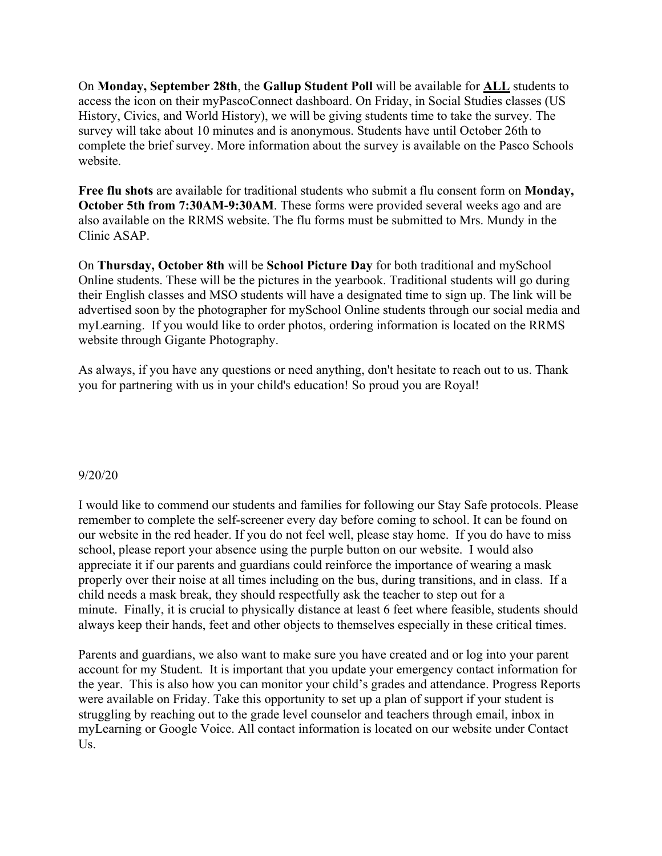On **Monday, September 28th**, the **Gallup Student Poll** will be available for **ALL** students to access the icon on their myPascoConnect dashboard. On Friday, in Social Studies classes (US History, Civics, and World History), we will be giving students time to take the survey. The survey will take about 10 minutes and is anonymous. Students have until October 26th to complete the brief survey. More information about the survey is available on the Pasco Schools website.

**Free flu shots** are available for traditional students who submit a flu consent form on **Monday, October 5th from 7:30AM-9:30AM**. These forms were provided several weeks ago and are also available on the RRMS website. The flu forms must be submitted to Mrs. Mundy in the Clinic ASAP.

On **Thursday, October 8th** will be **School Picture Day** for both traditional and mySchool Online students. These will be the pictures in the yearbook. Traditional students will go during their English classes and MSO students will have a designated time to sign up. The link will be advertised soon by the photographer for mySchool Online students through our social media and myLearning. If you would like to order photos, ordering information is located on the RRMS website through Gigante Photography.

As always, if you have any questions or need anything, don't hesitate to reach out to us. Thank you for partnering with us in your child's education! So proud you are Royal!

#### 9/20/20

I would like to commend our students and families for following our Stay Safe protocols. Please remember to complete the self-screener every day before coming to school. It can be found on our website in the red header. If you do not feel well, please stay home. If you do have to miss school, please report your absence using the purple button on our website. I would also appreciate it if our parents and guardians could reinforce the importance of wearing a mask properly over their noise at all times including on the bus, during transitions, and in class. If a child needs a mask break, they should respectfully ask the teacher to step out for a minute. Finally, it is crucial to physically distance at least 6 feet where feasible, students should always keep their hands, feet and other objects to themselves especially in these critical times.

Parents and guardians, we also want to make sure you have created and or log into your parent account for my Student. It is important that you update your emergency contact information for the year. This is also how you can monitor your child's grades and attendance. Progress Reports were available on Friday. Take this opportunity to set up a plan of support if your student is struggling by reaching out to the grade level counselor and teachers through email, inbox in myLearning or Google Voice. All contact information is located on our website under Contact Us.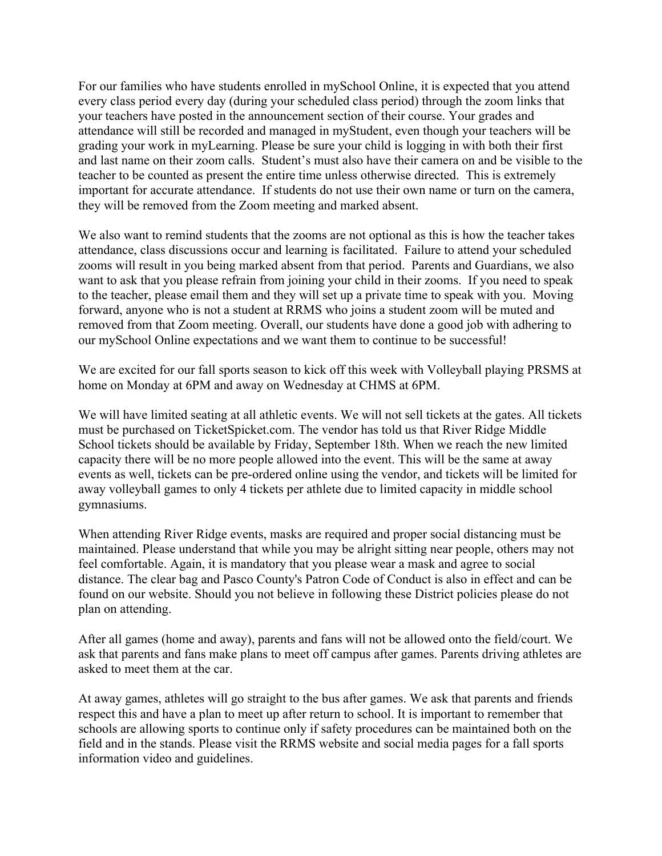For our families who have students enrolled in mySchool Online, it is expected that you attend every class period every day (during your scheduled class period) through the zoom links that your teachers have posted in the announcement section of their course. Your grades and attendance will still be recorded and managed in myStudent, even though your teachers will be grading your work in myLearning. Please be sure your child is logging in with both their first and last name on their zoom calls. Student's must also have their camera on and be visible to the teacher to be counted as present the entire time unless otherwise directed. This is extremely important for accurate attendance. If students do not use their own name or turn on the camera, they will be removed from the Zoom meeting and marked absent.

We also want to remind students that the zooms are not optional as this is how the teacher takes attendance, class discussions occur and learning is facilitated. Failure to attend your scheduled zooms will result in you being marked absent from that period. Parents and Guardians, we also want to ask that you please refrain from joining your child in their zooms. If you need to speak to the teacher, please email them and they will set up a private time to speak with you. Moving forward, anyone who is not a student at RRMS who joins a student zoom will be muted and removed from that Zoom meeting. Overall, our students have done a good job with adhering to our mySchool Online expectations and we want them to continue to be successful!

We are excited for our fall sports season to kick off this week with Volleyball playing PRSMS at home on Monday at 6PM and away on Wednesday at CHMS at 6PM.

We will have limited seating at all athletic events. We will not sell tickets at the gates. All tickets must be purchased on TicketSpicket.com. The vendor has told us that River Ridge Middle School tickets should be available by Friday, September 18th. When we reach the new limited capacity there will be no more people allowed into the event. This will be the same at away events as well, tickets can be pre-ordered online using the vendor, and tickets will be limited for away volleyball games to only 4 tickets per athlete due to limited capacity in middle school gymnasiums.

When attending River Ridge events, masks are required and proper social distancing must be maintained. Please understand that while you may be alright sitting near people, others may not feel comfortable. Again, it is mandatory that you please wear a mask and agree to social distance. The clear bag and Pasco County's Patron Code of Conduct is also in effect and can be found on our website. Should you not believe in following these District policies please do not plan on attending.

After all games (home and away), parents and fans will not be allowed onto the field/court. We ask that parents and fans make plans to meet off campus after games. Parents driving athletes are asked to meet them at the car.

At away games, athletes will go straight to the bus after games. We ask that parents and friends respect this and have a plan to meet up after return to school. It is important to remember that schools are allowing sports to continue only if safety procedures can be maintained both on the field and in the stands. Please visit the RRMS website and social media pages for a fall sports information video and guidelines.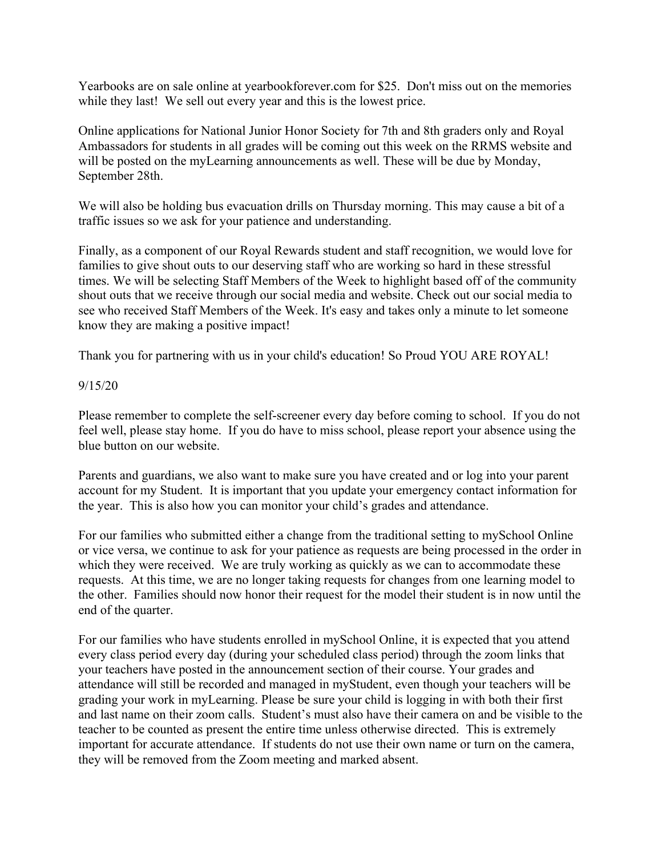Yearbooks are on sale online at yearbookforever.com for \$25. Don't miss out on the memories while they last! We sell out every year and this is the lowest price.

Online applications for National Junior Honor Society for 7th and 8th graders only and Royal Ambassadors for students in all grades will be coming out this week on the RRMS website and will be posted on the myLearning announcements as well. These will be due by Monday, September 28th.

We will also be holding bus evacuation drills on Thursday morning. This may cause a bit of a traffic issues so we ask for your patience and understanding.

Finally, as a component of our Royal Rewards student and staff recognition, we would love for families to give shout outs to our deserving staff who are working so hard in these stressful times. We will be selecting Staff Members of the Week to highlight based off of the community shout outs that we receive through our social media and website. Check out our social media to see who received Staff Members of the Week. It's easy and takes only a minute to let someone know they are making a positive impact!

Thank you for partnering with us in your child's education! So Proud YOU ARE ROYAL!

### 9/15/20

Please remember to complete the self-screener every day before coming to school. If you do not feel well, please stay home. If you do have to miss school, please report your absence using the blue button on our website.

Parents and guardians, we also want to make sure you have created and or log into your parent account for my Student. It is important that you update your emergency contact information for the year. This is also how you can monitor your child's grades and attendance.

For our families who submitted either a change from the traditional setting to mySchool Online or vice versa, we continue to ask for your patience as requests are being processed in the order in which they were received. We are truly working as quickly as we can to accommodate these requests. At this time, we are no longer taking requests for changes from one learning model to the other. Families should now honor their request for the model their student is in now until the end of the quarter.

For our families who have students enrolled in mySchool Online, it is expected that you attend every class period every day (during your scheduled class period) through the zoom links that your teachers have posted in the announcement section of their course. Your grades and attendance will still be recorded and managed in myStudent, even though your teachers will be grading your work in myLearning. Please be sure your child is logging in with both their first and last name on their zoom calls. Student's must also have their camera on and be visible to the teacher to be counted as present the entire time unless otherwise directed. This is extremely important for accurate attendance. If students do not use their own name or turn on the camera, they will be removed from the Zoom meeting and marked absent.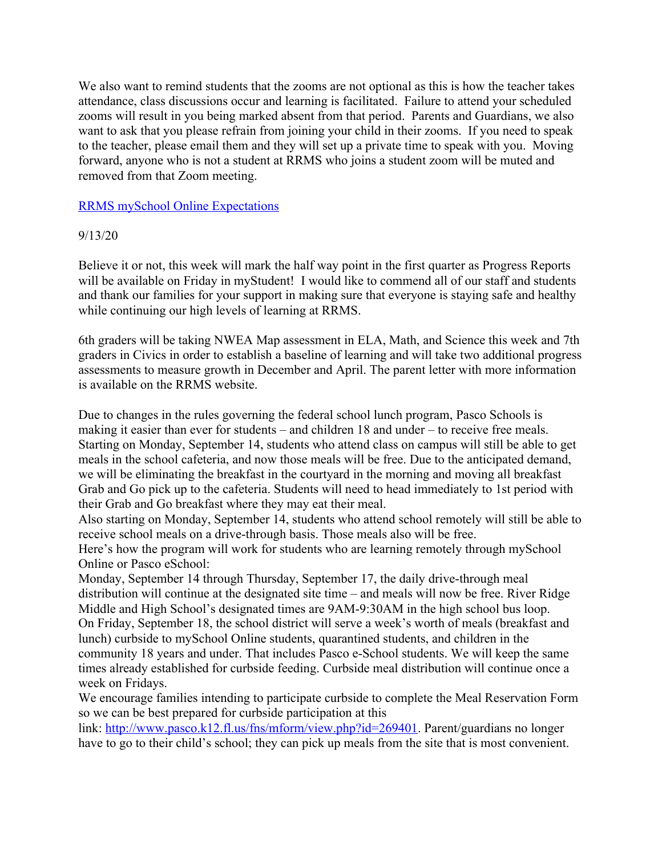We also want to remind students that the zooms are not optional as this is how the teacher takes attendance, class discussions occur and learning is facilitated. Failure to attend your scheduled zooms will result in you being marked absent from that period. Parents and Guardians, we also want to ask that you please refrain from joining your child in their zooms. If you need to speak to the teacher, please email them and they will set up a private time to speak with you. Moving forward, anyone who is not a student at RRMS who joins a student zoom will be muted and removed from that Zoom meeting.

# RRMS mySchool Online Expectations

# 9/13/20

Believe it or not, this week will mark the half way point in the first quarter as Progress Reports will be available on Friday in myStudent! I would like to commend all of our staff and students and thank our families for your support in making sure that everyone is staying safe and healthy while continuing our high levels of learning at RRMS.

6th graders will be taking NWEA Map assessment in ELA, Math, and Science this week and 7th graders in Civics in order to establish a baseline of learning and will take two additional progress assessments to measure growth in December and April. The parent letter with more information is available on the RRMS website.

Due to changes in the rules governing the federal school lunch program, Pasco Schools is making it easier than ever for students – and children 18 and under – to receive free meals. Starting on Monday, September 14, students who attend class on campus will still be able to get meals in the school cafeteria, and now those meals will be free. Due to the anticipated demand, we will be eliminating the breakfast in the courtyard in the morning and moving all breakfast Grab and Go pick up to the cafeteria. Students will need to head immediately to 1st period with their Grab and Go breakfast where they may eat their meal.

Also starting on Monday, September 14, students who attend school remotely will still be able to receive school meals on a drive-through basis. Those meals also will be free.

Here's how the program will work for students who are learning remotely through mySchool Online or Pasco eSchool:

Monday, September 14 through Thursday, September 17, the daily drive-through meal distribution will continue at the designated site time – and meals will now be free. River Ridge Middle and High School's designated times are 9AM-9:30AM in the high school bus loop. On Friday, September 18, the school district will serve a week's worth of meals (breakfast and lunch) curbside to mySchool Online students, quarantined students, and children in the community 18 years and under. That includes Pasco e-School students. We will keep the same times already established for curbside feeding. Curbside meal distribution will continue once a week on Fridays.

We encourage families intending to participate curbside to complete the Meal Reservation Form so we can be best prepared for curbside participation at this

link: http://www.pasco.k12.fl.us/fns/mform/view.php?id=269401. Parent/guardians no longer have to go to their child's school; they can pick up meals from the site that is most convenient.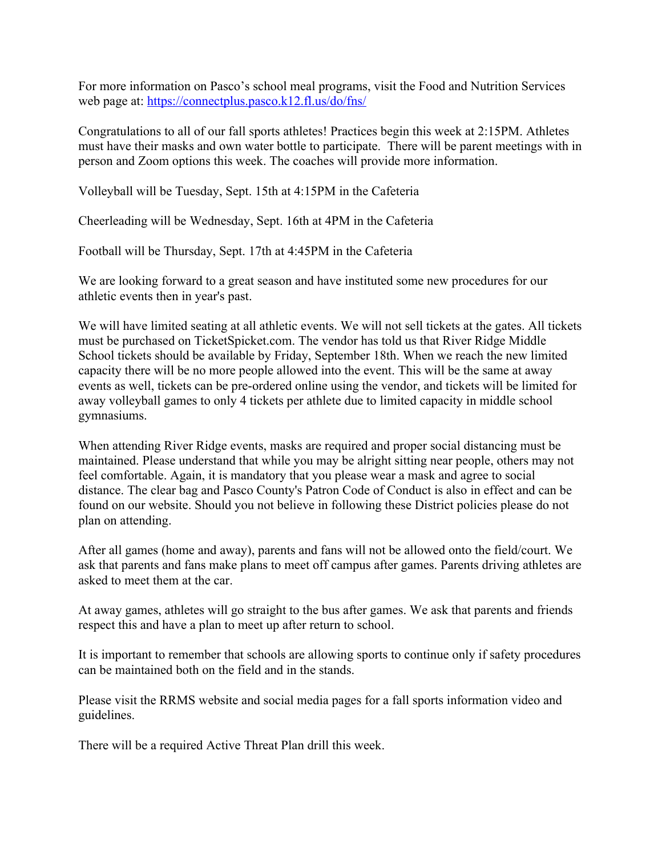For more information on Pasco's school meal programs, visit the Food and Nutrition Services web page at: https://connectplus.pasco.k12.fl.us/do/fns/

Congratulations to all of our fall sports athletes! Practices begin this week at 2:15PM. Athletes must have their masks and own water bottle to participate. There will be parent meetings with in person and Zoom options this week. The coaches will provide more information.

Volleyball will be Tuesday, Sept. 15th at 4:15PM in the Cafeteria

Cheerleading will be Wednesday, Sept. 16th at 4PM in the Cafeteria

Football will be Thursday, Sept. 17th at 4:45PM in the Cafeteria

We are looking forward to a great season and have instituted some new procedures for our athletic events then in year's past.

We will have limited seating at all athletic events. We will not sell tickets at the gates. All tickets must be purchased on TicketSpicket.com. The vendor has told us that River Ridge Middle School tickets should be available by Friday, September 18th. When we reach the new limited capacity there will be no more people allowed into the event. This will be the same at away events as well, tickets can be pre-ordered online using the vendor, and tickets will be limited for away volleyball games to only 4 tickets per athlete due to limited capacity in middle school gymnasiums.

When attending River Ridge events, masks are required and proper social distancing must be maintained. Please understand that while you may be alright sitting near people, others may not feel comfortable. Again, it is mandatory that you please wear a mask and agree to social distance. The clear bag and Pasco County's Patron Code of Conduct is also in effect and can be found on our website. Should you not believe in following these District policies please do not plan on attending.

After all games (home and away), parents and fans will not be allowed onto the field/court. We ask that parents and fans make plans to meet off campus after games. Parents driving athletes are asked to meet them at the car.

At away games, athletes will go straight to the bus after games. We ask that parents and friends respect this and have a plan to meet up after return to school.

It is important to remember that schools are allowing sports to continue only if safety procedures can be maintained both on the field and in the stands.

Please visit the RRMS website and social media pages for a fall sports information video and guidelines.

There will be a required Active Threat Plan drill this week.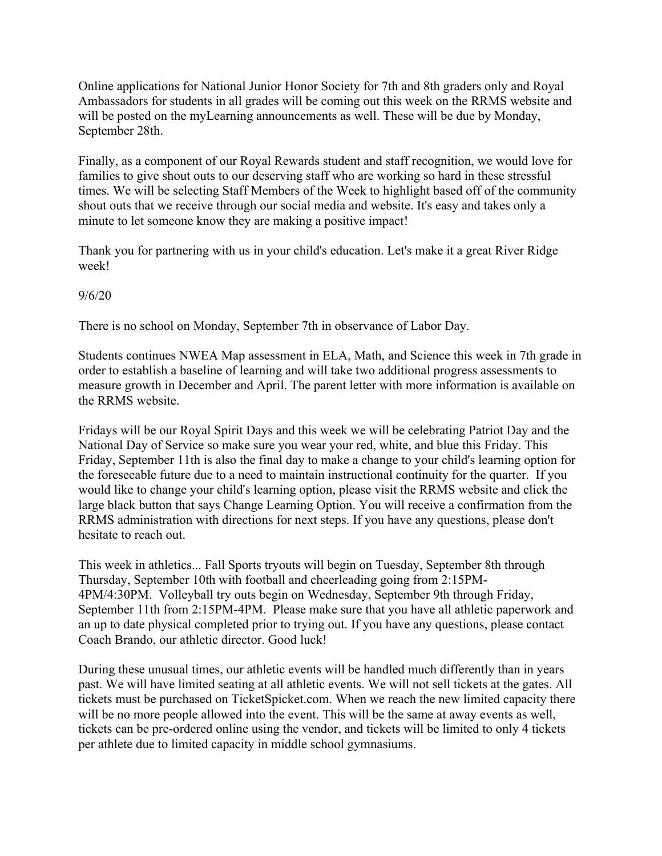Online applications for National Junior Honor Society for 7th and 8th graders only and Royal Ambassadors for students in all grades will be coming out this week on the RRMS website and will be posted on the myLearning announcements as well. These will be due by Monday, September 28th.

Finally, as a component of our Royal Rewards student and staff recognition, we would love for families to give shout outs to our deserving staff who are working so hard in these stressful times. We will be selecting Staff Members of the Week to highlight based off of the community shout outs that we receive through our social media and website. It's easy and takes only a minute to let someone know they are making a positive impact!

Thank you for partnering with us in your child's education. Let's make it a great River Ridge week!

### 9/6/20

There is no school on Monday, September 7th in observance of Labor Day.

Students continues NWEA Map assessment in ELA, Math, and Science this week in 7th grade in order to establish a baseline of learning and will take two additional progress assessments to measure growth in December and April. The parent letter with more information is available on the RRMS website.

Fridays will be our Royal Spirit Days and this week we will be celebrating Patriot Day and the National Day of Service so make sure you wear your red, white, and blue this Friday. This Friday, September 11th is also the final day to make a change to your child's learning option for the foreseeable future due to a need to maintain instructional continuity for the quarter. If you would like to change your child's learning option, please visit the RRMS website and click the large black button that says Change Learning Option. You will receive a confirmation from the RRMS administration with directions for next steps. If you have any questions, please don't hesitate to reach out.

This week in athletics... Fall Sports tryouts will begin on Tuesday, September 8th through Thursday, September 10th with football and cheerleading going from 2:15PM-4PM/4:30PM. Volleyball try outs begin on Wednesday, September 9th through Friday, September 11th from 2:15PM-4PM. Please make sure that you have all athletic paperwork and an up to date physical completed prior to trying out. If you have any questions, please contact Coach Brando, our athletic director. Good luck!

During these unusual times, our athletic events will be handled much differently than in years past. We will have limited seating at all athletic events. We will not sell tickets at the gates. All tickets must be purchased on TicketSpicket.com. When we reach the new limited capacity there will be no more people allowed into the event. This will be the same at away events as well, tickets can be pre-ordered online using the vendor, and tickets will be limited to only 4 tickets per athlete due to limited capacity in middle school gymnasiums.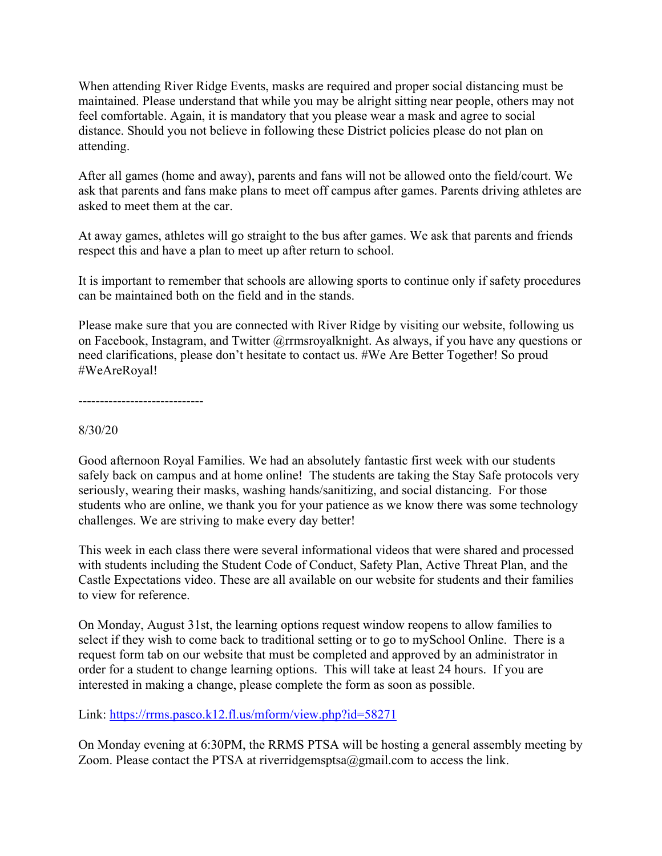When attending River Ridge Events, masks are required and proper social distancing must be maintained. Please understand that while you may be alright sitting near people, others may not feel comfortable. Again, it is mandatory that you please wear a mask and agree to social distance. Should you not believe in following these District policies please do not plan on attending.

After all games (home and away), parents and fans will not be allowed onto the field/court. We ask that parents and fans make plans to meet off campus after games. Parents driving athletes are asked to meet them at the car.

At away games, athletes will go straight to the bus after games. We ask that parents and friends respect this and have a plan to meet up after return to school.

It is important to remember that schools are allowing sports to continue only if safety procedures can be maintained both on the field and in the stands.

Please make sure that you are connected with River Ridge by visiting our website, following us on Facebook, Instagram, and Twitter @rrmsroyalknight. As always, if you have any questions or need clarifications, please don't hesitate to contact us. #We Are Better Together! So proud #WeAreRoyal!

-----------------------------

#### 8/30/20

Good afternoon Royal Families. We had an absolutely fantastic first week with our students safely back on campus and at home online! The students are taking the Stay Safe protocols very seriously, wearing their masks, washing hands/sanitizing, and social distancing. For those students who are online, we thank you for your patience as we know there was some technology challenges. We are striving to make every day better!

This week in each class there were several informational videos that were shared and processed with students including the Student Code of Conduct, Safety Plan, Active Threat Plan, and the Castle Expectations video. These are all available on our website for students and their families to view for reference.

On Monday, August 31st, the learning options request window reopens to allow families to select if they wish to come back to traditional setting or to go to mySchool Online. There is a request form tab on our website that must be completed and approved by an administrator in order for a student to change learning options. This will take at least 24 hours. If you are interested in making a change, please complete the form as soon as possible.

Link: https://rrms.pasco.k12.fl.us/mform/view.php?id=58271

On Monday evening at 6:30PM, the RRMS PTSA will be hosting a general assembly meeting by Zoom. Please contact the PTSA at riverridgemsptsa@gmail.com to access the link.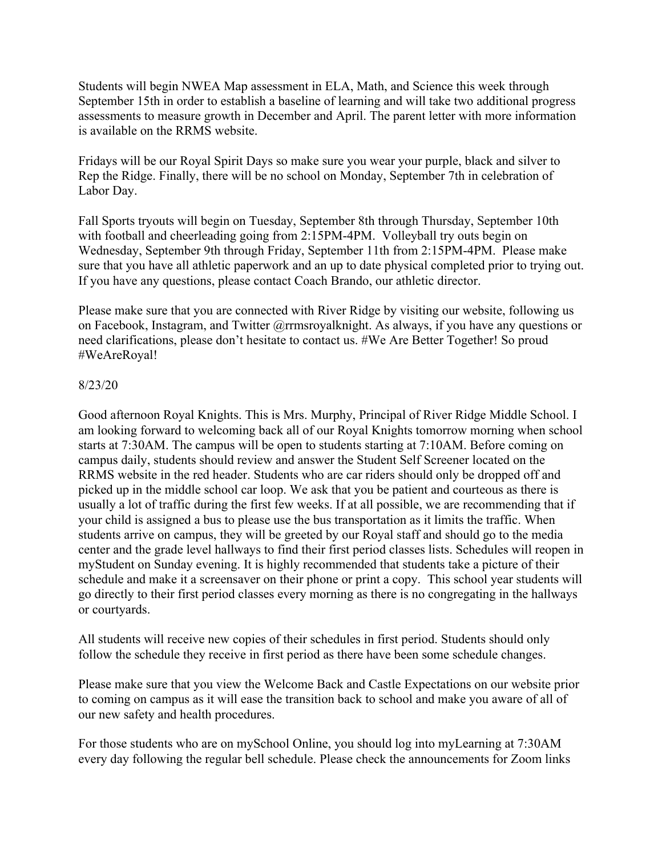Students will begin NWEA Map assessment in ELA, Math, and Science this week through September 15th in order to establish a baseline of learning and will take two additional progress assessments to measure growth in December and April. The parent letter with more information is available on the RRMS website.

Fridays will be our Royal Spirit Days so make sure you wear your purple, black and silver to Rep the Ridge. Finally, there will be no school on Monday, September 7th in celebration of Labor Day.

Fall Sports tryouts will begin on Tuesday, September 8th through Thursday, September 10th with football and cheerleading going from 2:15PM-4PM. Volleyball try outs begin on Wednesday, September 9th through Friday, September 11th from 2:15PM-4PM. Please make sure that you have all athletic paperwork and an up to date physical completed prior to trying out. If you have any questions, please contact Coach Brando, our athletic director.

Please make sure that you are connected with River Ridge by visiting our website, following us on Facebook, Instagram, and Twitter @rrmsroyalknight. As always, if you have any questions or need clarifications, please don't hesitate to contact us. #We Are Better Together! So proud #WeAreRoyal!

#### 8/23/20

Good afternoon Royal Knights. This is Mrs. Murphy, Principal of River Ridge Middle School. I am looking forward to welcoming back all of our Royal Knights tomorrow morning when school starts at 7:30AM. The campus will be open to students starting at 7:10AM. Before coming on campus daily, students should review and answer the Student Self Screener located on the RRMS website in the red header. Students who are car riders should only be dropped off and picked up in the middle school car loop. We ask that you be patient and courteous as there is usually a lot of traffic during the first few weeks. If at all possible, we are recommending that if your child is assigned a bus to please use the bus transportation as it limits the traffic. When students arrive on campus, they will be greeted by our Royal staff and should go to the media center and the grade level hallways to find their first period classes lists. Schedules will reopen in myStudent on Sunday evening. It is highly recommended that students take a picture of their schedule and make it a screensaver on their phone or print a copy. This school year students will go directly to their first period classes every morning as there is no congregating in the hallways or courtyards.

All students will receive new copies of their schedules in first period. Students should only follow the schedule they receive in first period as there have been some schedule changes.

Please make sure that you view the Welcome Back and Castle Expectations on our website prior to coming on campus as it will ease the transition back to school and make you aware of all of our new safety and health procedures.

For those students who are on mySchool Online, you should log into myLearning at 7:30AM every day following the regular bell schedule. Please check the announcements for Zoom links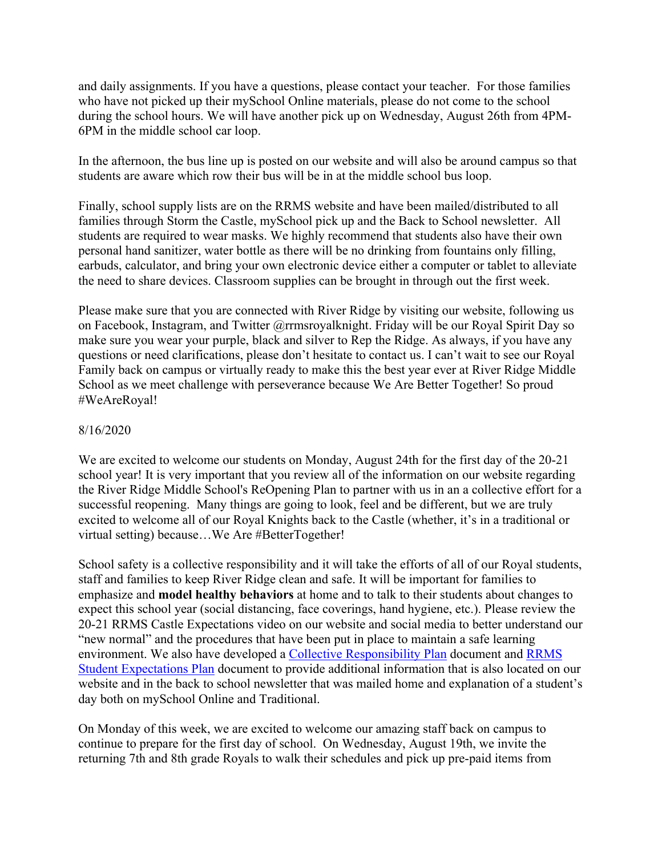and daily assignments. If you have a questions, please contact your teacher. For those families who have not picked up their mySchool Online materials, please do not come to the school during the school hours. We will have another pick up on Wednesday, August 26th from 4PM-6PM in the middle school car loop.

In the afternoon, the bus line up is posted on our website and will also be around campus so that students are aware which row their bus will be in at the middle school bus loop.

Finally, school supply lists are on the RRMS website and have been mailed/distributed to all families through Storm the Castle, mySchool pick up and the Back to School newsletter. All students are required to wear masks. We highly recommend that students also have their own personal hand sanitizer, water bottle as there will be no drinking from fountains only filling, earbuds, calculator, and bring your own electronic device either a computer or tablet to alleviate the need to share devices. Classroom supplies can be brought in through out the first week.

Please make sure that you are connected with River Ridge by visiting our website, following us on Facebook, Instagram, and Twitter @rrmsroyalknight. Friday will be our Royal Spirit Day so make sure you wear your purple, black and silver to Rep the Ridge. As always, if you have any questions or need clarifications, please don't hesitate to contact us. I can't wait to see our Royal Family back on campus or virtually ready to make this the best year ever at River Ridge Middle School as we meet challenge with perseverance because We Are Better Together! So proud #WeAreRoyal!

#### 8/16/2020

We are excited to welcome our students on Monday, August 24th for the first day of the 20-21 school year! It is very important that you review all of the information on our website regarding the River Ridge Middle School's ReOpening Plan to partner with us in an a collective effort for a successful reopening. Many things are going to look, feel and be different, but we are truly excited to welcome all of our Royal Knights back to the Castle (whether, it's in a traditional or virtual setting) because…We Are #BetterTogether!

School safety is a collective responsibility and it will take the efforts of all of our Royal students, staff and families to keep River Ridge clean and safe. It will be important for families to emphasize and **model healthy behaviors** at home and to talk to their students about changes to expect this school year (social distancing, face coverings, hand hygiene, etc.). Please review the 20-21 RRMS Castle Expectations video on our website and social media to better understand our "new normal" and the procedures that have been put in place to maintain a safe learning environment. We also have developed a Collective Responsibility Plan document and RRMS Student Expectations Plan document to provide additional information that is also located on our website and in the back to school newsletter that was mailed home and explanation of a student's day both on mySchool Online and Traditional.

On Monday of this week, we are excited to welcome our amazing staff back on campus to continue to prepare for the first day of school. On Wednesday, August 19th, we invite the returning 7th and 8th grade Royals to walk their schedules and pick up pre-paid items from